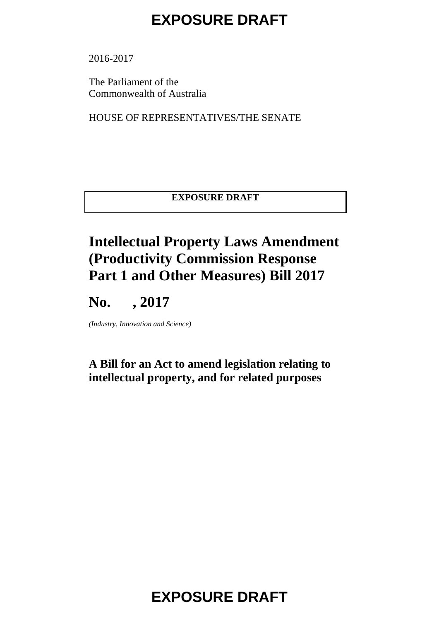2016-2017

The Parliament of the Commonwealth of Australia

HOUSE OF REPRESENTATIVES/THE SENATE

#### **EXPOSURE DRAFT**

#### **Intellectual Property Laws Amendment (Productivity Commission Response Part 1 and Other Measures) Bill 2017**

### **No. , 2017**

*(Industry, Innovation and Science)*

#### **A Bill for an Act to amend legislation relating to intellectual property, and for related purposes**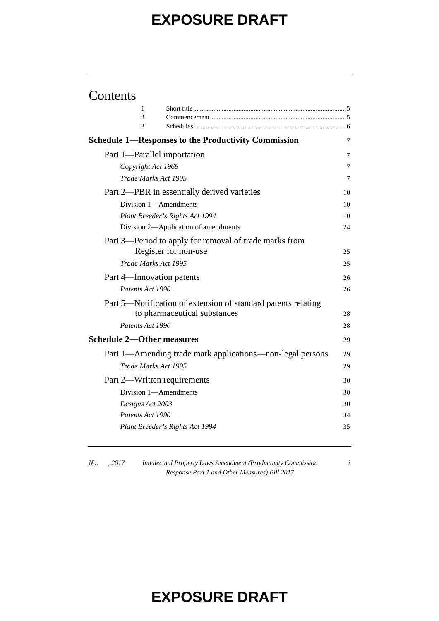#### Contents

| 1                                |                                                               |    |
|----------------------------------|---------------------------------------------------------------|----|
| 2                                |                                                               |    |
| 3                                |                                                               |    |
|                                  | <b>Schedule 1—Responses to the Productivity Commission</b>    | 7  |
| Part 1—Parallel importation      |                                                               | 7  |
| Copyright Act 1968               |                                                               | 7  |
| Trade Marks Act 1995             |                                                               | 7  |
|                                  | Part 2—PBR in essentially derived varieties                   | 10 |
|                                  | Division 1-Amendments                                         | 10 |
|                                  | Plant Breeder's Rights Act 1994                               | 10 |
|                                  | Division 2-Application of amendments                          | 24 |
|                                  | Part 3—Period to apply for removal of trade marks from        |    |
|                                  | Register for non-use                                          | 25 |
| Trade Marks Act 1995             |                                                               | 25 |
| Part 4—Innovation patents        |                                                               | 26 |
| Patents Act 1990                 |                                                               | 26 |
|                                  | Part 5-Notification of extension of standard patents relating |    |
|                                  | to pharmaceutical substances                                  | 28 |
| Patents Act 1990                 |                                                               | 28 |
| <b>Schedule 2—Other measures</b> |                                                               | 29 |
|                                  | Part 1—Amending trade mark applications—non-legal persons     | 29 |
| Trade Marks Act 1995             |                                                               | 29 |
| Part 2—Written requirements      |                                                               | 30 |
|                                  | Division 1-Amendments                                         | 30 |
| Designs Act 2003                 |                                                               | 30 |
| Patents Act 1990                 |                                                               | 34 |
|                                  | Plant Breeder's Rights Act 1994                               | 35 |
|                                  |                                                               |    |

*No. , 2017 Intellectual Property Laws Amendment (Productivity Commission Response Part 1 and Other Measures) Bill 2017*

*i*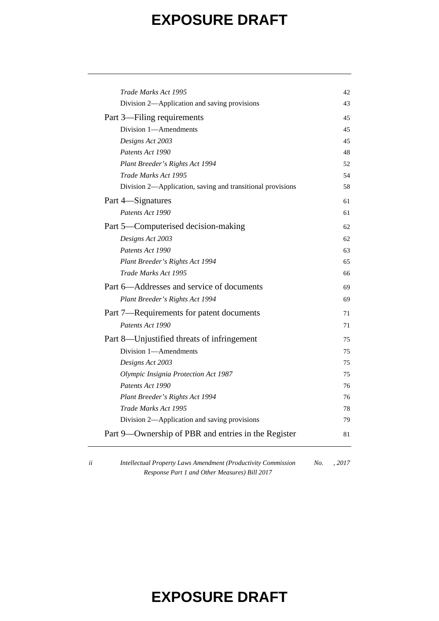| Trade Marks Act 1995                                       | 42  |
|------------------------------------------------------------|-----|
| Division 2—Application and saving provisions               | 43  |
| Part 3—Filing requirements                                 | 45  |
| Division 1-Amendments                                      | 45  |
| Designs Act 2003                                           | 45  |
| Patents Act 1990                                           | 48  |
| Plant Breeder's Rights Act 1994                            | 52  |
| Trade Marks Act 1995                                       | 54  |
| Division 2-Application, saving and transitional provisions | 58  |
| Part 4—Signatures                                          | 61  |
| Patents Act 1990                                           | 61  |
| Part 5—Computerised decision-making                        | 62. |
| Designs Act 2003                                           | 62  |
| Patents Act 1990                                           | 63  |
| Plant Breeder's Rights Act 1994                            | 65  |
| Trade Marks Act 1995                                       | 66  |
| Part 6—Addresses and service of documents                  | 69  |
| Plant Breeder's Rights Act 1994                            | 69  |
| Part 7-Requirements for patent documents                   | 71  |
| Patents Act 1990                                           | 71  |
| Part 8—Unjustified threats of infringement                 | 75  |
| Division 1-Amendments                                      | 75  |
| Designs Act 2003                                           | 75  |
| Olympic Insignia Protection Act 1987                       | 75  |
| Patents Act 1990                                           | 76  |
| Plant Breeder's Rights Act 1994                            | 76  |
| Trade Marks Act 1995                                       | 78  |
| Division 2—Application and saving provisions               | 79  |
| Part 9—Ownership of PBR and entries in the Register        | 81  |
|                                                            |     |

*ii Intellectual Property Laws Amendment (Productivity Commission Response Part 1 and Other Measures) Bill 2017 No. , 2017*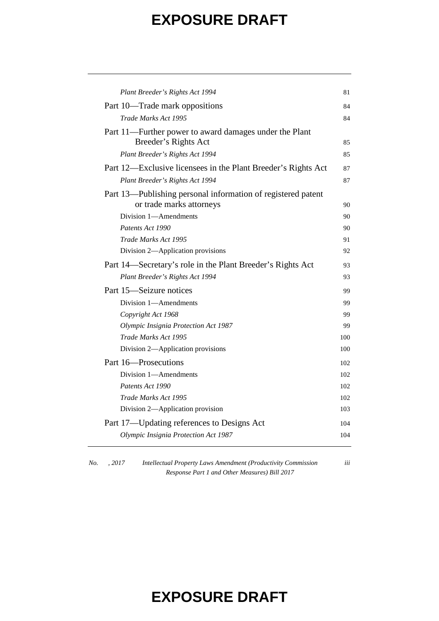| Plant Breeder's Rights Act 1994                               | 81  |
|---------------------------------------------------------------|-----|
| Part 10—Trade mark oppositions                                | 84  |
| Trade Marks Act 1995                                          | 84  |
| Part 11—Further power to award damages under the Plant        |     |
| Breeder's Rights Act                                          | 85  |
| Plant Breeder's Rights Act 1994                               | 85  |
| Part 12—Exclusive licensees in the Plant Breeder's Rights Act | 87  |
| Plant Breeder's Rights Act 1994                               | 87  |
| Part 13—Publishing personal information of registered patent  |     |
| or trade marks attorneys                                      | 90  |
| Division 1—Amendments                                         | 90  |
| Patents Act 1990                                              | 90  |
| Trade Marks Act 1995                                          | 91  |
| Division 2-Application provisions                             | 92  |
| Part 14—Secretary's role in the Plant Breeder's Rights Act    | 93  |
| Plant Breeder's Rights Act 1994                               | 93  |
| Part 15-Seizure notices                                       | 99  |
| Division 1-Amendments                                         | 99  |
| Copyright Act 1968                                            | 99  |
| Olympic Insignia Protection Act 1987                          | 99  |
| Trade Marks Act 1995                                          | 100 |
| Division 2-Application provisions                             | 100 |
| Part 16-Prosecutions                                          | 102 |
| Division 1-Amendments                                         | 102 |
| Patents Act 1990                                              | 102 |
| Trade Marks Act 1995                                          | 102 |
| Division 2-Application provision                              | 103 |
| Part 17—Updating references to Designs Act                    | 104 |
| Olympic Insignia Protection Act 1987                          | 104 |
|                                                               |     |

*No. , 2017 Intellectual Property Laws Amendment (Productivity Commission Response Part 1 and Other Measures) Bill 2017*

*iii*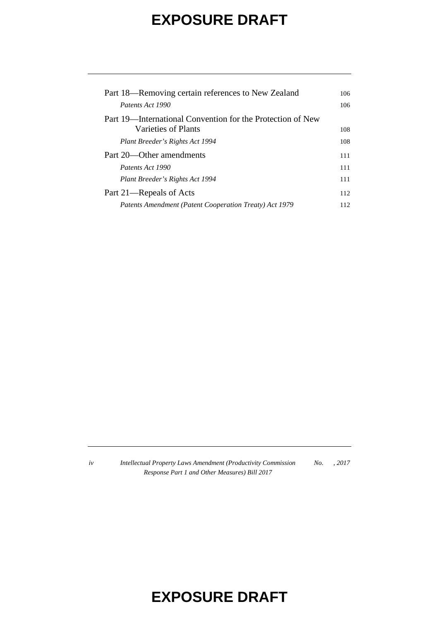| Part 18—Removing certain references to New Zealand         | 106 |
|------------------------------------------------------------|-----|
| Patents Act 1990                                           | 106 |
| Part 19—International Convention for the Protection of New |     |
| Varieties of Plants                                        | 108 |
| Plant Breeder's Rights Act 1994                            | 108 |
| Part 20—Other amendments                                   | 111 |
| Patents Act 1990                                           | 111 |
| Plant Breeder's Rights Act 1994                            | 111 |
| Part 21—Repeals of Acts                                    | 112 |
| Patents Amendment (Patent Cooperation Treaty) Act 1979     | 112 |

*iv Intellectual Property Laws Amendment (Productivity Commission Response Part 1 and Other Measures) Bill 2017 No. , 2017*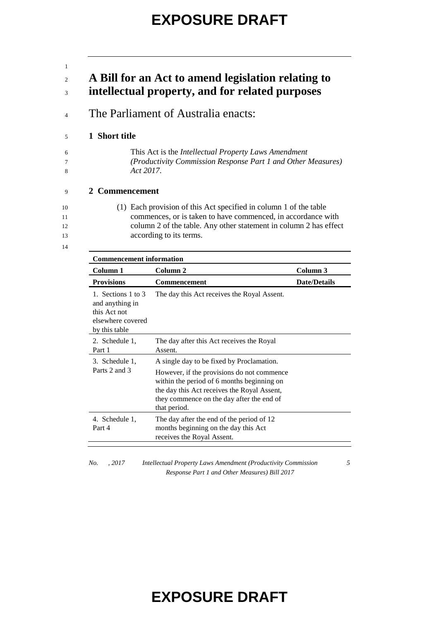| $\mathbf{1}$         |                                                                                                                                                                                                                                   |
|----------------------|-----------------------------------------------------------------------------------------------------------------------------------------------------------------------------------------------------------------------------------|
| $\overline{c}$<br>3  | A Bill for an Act to amend legislation relating to<br>intellectual property, and for related purposes                                                                                                                             |
| 4                    | The Parliament of Australia enacts:                                                                                                                                                                                               |
| 5                    | 1 Short title                                                                                                                                                                                                                     |
| 6<br>8               | This Act is the Intellectual Property Laws Amendment<br>(Productivity Commission Response Part 1 and Other Measures)<br>Act 2017.                                                                                                 |
| 9                    | 2 Commencement                                                                                                                                                                                                                    |
| 10<br>11<br>12<br>13 | (1) Each provision of this Act specified in column 1 of the table<br>commences, or is taken to have commenced, in accordance with<br>column 2 of the table. Any other statement in column 2 has effect<br>according to its terms. |
| 14                   |                                                                                                                                                                                                                                   |

| <b>Commencement information</b>                                                             |                                                                                                                                                                                                                                                   |                     |  |
|---------------------------------------------------------------------------------------------|---------------------------------------------------------------------------------------------------------------------------------------------------------------------------------------------------------------------------------------------------|---------------------|--|
| Column 1                                                                                    | Column 2                                                                                                                                                                                                                                          | Column 3            |  |
| <b>Provisions</b>                                                                           | <b>Commencement</b>                                                                                                                                                                                                                               | <b>Date/Details</b> |  |
| 1. Sections 1 to 3<br>and anything in<br>this Act not<br>elsewhere covered<br>by this table | The day this Act receives the Royal Assent.                                                                                                                                                                                                       |                     |  |
| 2. Schedule 1,<br>Part 1                                                                    | The day after this Act receives the Royal<br>Assent.                                                                                                                                                                                              |                     |  |
| 3. Schedule 1,<br>Parts 2 and 3                                                             | A single day to be fixed by Proclamation.<br>However, if the provisions do not commence<br>within the period of 6 months beginning on<br>the day this Act receives the Royal Assent,<br>they commence on the day after the end of<br>that period. |                     |  |
| 4. Schedule 1,<br>Part 4                                                                    | The day after the end of the period of 12<br>months beginning on the day this Act<br>receives the Royal Assent.                                                                                                                                   |                     |  |

*Response Part 1 and Other Measures) Bill 2017*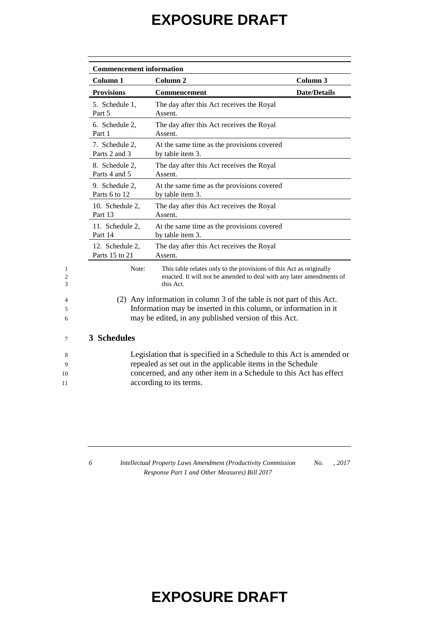| Column <sub>1</sub>               | Column <sub>2</sub>                                                                                                                                                                               | Column <sub>3</sub> |
|-----------------------------------|---------------------------------------------------------------------------------------------------------------------------------------------------------------------------------------------------|---------------------|
| <b>Provisions</b>                 | <b>Commencement</b>                                                                                                                                                                               | <b>Date/Details</b> |
| 5. Schedule 1,<br>Part 5          | The day after this Act receives the Royal<br>Assent.                                                                                                                                              |                     |
| 6. Schedule 2,<br>Part 1          | The day after this Act receives the Royal<br>Assent.                                                                                                                                              |                     |
| 7. Schedule 2,<br>Parts 2 and 3   | At the same time as the provisions covered<br>by table item 3.                                                                                                                                    |                     |
| 8. Schedule 2,<br>Parts 4 and 5   | The day after this Act receives the Royal<br>Assent.                                                                                                                                              |                     |
| 9. Schedule 2,<br>Parts 6 to 12   | At the same time as the provisions covered<br>by table item 3.                                                                                                                                    |                     |
| 10. Schedule 2,<br>Part 13        | The day after this Act receives the Royal<br>Assent.                                                                                                                                              |                     |
| 11. Schedule 2,<br>Part 14        | At the same time as the provisions covered<br>by table item 3.                                                                                                                                    |                     |
| 12. Schedule 2,<br>Parts 15 to 21 | The day after this Act receives the Royal<br>Assent.                                                                                                                                              |                     |
| Note:                             | This table relates only to the provisions of this Act as originally<br>enacted. It will not be amended to deal with any later amendments of<br>this Act.                                          |                     |
|                                   | (2) Any information in column 3 of the table is not part of this Act.<br>Information may be inserted in this column, or information in it<br>may be edited, in any published version of this Act. |                     |
| 3 Schedules                       |                                                                                                                                                                                                   |                     |
|                                   | Legislation that is specified in a Schedule to this Act is amended or<br>repealed as set out in the applicable items in the Schedule                                                              |                     |

10 concerned, and any other item in a Schedule to this Act has effect 11 **according to its terms.** 

*6 Intellectual Property Laws Amendment (Productivity Commission Response Part 1 and Other Measures) Bill 2017 No. , 2017*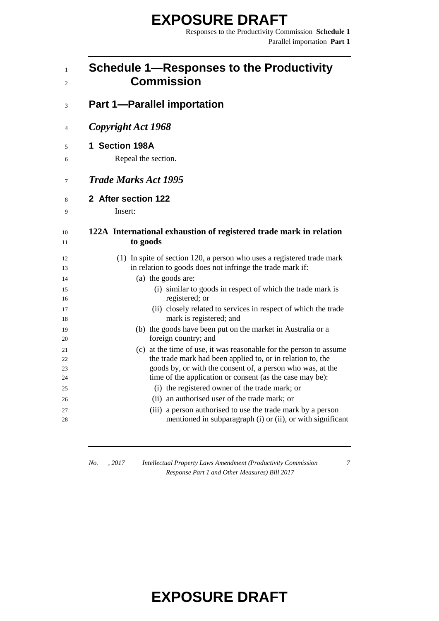Responses to the Productivity Commission **Schedule 1** Parallel importation **Part 1**

| <b>Schedule 1-Responses to the Productivity</b><br><b>Commission</b>                       |
|--------------------------------------------------------------------------------------------|
| <b>Part 1-Parallel importation</b>                                                         |
| Copyright Act 1968                                                                         |
| 1 Section 198A                                                                             |
| Repeal the section.                                                                        |
| <b>Trade Marks Act 1995</b>                                                                |
| 2 After section 122                                                                        |
| Insert:                                                                                    |
| 122A International exhaustion of registered trade mark in relation                         |
| to goods                                                                                   |
| (1) In spite of section 120, a person who uses a registered trade mark                     |
| in relation to goods does not infringe the trade mark if:                                  |
| (a) the goods are:<br>(i) similar to goods in respect of which the trade mark is           |
| registered; or                                                                             |
| (ii) closely related to services in respect of which the trade                             |
| mark is registered; and                                                                    |
| (b) the goods have been put on the market in Australia or a                                |
| foreign country; and<br>(c) at the time of use, it was reasonable for the person to assume |
| the trade mark had been applied to, or in relation to, the                                 |
| goods by, or with the consent of, a person who was, at the                                 |
| time of the application or consent (as the case may be):                                   |
| (i) the registered owner of the trade mark; or                                             |
| (ii) an authorised user of the trade mark; or                                              |
| (iii) a person authorised to use the trade mark by a person                                |
| mentioned in subparagraph (i) or (ii), or with significant                                 |

*No. , 2017 Intellectual Property Laws Amendment (Productivity Commission Response Part 1 and Other Measures) Bill 2017*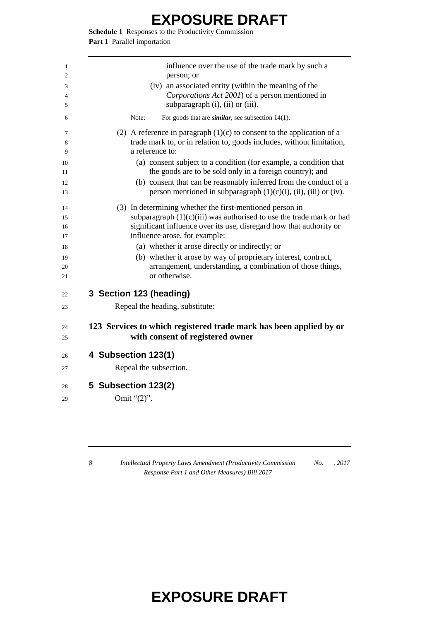**Schedule 1** Responses to the Productivity Commission **Part 1** Parallel importation

| 1<br>2 | influence over the use of the trade mark by such a<br>person; or                                                             |
|--------|------------------------------------------------------------------------------------------------------------------------------|
| 3      | (iv) an associated entity (within the meaning of the                                                                         |
| 4<br>5 | Corporations Act 2001) of a person mentioned in<br>subparagraph (i), (ii) or (iii).                                          |
|        | For goods that are <i>similar</i> , see subsection $14(1)$ .<br>Note:                                                        |
|        | (2) A reference in paragraph $(1)(c)$ to consent to the application of a                                                     |
|        | trade mark to, or in relation to, goods includes, without limitation,<br>a reference to:                                     |
|        | (a) consent subject to a condition (for example, a condition that                                                            |
|        | the goods are to be sold only in a foreign country); and                                                                     |
|        | (b) consent that can be reasonably inferred from the conduct of a                                                            |
|        | person mentioned in subparagraph $(1)(c)(i)$ , $(ii)$ , $(iii)$ or $(iv)$ .                                                  |
|        | (3) In determining whether the first-mentioned person in                                                                     |
|        | subparagraph $(1)(c)(iii)$ was authorised to use the trade mark or had                                                       |
|        | significant influence over its use, disregard how that authority or                                                          |
|        | influence arose, for example:                                                                                                |
|        | (a) whether it arose directly or indirectly; or                                                                              |
|        | (b) whether it arose by way of proprietary interest, contract,<br>arrangement, understanding, a combination of those things, |
|        | or otherwise.                                                                                                                |
|        | 3 Section 123 (heading)                                                                                                      |
|        | Repeal the heading, substitute:                                                                                              |
|        | 123 Services to which registered trade mark has been applied by or                                                           |
|        | with consent of registered owner                                                                                             |
|        | 4 Subsection 123(1)                                                                                                          |
|        | Repeal the subsection.                                                                                                       |
|        | 5 Subsection 123(2)                                                                                                          |
|        |                                                                                                                              |

 *Intellectual Property Laws Amendment (Productivity Commission Response Part 1 and Other Measures) Bill 2017 No. , 2017*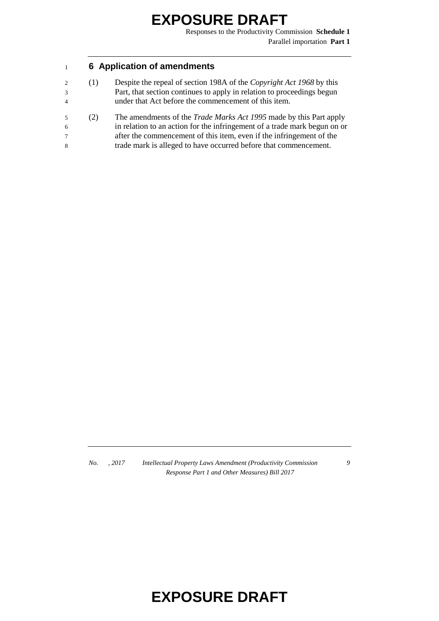Responses to the Productivity Commission **Schedule 1** Parallel importation **Part 1**

#### <sup>1</sup> **6 Application of amendments**

- 2 (1) Despite the repeal of section 198A of the *Copyright Act 1968* by this 3 Part, that section continues to apply in relation to proceedings begun 4 under that Act before the commencement of this item.
- 5 (2) The amendments of the *Trade Marks Act 1995* made by this Part apply 6 in relation to an action for the infringement of a trade mark begun on or 7 after the commencement of this item, even if the infringement of the 8 trade mark is alleged to have occurred before that commencement.

*No. , 2017 Intellectual Property Laws Amendment (Productivity Commission Response Part 1 and Other Measures) Bill 2017*

*9*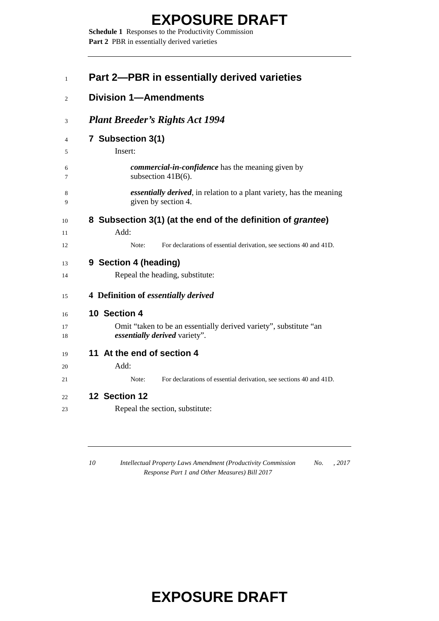**Schedule 1** Responses to the Productivity Commission Part 2 PBR in essentially derived varieties

| Part 2–PBR in essentially derived varieties                                                         |
|-----------------------------------------------------------------------------------------------------|
| <b>Division 1-Amendments</b>                                                                        |
| <b>Plant Breeder's Rights Act 1994</b>                                                              |
| 7 Subsection 3(1)<br>Insert:                                                                        |
| <i>commercial-in-confidence</i> has the meaning given by<br>subsection 41B(6).                      |
| <i>essentially derived</i> , in relation to a plant variety, has the meaning<br>given by section 4. |
| 8 Subsection 3(1) (at the end of the definition of grantee)                                         |
| Add:                                                                                                |
| For declarations of essential derivation, see sections 40 and 41D.<br>Note:                         |
| 9 Section 4 (heading)                                                                               |
| Repeal the heading, substitute:                                                                     |
| 4 Definition of essentially derived                                                                 |
| 10 Section 4                                                                                        |
| Omit "taken to be an essentially derived variety", substitute "an<br>essentially derived variety".  |
| 11 At the end of section 4                                                                          |
| Add:                                                                                                |
| For declarations of essential derivation, see sections 40 and 41D.<br>Note:                         |
| 12 Section 12                                                                                       |
| Repeal the section, substitute:                                                                     |

 *Intellectual Property Laws Amendment (Productivity Commission Response Part 1 and Other Measures) Bill 2017 No. , 2017*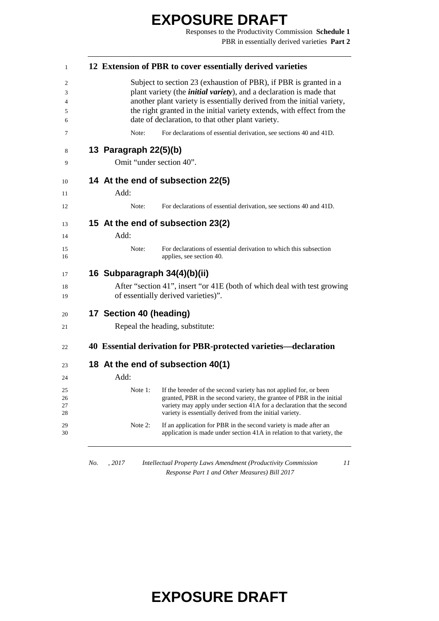Responses to the Productivity Commission **Schedule 1** PBR in essentially derived varieties **Part 2**

|                              | 12 Extension of PBR to cover essentially derived varieties                                                                                                                                                                                                                                                                                                |
|------------------------------|-----------------------------------------------------------------------------------------------------------------------------------------------------------------------------------------------------------------------------------------------------------------------------------------------------------------------------------------------------------|
|                              | Subject to section 23 (exhaustion of PBR), if PBR is granted in a<br>plant variety (the <i>initial variety</i> ), and a declaration is made that<br>another plant variety is essentially derived from the initial variety,<br>the right granted in the initial variety extends, with effect from the<br>date of declaration, to that other plant variety. |
| Note:                        | For declarations of essential derivation, see sections 40 and 41D.                                                                                                                                                                                                                                                                                        |
| 13 Paragraph 22(5)(b)        |                                                                                                                                                                                                                                                                                                                                                           |
| Omit "under section 40".     |                                                                                                                                                                                                                                                                                                                                                           |
|                              | 14 At the end of subsection 22(5)                                                                                                                                                                                                                                                                                                                         |
| Add:                         |                                                                                                                                                                                                                                                                                                                                                           |
| Note:                        | For declarations of essential derivation, see sections 40 and 41D.                                                                                                                                                                                                                                                                                        |
|                              | 15 At the end of subsection 23(2)                                                                                                                                                                                                                                                                                                                         |
| Add:                         |                                                                                                                                                                                                                                                                                                                                                           |
| Note:                        | For declarations of essential derivation to which this subsection<br>applies, see section 40.                                                                                                                                                                                                                                                             |
| 16 Subparagraph 34(4)(b)(ii) |                                                                                                                                                                                                                                                                                                                                                           |
|                              | After "section 41", insert "or 41E (both of which deal with test growing<br>of essentially derived varieties)".                                                                                                                                                                                                                                           |
| 17 Section 40 (heading)      |                                                                                                                                                                                                                                                                                                                                                           |
|                              | Repeal the heading, substitute:                                                                                                                                                                                                                                                                                                                           |
|                              | 40 Essential derivation for PBR-protected varieties—declaration                                                                                                                                                                                                                                                                                           |
|                              | 18 At the end of subsection 40(1)                                                                                                                                                                                                                                                                                                                         |
| Add:                         |                                                                                                                                                                                                                                                                                                                                                           |
| Note 1:                      | If the breeder of the second variety has not applied for, or been<br>granted, PBR in the second variety, the grantee of PBR in the initial<br>variety may apply under section 41A for a declaration that the second<br>variety is essentially derived from the initial variety.                                                                           |
| Note 2:                      | If an application for PBR in the second variety is made after an<br>application is made under section 41A in relation to that variety, the                                                                                                                                                                                                                |

*No. , 2017 Intellectual Property Laws Amendment (Productivity Commission Response Part 1 and Other Measures) Bill 2017*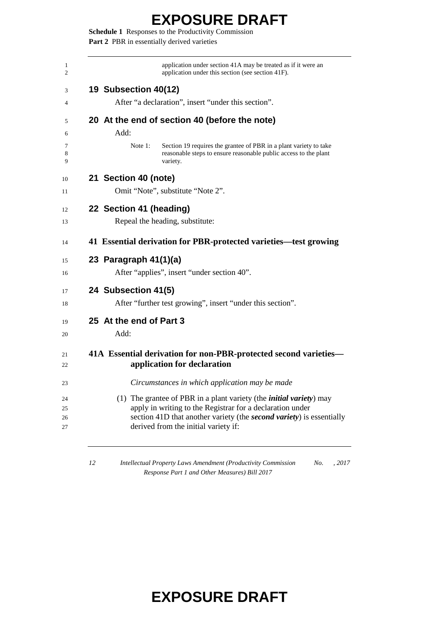**Schedule 1** Responses to the Productivity Commission Part 2 PBR in essentially derived varieties

| application under section 41A may be treated as if it were an<br>application under this section (see section 41F).                                              |
|-----------------------------------------------------------------------------------------------------------------------------------------------------------------|
| 19 Subsection 40(12)                                                                                                                                            |
| After "a declaration", insert "under this section".                                                                                                             |
| 20 At the end of section 40 (before the note)                                                                                                                   |
| Add:                                                                                                                                                            |
| Note $1$ :<br>Section 19 requires the grantee of PBR in a plant variety to take<br>reasonable steps to ensure reasonable public access to the plant<br>variety. |
| 21 Section 40 (note)                                                                                                                                            |
| Omit "Note", substitute "Note 2".                                                                                                                               |
| 22 Section 41 (heading)                                                                                                                                         |
| Repeal the heading, substitute:                                                                                                                                 |
| 41 Essential derivation for PBR-protected varieties—test growing                                                                                                |
| 23 Paragraph 41(1)(a)                                                                                                                                           |
| After "applies", insert "under section 40".                                                                                                                     |
| 24 Subsection 41(5)                                                                                                                                             |
| After "further test growing", insert "under this section".                                                                                                      |
| 25 At the end of Part 3                                                                                                                                         |
| Add:                                                                                                                                                            |
| 41A Essential derivation for non-PBR-protected second varieties-                                                                                                |
| application for declaration                                                                                                                                     |
| Circumstances in which application may be made                                                                                                                  |
| (1) The grantee of PBR in a plant variety (the <i>initial variety</i> ) may                                                                                     |
| apply in writing to the Registrar for a declaration under<br>section 41D that another variety (the <i>second variety</i> ) is essentially                       |
|                                                                                                                                                                 |

 *Intellectual Property Laws Amendment (Productivity Commission Response Part 1 and Other Measures) Bill 2017 No. , 2017*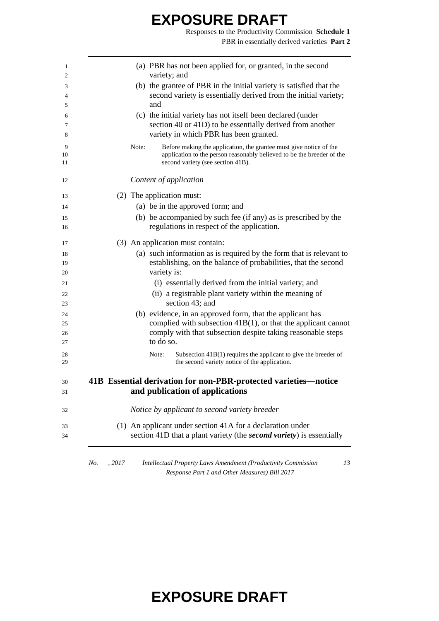Responses to the Productivity Commission **Schedule 1** PBR in essentially derived varieties **Part 2**

|     |        |       | (a) PBR has not been applied for, or granted, in the second<br>variety; and |
|-----|--------|-------|-----------------------------------------------------------------------------|
|     |        |       | (b) the grantee of PBR in the initial variety is satisfied that the         |
|     |        |       | second variety is essentially derived from the initial variety;             |
|     |        |       | and                                                                         |
|     |        |       | (c) the initial variety has not itself been declared (under                 |
|     |        |       | section 40 or 41D) to be essentially derived from another                   |
|     |        |       | variety in which PBR has been granted.                                      |
|     |        | Note: | Before making the application, the grantee must give notice of the          |
|     |        |       | application to the person reasonably believed to be the breeder of the      |
|     |        |       | second variety (see section 41B).                                           |
|     |        |       | Content of application                                                      |
|     |        |       | (2) The application must:                                                   |
|     |        |       | (a) be in the approved form; and                                            |
|     |        |       | (b) be accompanied by such fee (if any) as is prescribed by the             |
|     |        |       | regulations in respect of the application.                                  |
|     |        |       | (3) An application must contain:                                            |
|     |        |       | (a) such information as is required by the form that is relevant to         |
|     |        |       | establishing, on the balance of probabilities, that the second              |
|     |        |       | variety is:                                                                 |
|     |        |       | (i) essentially derived from the initial variety; and                       |
|     |        |       | (ii) a registrable plant variety within the meaning of<br>section 43; and   |
|     |        |       | (b) evidence, in an approved form, that the applicant has                   |
|     |        |       | complied with subsection $41B(1)$ , or that the applicant cannot            |
|     |        |       | comply with that subsection despite taking reasonable steps<br>to do so.    |
|     |        |       | Note:<br>Subsection $41B(1)$ requires the applicant to give the breeder of  |
|     |        |       | the second variety notice of the application.                               |
|     |        |       | 41B Essential derivation for non-PBR-protected varieties—notice             |
|     |        |       | and publication of applications                                             |
|     |        |       | Notice by applicant to second variety breeder                               |
|     |        |       | (1) An applicant under section 41A for a declaration under                  |
|     |        |       | section 41D that a plant variety (the second variety) is essentially        |
|     |        |       |                                                                             |
| No. | , 2017 |       | Intellectual Property Laws Amendment (Productivity Commission<br>13         |

*Response Part 1 and Other Measures) Bill 2017*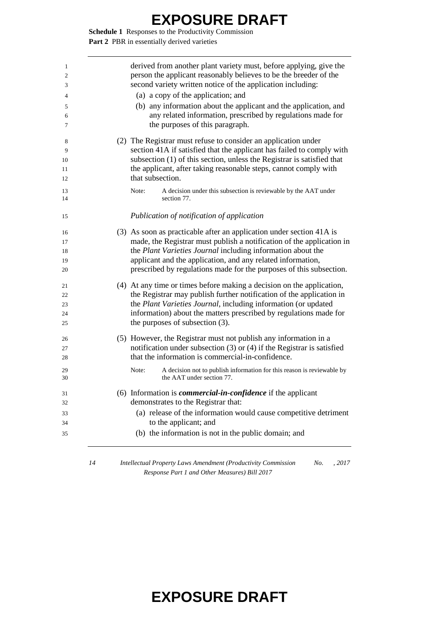**Schedule 1** Responses to the Productivity Commission Part 2 PBR in essentially derived varieties

| 1<br>2<br>3 | derived from another plant variety must, before applying, give the<br>person the applicant reasonably believes to be the breeder of the<br>second variety written notice of the application including: |
|-------------|--------------------------------------------------------------------------------------------------------------------------------------------------------------------------------------------------------|
| 4           | (a) a copy of the application; and                                                                                                                                                                     |
| 5           | (b) any information about the applicant and the application, and                                                                                                                                       |
| 6<br>7      | any related information, prescribed by regulations made for<br>the purposes of this paragraph.                                                                                                         |
| 8           | (2) The Registrar must refuse to consider an application under                                                                                                                                         |
| 9           | section 41A if satisfied that the applicant has failed to comply with                                                                                                                                  |
| 10          | subsection (1) of this section, unless the Registrar is satisfied that                                                                                                                                 |
| 11<br>12    | the applicant, after taking reasonable steps, cannot comply with<br>that subsection.                                                                                                                   |
| 13<br>14    | A decision under this subsection is reviewable by the AAT under<br>Note:<br>section 77.                                                                                                                |
| 15          | Publication of notification of application                                                                                                                                                             |
| 16          | (3) As soon as practicable after an application under section 41A is                                                                                                                                   |
| 17          | made, the Registrar must publish a notification of the application in                                                                                                                                  |
| 18          | the Plant Varieties Journal including information about the                                                                                                                                            |
| 19          | applicant and the application, and any related information,                                                                                                                                            |
| 20          | prescribed by regulations made for the purposes of this subsection.                                                                                                                                    |
| 21          | (4) At any time or times before making a decision on the application,                                                                                                                                  |
| 22          | the Registrar may publish further notification of the application in                                                                                                                                   |
| 23          | the Plant Varieties Journal, including information (or updated                                                                                                                                         |
| 24          | information) about the matters prescribed by regulations made for                                                                                                                                      |
| 25          | the purposes of subsection (3).                                                                                                                                                                        |
| 26          | (5) However, the Registrar must not publish any information in a                                                                                                                                       |
| 27          | notification under subsection $(3)$ or $(4)$ if the Registrar is satisfied                                                                                                                             |
| 28          | that the information is commercial-in-confidence.                                                                                                                                                      |
| 29<br>30    | A decision not to publish information for this reason is reviewable by<br>Note:<br>the AAT under section 77.                                                                                           |
| 31          | $(6)$ Information is <i>commercial-in-confidence</i> if the applicant                                                                                                                                  |
| 32          | demonstrates to the Registrar that:                                                                                                                                                                    |
| 33          | (a) release of the information would cause competitive detriment                                                                                                                                       |
| 34          | to the applicant; and                                                                                                                                                                                  |
| 35          | (b) the information is not in the public domain; and                                                                                                                                                   |

 *Intellectual Property Laws Amendment (Productivity Commission Response Part 1 and Other Measures) Bill 2017 No. , 2017*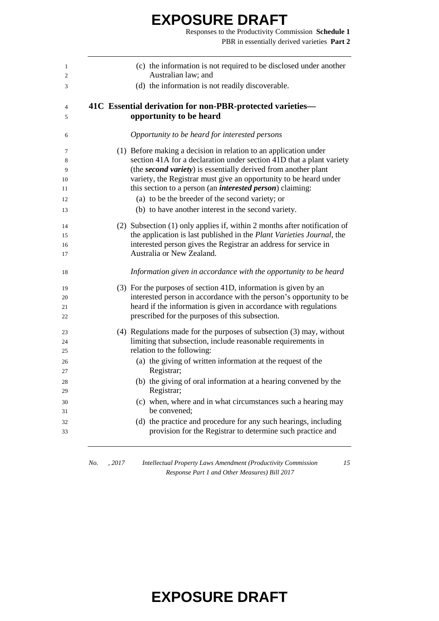Responses to the Productivity Commission **Schedule 1** PBR in essentially derived varieties **Part 2**

| 1<br>2         | (c) the information is not required to be disclosed under another<br>Australian law; and                                               |
|----------------|----------------------------------------------------------------------------------------------------------------------------------------|
| 3              | (d) the information is not readily discoverable.                                                                                       |
| $\overline{4}$ | 41C Essential derivation for non-PBR-protected varieties-                                                                              |
| 5              | opportunity to be heard                                                                                                                |
| 6              | Opportunity to be heard for interested persons                                                                                         |
| 7              | (1) Before making a decision in relation to an application under                                                                       |
| 8              | section 41A for a declaration under section 41D that a plant variety                                                                   |
| 9              | (the second variety) is essentially derived from another plant                                                                         |
| 10<br>11       | variety, the Registrar must give an opportunity to be heard under<br>this section to a person (an <i>interested person</i> ) claiming: |
| 12             | (a) to be the breeder of the second variety; or                                                                                        |
| 13             | (b) to have another interest in the second variety.                                                                                    |
| 14             | (2) Subsection (1) only applies if, within 2 months after notification of                                                              |
| 15             | the application is last published in the Plant Varieties Journal, the                                                                  |
| 16             | interested person gives the Registrar an address for service in                                                                        |
| 17             | Australia or New Zealand.                                                                                                              |
| 18             | Information given in accordance with the opportunity to be heard                                                                       |
| 19             | (3) For the purposes of section 41D, information is given by an                                                                        |
| 20             | interested person in accordance with the person's opportunity to be                                                                    |
| 21             | heard if the information is given in accordance with regulations                                                                       |
| 22             | prescribed for the purposes of this subsection.                                                                                        |
| 23             | $(4)$ Regulations made for the purposes of subsection $(3)$ may, without                                                               |
| 24             | limiting that subsection, include reasonable requirements in                                                                           |
| 25             | relation to the following:                                                                                                             |
| 26             | (a) the giving of written information at the request of the                                                                            |
| 27             | Registrar;                                                                                                                             |
| 28<br>29       | (b) the giving of oral information at a hearing convened by the<br>Registrar;                                                          |
| 30             | (c) when, where and in what circumstances such a hearing may                                                                           |
| 31             | be convened;                                                                                                                           |
| 32<br>33       | (d) the practice and procedure for any such hearings, including<br>provision for the Registrar to determine such practice and          |
|                |                                                                                                                                        |

*No. , 2017 Intellectual Property Laws Amendment (Productivity Commission Response Part 1 and Other Measures) Bill 2017*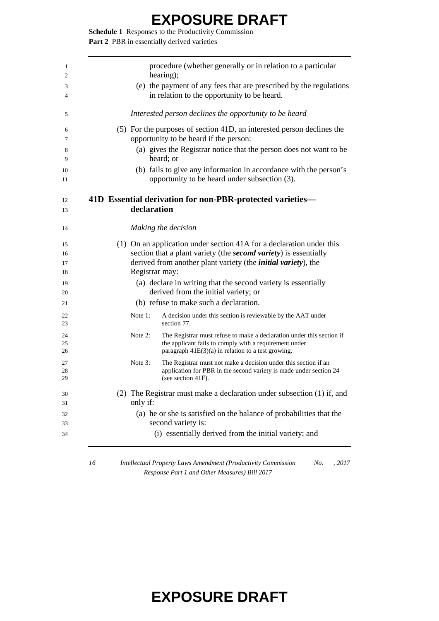**Schedule 1** Responses to the Productivity Commission Part 2 PBR in essentially derived varieties

| 1              | procedure (whether generally or in relation to a particular<br>hearing);                                                                                                                              |  |
|----------------|-------------------------------------------------------------------------------------------------------------------------------------------------------------------------------------------------------|--|
| 2              |                                                                                                                                                                                                       |  |
| 3<br>4         | (e) the payment of any fees that are prescribed by the regulations<br>in relation to the opportunity to be heard.                                                                                     |  |
| 5              | Interested person declines the opportunity to be heard                                                                                                                                                |  |
| 6<br>7         | (5) For the purposes of section 41D, an interested person declines the<br>opportunity to be heard if the person:                                                                                      |  |
| 8<br>9         | (a) gives the Registrar notice that the person does not want to be<br>heard; or                                                                                                                       |  |
| 10<br>11       | (b) fails to give any information in accordance with the person's<br>opportunity to be heard under subsection (3).                                                                                    |  |
| 12             | 41D Essential derivation for non-PBR-protected varieties-                                                                                                                                             |  |
| 13             | declaration                                                                                                                                                                                           |  |
| 14             | Making the decision                                                                                                                                                                                   |  |
| 15             | (1) On an application under section 41A for a declaration under this                                                                                                                                  |  |
| 16             | section that a plant variety (the <i>second variety</i> ) is essentially                                                                                                                              |  |
| 17<br>18       | derived from another plant variety (the <i>initial variety</i> ), the<br>Registrar may:                                                                                                               |  |
| 19<br>20       | (a) declare in writing that the second variety is essentially<br>derived from the initial variety; or                                                                                                 |  |
| 21             | (b) refuse to make such a declaration.                                                                                                                                                                |  |
| 22<br>23       | Note 1:<br>A decision under this section is reviewable by the AAT under<br>section 77.                                                                                                                |  |
| 24<br>25<br>26 | Note $2$ :<br>The Registrar must refuse to make a declaration under this section if<br>the applicant fails to comply with a requirement under<br>paragraph $41E(3)(a)$ in relation to a test growing. |  |
| 27             | Note $3$ :<br>The Registrar must not make a decision under this section if an                                                                                                                         |  |
| 28<br>29       | application for PBR in the second variety is made under section 24<br>(see section 41F).                                                                                                              |  |
| 30<br>31       | (2) The Registrar must make a declaration under subsection (1) if, and<br>only if:                                                                                                                    |  |
|                | (a) he or she is satisfied on the balance of probabilities that the                                                                                                                                   |  |
| 32<br>33       | second variety is:                                                                                                                                                                                    |  |

 *Intellectual Property Laws Amendment (Productivity Commission Response Part 1 and Other Measures) Bill 2017 No. , 2017*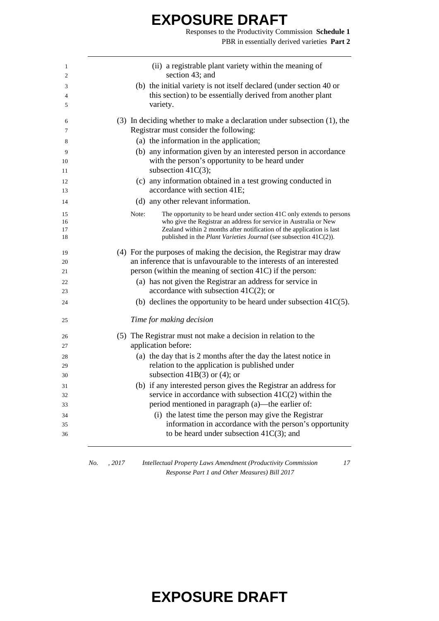Responses to the Productivity Commission **Schedule 1** PBR in essentially derived varieties **Part 2**

| 1<br>2   | (ii) a registrable plant variety within the meaning of<br>section 43; and                   |
|----------|---------------------------------------------------------------------------------------------|
|          | (b) the initial variety is not itself declared (under section 40 or                         |
| 3<br>4   | this section) to be essentially derived from another plant                                  |
| 5        | variety.                                                                                    |
| 6        | $(3)$ In deciding whether to make a declaration under subsection $(1)$ , the                |
| 7        | Registrar must consider the following:                                                      |
| 8        | (a) the information in the application;                                                     |
| 9        | (b) any information given by an interested person in accordance                             |
| 10       | with the person's opportunity to be heard under<br>subsection $41C(3)$ ;                    |
| 11       |                                                                                             |
| 12<br>13 | (c) any information obtained in a test growing conducted in<br>accordance with section 41E; |
| 14       | (d) any other relevant information.                                                         |
| 15       | Note:<br>The opportunity to be heard under section 41C only extends to persons              |
| 16       | who give the Registrar an address for service in Australia or New                           |
| 17       | Zealand within 2 months after notification of the application is last                       |
| 18       | published in the Plant Varieties Journal (see subsection 41C(2)).                           |
| 19       | (4) For the purposes of making the decision, the Registrar may draw                         |
| 20       | an inference that is unfavourable to the interests of an interested                         |
| 21       | person (within the meaning of section 41C) if the person:                                   |
| 22       | (a) has not given the Registrar an address for service in                                   |
| 23       | accordance with subsection $41C(2)$ ; or                                                    |
| 24       | (b) declines the opportunity to be heard under subsection $41C(5)$ .                        |
| 25       | Time for making decision                                                                    |
| 26       | (5) The Registrar must not make a decision in relation to the                               |
| 27       | application before:                                                                         |
| 28       | (a) the day that is 2 months after the day the latest notice in                             |
| 29       | relation to the application is published under                                              |
| 30       | subsection $41B(3)$ or (4); or                                                              |
| 31       | (b) if any interested person gives the Registrar an address for                             |
| 32       | service in accordance with subsection $41C(2)$ within the                                   |
| 33       | period mentioned in paragraph (a)—the earlier of:                                           |
| 34       | (i) the latest time the person may give the Registrar                                       |
| 35       | information in accordance with the person's opportunity                                     |
| 36       | to be heard under subsection $41C(3)$ ; and                                                 |

*No. , 2017 Intellectual Property Laws Amendment (Productivity Commission Response Part 1 and Other Measures) Bill 2017*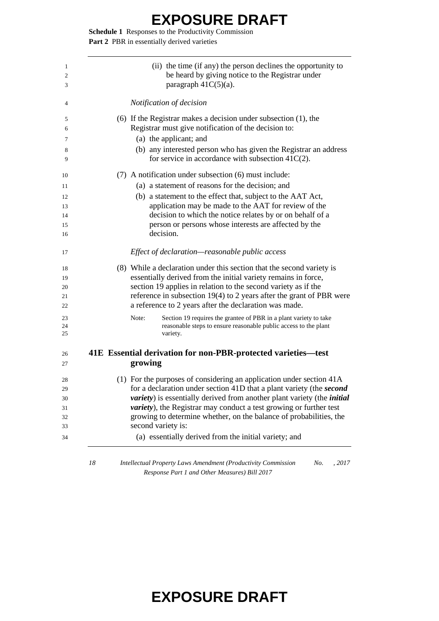**Schedule 1** Responses to the Productivity Commission Part 2 PBR in essentially derived varieties

|    | (ii) the time (if any) the person declines the opportunity to<br>be heard by giving notice to the Registrar under<br>paragraph $41C(5)(a)$ . |
|----|----------------------------------------------------------------------------------------------------------------------------------------------|
|    | Notification of decision                                                                                                                     |
|    | $(6)$ If the Registrar makes a decision under subsection $(1)$ , the                                                                         |
|    | Registrar must give notification of the decision to:                                                                                         |
|    | (a) the applicant; and                                                                                                                       |
|    | (b) any interested person who has given the Registrar an address<br>for service in accordance with subsection $41C(2)$ .                     |
|    | (7) A notification under subsection (6) must include:                                                                                        |
|    | (a) a statement of reasons for the decision; and                                                                                             |
|    | (b) a statement to the effect that, subject to the AAT Act,                                                                                  |
|    | application may be made to the AAT for review of the                                                                                         |
|    | decision to which the notice relates by or on behalf of a                                                                                    |
|    | person or persons whose interests are affected by the<br>decision.                                                                           |
|    |                                                                                                                                              |
|    | Effect of declaration—reasonable public access                                                                                               |
|    | (8) While a declaration under this section that the second variety is                                                                        |
|    | essentially derived from the initial variety remains in force,                                                                               |
|    | section 19 applies in relation to the second variety as if the                                                                               |
|    | reference in subsection $19(4)$ to 2 years after the grant of PBR were<br>a reference to 2 years after the declaration was made.             |
|    | Section 19 requires the grantee of PBR in a plant variety to take<br>Note:                                                                   |
|    | reasonable steps to ensure reasonable public access to the plant                                                                             |
|    | variety.                                                                                                                                     |
|    | 41E Essential derivation for non-PBR-protected varieties-test                                                                                |
|    | growing                                                                                                                                      |
|    | (1) For the purposes of considering an application under section 41A                                                                         |
|    | for a declaration under section 41D that a plant variety (the second                                                                         |
|    | <i>variety</i> ) is essentially derived from another plant variety (the <i>initial</i>                                                       |
|    | <i>variety</i> ), the Registrar may conduct a test growing or further test                                                                   |
|    | growing to determine whether, on the balance of probabilities, the<br>second variety is:                                                     |
|    | (a) essentially derived from the initial variety; and                                                                                        |
|    |                                                                                                                                              |
| 18 | Intellectual Property Laws Amendment (Productivity Commission<br>No.<br>, 2017                                                               |
|    |                                                                                                                                              |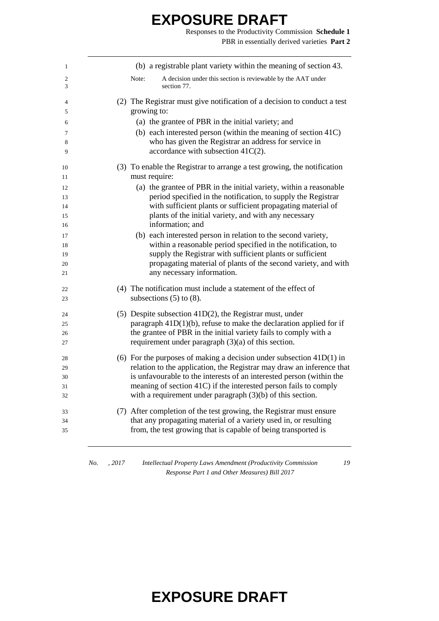Responses to the Productivity Commission **Schedule 1** PBR in essentially derived varieties **Part 2**

| 1        | (b) a registrable plant variety within the meaning of section 43.                                                                    |
|----------|--------------------------------------------------------------------------------------------------------------------------------------|
| 2<br>3   | A decision under this section is reviewable by the AAT under<br>Note:<br>section 77.                                                 |
| 4        | (2) The Registrar must give notification of a decision to conduct a test                                                             |
| 5        | growing to:                                                                                                                          |
| 6        | (a) the grantee of PBR in the initial variety; and                                                                                   |
| 7<br>8   | (b) each interested person (within the meaning of section 41C)<br>who has given the Registrar an address for service in              |
| 9        | accordance with subsection $41C(2)$ .                                                                                                |
| 10<br>11 | (3) To enable the Registrar to arrange a test growing, the notification<br>must require:                                             |
| 12       | (a) the grantee of PBR in the initial variety, within a reasonable                                                                   |
| 13       | period specified in the notification, to supply the Registrar                                                                        |
| 14       | with sufficient plants or sufficient propagating material of                                                                         |
| 15       | plants of the initial variety, and with any necessary                                                                                |
| 16       | information; and                                                                                                                     |
| 17       | (b) each interested person in relation to the second variety,                                                                        |
| 18       | within a reasonable period specified in the notification, to                                                                         |
| 19       | supply the Registrar with sufficient plants or sufficient                                                                            |
| 20<br>21 | propagating material of plants of the second variety, and with<br>any necessary information.                                         |
| 22<br>23 | (4) The notification must include a statement of the effect of<br>subsections $(5)$ to $(8)$ .                                       |
|          |                                                                                                                                      |
| 24       | (5) Despite subsection $41D(2)$ , the Registrar must, under<br>paragraph $41D(1)(b)$ , refuse to make the declaration applied for if |
| 25<br>26 | the grantee of PBR in the initial variety fails to comply with a                                                                     |
| 27       | requirement under paragraph $(3)(a)$ of this section.                                                                                |
| 28       | (6) For the purposes of making a decision under subsection $41D(1)$ in                                                               |
| 29       | relation to the application, the Registrar may draw an inference that                                                                |
| 30       | is unfavourable to the interests of an interested person (within the                                                                 |
| 31       | meaning of section 41C) if the interested person fails to comply                                                                     |
| 32       | with a requirement under paragraph $(3)(b)$ of this section.                                                                         |
| 33       | (7) After completion of the test growing, the Registrar must ensure                                                                  |
| 34<br>35 | that any propagating material of a variety used in, or resulting<br>from, the test growing that is capable of being transported is   |
|          |                                                                                                                                      |

*No. , 2017 Intellectual Property Laws Amendment (Productivity Commission Response Part 1 and Other Measures) Bill 2017*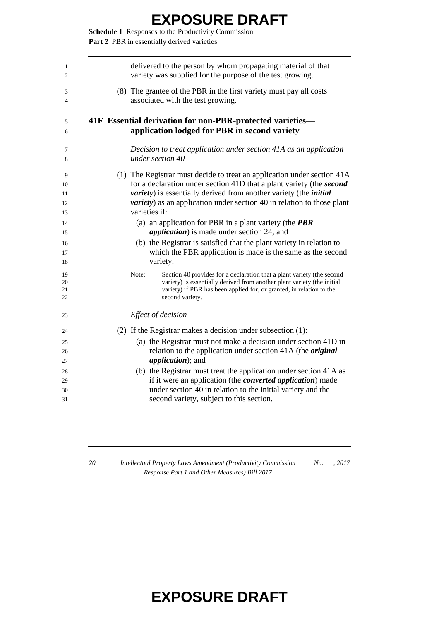**Schedule 1** Responses to the Productivity Commission Part 2 PBR in essentially derived varieties

| delivered to the person by whom propagating material of that<br>variety was supplied for the purpose of the test growing.                                                                                                                                                                                                              |
|----------------------------------------------------------------------------------------------------------------------------------------------------------------------------------------------------------------------------------------------------------------------------------------------------------------------------------------|
| (8) The grantee of the PBR in the first variety must pay all costs<br>associated with the test growing.                                                                                                                                                                                                                                |
| 41F Essential derivation for non-PBR-protected varieties-<br>application lodged for PBR in second variety                                                                                                                                                                                                                              |
| Decision to treat application under section 41A as an application<br>under section 40                                                                                                                                                                                                                                                  |
| (1) The Registrar must decide to treat an application under section 41A<br>for a declaration under section 41D that a plant variety (the second<br><i>variety</i> ) is essentially derived from another variety (the <i>initial</i><br><i>variety</i> ) as an application under section 40 in relation to those plant<br>varieties if: |
| (a) an application for PBR in a plant variety (the $PBR$<br><i>application</i> ) is made under section 24; and                                                                                                                                                                                                                         |
| (b) the Registrar is satisfied that the plant variety in relation to<br>which the PBR application is made is the same as the second<br>variety.                                                                                                                                                                                        |
| Note:<br>Section 40 provides for a declaration that a plant variety (the second<br>variety) is essentially derived from another plant variety (the initial<br>variety) if PBR has been applied for, or granted, in relation to the<br>second variety.                                                                                  |
| Effect of decision                                                                                                                                                                                                                                                                                                                     |
| (2) If the Registrar makes a decision under subsection $(1)$ :<br>(a) the Registrar must not make a decision under section 41D in<br>relation to the application under section 41A (the <i>original</i><br><i>application</i> ); and                                                                                                   |
| (b) the Registrar must treat the application under section 41A as<br>if it were an application (the <i>converted application</i> ) made<br>under section 40 in relation to the initial variety and the<br>second variety, subject to this section.                                                                                     |
|                                                                                                                                                                                                                                                                                                                                        |

 *Intellectual Property Laws Amendment (Productivity Commission Response Part 1 and Other Measures) Bill 2017 No. , 2017*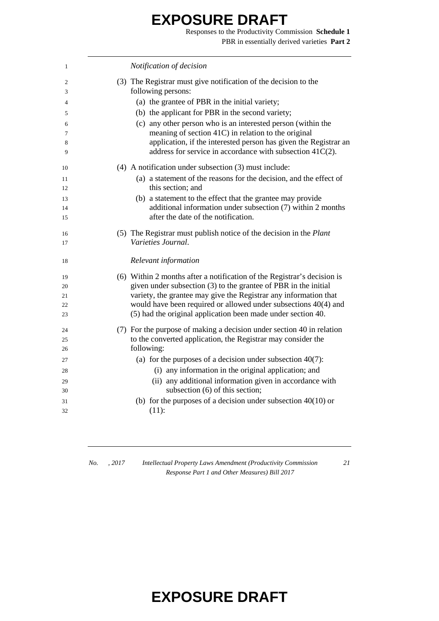Responses to the Productivity Commission **Schedule 1** PBR in essentially derived varieties **Part 2**

| 1  | Notification of decision                                                |
|----|-------------------------------------------------------------------------|
| 2  | (3) The Registrar must give notification of the decision to the         |
| 3  | following persons:                                                      |
| 4  | (a) the grantee of PBR in the initial variety;                          |
| 5  | (b) the applicant for PBR in the second variety;                        |
| 6  | (c) any other person who is an interested person (within the            |
| 7  | meaning of section 41C) in relation to the original                     |
| 8  | application, if the interested person has given the Registrar an        |
| 9  | address for service in accordance with subsection 41C(2).               |
| 10 | $(4)$ A notification under subsection $(3)$ must include:               |
| 11 | (a) a statement of the reasons for the decision, and the effect of      |
| 12 | this section; and                                                       |
| 13 | (b) a statement to the effect that the grantee may provide              |
| 14 | additional information under subsection (7) within 2 months             |
| 15 | after the date of the notification.                                     |
| 16 | (5) The Registrar must publish notice of the decision in the Plant      |
| 17 | Varieties Journal.                                                      |
|    |                                                                         |
| 18 | Relevant information                                                    |
| 19 | (6) Within 2 months after a notification of the Registrar's decision is |
| 20 | given under subsection (3) to the grantee of PBR in the initial         |
| 21 | variety, the grantee may give the Registrar any information that        |
| 22 | would have been required or allowed under subsections 40(4) and         |
| 23 | (5) had the original application been made under section 40.            |
| 24 | (7) For the purpose of making a decision under section 40 in relation   |
| 25 | to the converted application, the Registrar may consider the            |
| 26 | following:                                                              |
| 27 | (a) for the purposes of a decision under subsection $40(7)$ :           |
| 28 | (i) any information in the original application; and                    |
| 29 | (ii) any additional information given in accordance with                |
| 30 | subsection (6) of this section;                                         |
| 31 | (b) for the purposes of a decision under subsection $40(10)$ or         |
| 32 | $(11)$ :                                                                |
|    |                                                                         |

*No. , 2017 Intellectual Property Laws Amendment (Productivity Commission Response Part 1 and Other Measures) Bill 2017*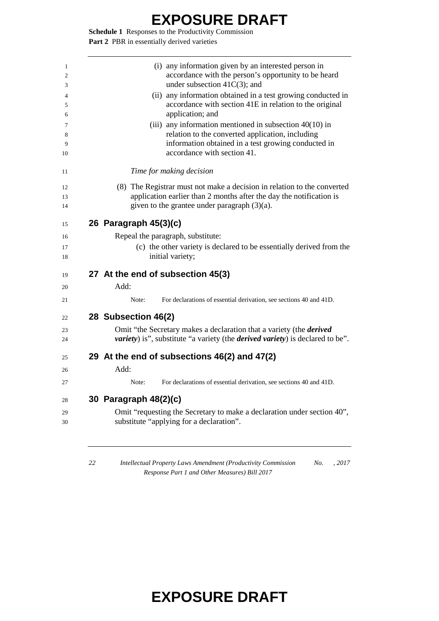**Schedule 1** Responses to the Productivity Commission Part 2 PBR in essentially derived varieties

| (i) any information given by an interested person in<br>accordance with the person's opportunity to be heard<br>under subsection $41C(3)$ ; and<br>(ii) any information obtained in a test growing conducted in<br>accordance with section 41E in relation to the original<br>application; and<br>(iii) any information mentioned in subsection $40(10)$ in<br>relation to the converted application, including<br>information obtained in a test growing conducted in<br>accordance with section 41.<br>Time for making decision<br>(8) The Registrar must not make a decision in relation to the converted<br>application earlier than 2 months after the day the notification is<br>given to the grantee under paragraph (3)(a).<br>26 Paragraph 45(3)(c)<br>Repeal the paragraph, substitute:<br>(c) the other variety is declared to be essentially derived from the<br>initial variety;<br>27 At the end of subsection 45(3) |
|------------------------------------------------------------------------------------------------------------------------------------------------------------------------------------------------------------------------------------------------------------------------------------------------------------------------------------------------------------------------------------------------------------------------------------------------------------------------------------------------------------------------------------------------------------------------------------------------------------------------------------------------------------------------------------------------------------------------------------------------------------------------------------------------------------------------------------------------------------------------------------------------------------------------------------|
|                                                                                                                                                                                                                                                                                                                                                                                                                                                                                                                                                                                                                                                                                                                                                                                                                                                                                                                                    |
|                                                                                                                                                                                                                                                                                                                                                                                                                                                                                                                                                                                                                                                                                                                                                                                                                                                                                                                                    |
|                                                                                                                                                                                                                                                                                                                                                                                                                                                                                                                                                                                                                                                                                                                                                                                                                                                                                                                                    |
|                                                                                                                                                                                                                                                                                                                                                                                                                                                                                                                                                                                                                                                                                                                                                                                                                                                                                                                                    |
|                                                                                                                                                                                                                                                                                                                                                                                                                                                                                                                                                                                                                                                                                                                                                                                                                                                                                                                                    |
|                                                                                                                                                                                                                                                                                                                                                                                                                                                                                                                                                                                                                                                                                                                                                                                                                                                                                                                                    |
|                                                                                                                                                                                                                                                                                                                                                                                                                                                                                                                                                                                                                                                                                                                                                                                                                                                                                                                                    |
|                                                                                                                                                                                                                                                                                                                                                                                                                                                                                                                                                                                                                                                                                                                                                                                                                                                                                                                                    |
|                                                                                                                                                                                                                                                                                                                                                                                                                                                                                                                                                                                                                                                                                                                                                                                                                                                                                                                                    |
|                                                                                                                                                                                                                                                                                                                                                                                                                                                                                                                                                                                                                                                                                                                                                                                                                                                                                                                                    |
| Add:                                                                                                                                                                                                                                                                                                                                                                                                                                                                                                                                                                                                                                                                                                                                                                                                                                                                                                                               |
| For declarations of essential derivation, see sections 40 and 41D.<br>Note:                                                                                                                                                                                                                                                                                                                                                                                                                                                                                                                                                                                                                                                                                                                                                                                                                                                        |
| 28 Subsection 46(2)                                                                                                                                                                                                                                                                                                                                                                                                                                                                                                                                                                                                                                                                                                                                                                                                                                                                                                                |
| Omit "the Secretary makes a declaration that a variety (the <i>derived</i>                                                                                                                                                                                                                                                                                                                                                                                                                                                                                                                                                                                                                                                                                                                                                                                                                                                         |
| <i>variety</i> ) is", substitute "a variety (the <i>derived variety</i> ) is declared to be".                                                                                                                                                                                                                                                                                                                                                                                                                                                                                                                                                                                                                                                                                                                                                                                                                                      |
| 29 At the end of subsections 46(2) and 47(2)                                                                                                                                                                                                                                                                                                                                                                                                                                                                                                                                                                                                                                                                                                                                                                                                                                                                                       |
| Add:                                                                                                                                                                                                                                                                                                                                                                                                                                                                                                                                                                                                                                                                                                                                                                                                                                                                                                                               |
| For declarations of essential derivation, see sections 40 and 41D.<br>Note:                                                                                                                                                                                                                                                                                                                                                                                                                                                                                                                                                                                                                                                                                                                                                                                                                                                        |
| 30 Paragraph 48(2)(c)                                                                                                                                                                                                                                                                                                                                                                                                                                                                                                                                                                                                                                                                                                                                                                                                                                                                                                              |
| Omit "requesting the Secretary to make a declaration under section 40",<br>substitute "applying for a declaration".                                                                                                                                                                                                                                                                                                                                                                                                                                                                                                                                                                                                                                                                                                                                                                                                                |
|                                                                                                                                                                                                                                                                                                                                                                                                                                                                                                                                                                                                                                                                                                                                                                                                                                                                                                                                    |

*Response Part 1 and Other Measures) Bill 2017*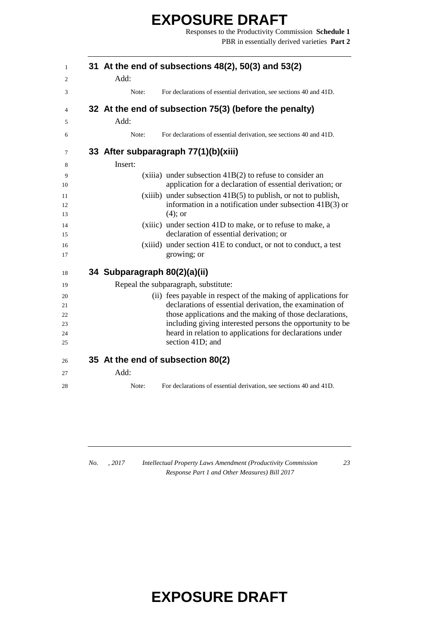Responses to the Productivity Commission **Schedule 1** PBR in essentially derived varieties **Part 2**

|                              | 31 At the end of subsections 48(2), 50(3) and 53(2)                                                                                                                                    |
|------------------------------|----------------------------------------------------------------------------------------------------------------------------------------------------------------------------------------|
| Add:                         |                                                                                                                                                                                        |
| Note:                        | For declarations of essential derivation, see sections 40 and 41D.                                                                                                                     |
|                              | 32 At the end of subsection 75(3) (before the penalty)                                                                                                                                 |
| Add:                         |                                                                                                                                                                                        |
| Note:                        | For declarations of essential derivation, see sections 40 and 41D.                                                                                                                     |
|                              | 33 After subparagraph 77(1)(b)(xiii)                                                                                                                                                   |
| Insert:                      |                                                                                                                                                                                        |
|                              | $(xiiii)$ under subsection $41B(2)$ to refuse to consider an<br>application for a declaration of essential derivation; or                                                              |
|                              | $(xiiib)$ under subsection $41B(5)$ to publish, or not to publish,<br>information in a notification under subsection $41B(3)$ or<br>$(4)$ ; or                                         |
|                              | (xiiic) under section 41D to make, or to refuse to make, a<br>declaration of essential derivation; or                                                                                  |
|                              | (xiiid) under section 41E to conduct, or not to conduct, a test<br>growing; or                                                                                                         |
| 34 Subparagraph 80(2)(a)(ii) |                                                                                                                                                                                        |
|                              | Repeal the subparagraph, substitute:                                                                                                                                                   |
|                              | (ii) fees payable in respect of the making of applications for<br>declarations of essential derivation, the examination of<br>those applications and the making of those declarations, |
|                              | including giving interested persons the opportunity to be                                                                                                                              |
|                              | heard in relation to applications for declarations under<br>section 41D; and                                                                                                           |
|                              | 35 At the end of subsection 80(2)                                                                                                                                                      |
|                              |                                                                                                                                                                                        |
| Add:                         |                                                                                                                                                                                        |

*No. , 2017 Intellectual Property Laws Amendment (Productivity Commission Response Part 1 and Other Measures) Bill 2017*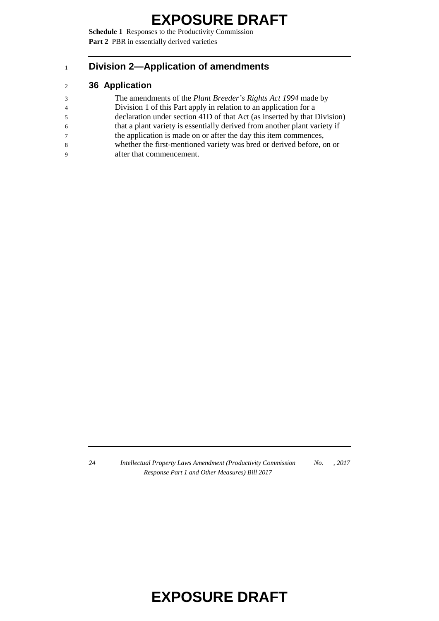**Schedule 1** Responses to the Productivity Commission Part 2 PBR in essentially derived varieties

#### **Division 2—Application of amendments**

#### **36 Application**

- The amendments of the *Plant Breeder's Rights Act 1994* made by
- Division 1 of this Part apply in relation to an application for a
- declaration under section 41D of that Act (as inserted by that Division)
- that a plant variety is essentially derived from another plant variety if
- the application is made on or after the day this item commences,
- whether the first-mentioned variety was bred or derived before, on or
- after that commencement.

 *Intellectual Property Laws Amendment (Productivity Commission Response Part 1 and Other Measures) Bill 2017 No. , 2017*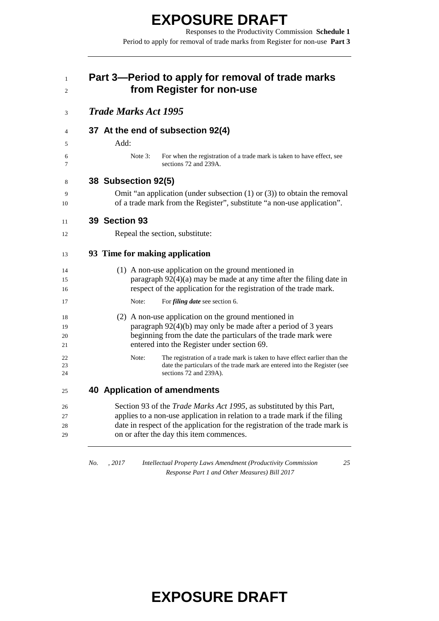Responses to the Productivity Commission **Schedule 1** Period to apply for removal of trade marks from Register for non-use **Part 3**

| <b>Trade Marks Act 1995</b>                                                                                                                                                                                                                                                    |
|--------------------------------------------------------------------------------------------------------------------------------------------------------------------------------------------------------------------------------------------------------------------------------|
| 37 At the end of subsection 92(4)                                                                                                                                                                                                                                              |
| Add:                                                                                                                                                                                                                                                                           |
| Note $3$ :<br>For when the registration of a trade mark is taken to have effect, see<br>sections 72 and 239A.                                                                                                                                                                  |
| 38 Subsection 92(5)                                                                                                                                                                                                                                                            |
| Omit "an application (under subsection $(1)$ or $(3)$ ) to obtain the removal<br>of a trade mark from the Register", substitute "a non-use application".                                                                                                                       |
| 39 Section 93                                                                                                                                                                                                                                                                  |
| Repeal the section, substitute:                                                                                                                                                                                                                                                |
| 93 Time for making application                                                                                                                                                                                                                                                 |
| (1) A non-use application on the ground mentioned in<br>paragraph $92(4)(a)$ may be made at any time after the filing date in<br>respect of the application for the registration of the trade mark.                                                                            |
| Note:<br>For <i>filing date</i> see section 6.                                                                                                                                                                                                                                 |
| (2) A non-use application on the ground mentioned in<br>paragraph $92(4)(b)$ may only be made after a period of 3 years<br>beginning from the date the particulars of the trade mark were<br>entered into the Register under section 69.                                       |
| Note:<br>The registration of a trade mark is taken to have effect earlier than the<br>date the particulars of the trade mark are entered into the Register (see<br>sections 72 and 239A).                                                                                      |
| <b>40 Application of amendments</b>                                                                                                                                                                                                                                            |
| Section 93 of the Trade Marks Act 1995, as substituted by this Part,<br>applies to a non-use application in relation to a trade mark if the filing<br>date in respect of the application for the registration of the trade mark is<br>on or after the day this item commences. |

*No. , 2017 Intellectual Property Laws Amendment (Productivity Commission Response Part 1 and Other Measures) Bill 2017*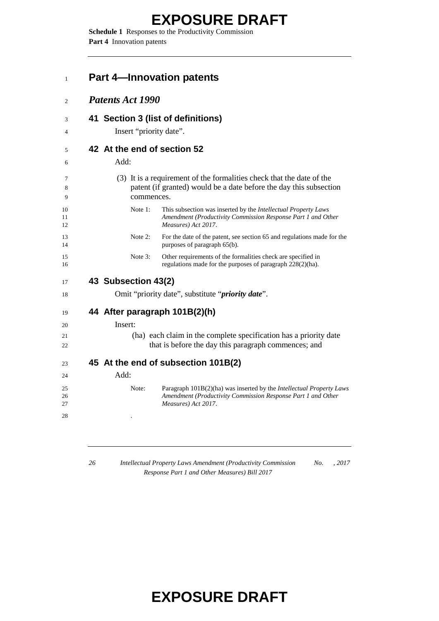**Schedule 1** Responses to the Productivity Commission **Part 4** Innovation patents

| <b>Patents Act 1990</b>     |                                                                                                                                                                    |
|-----------------------------|--------------------------------------------------------------------------------------------------------------------------------------------------------------------|
|                             |                                                                                                                                                                    |
|                             | 41 Section 3 (list of definitions)                                                                                                                                 |
| Insert "priority date".     |                                                                                                                                                                    |
| 42 At the end of section 52 |                                                                                                                                                                    |
| Add:                        |                                                                                                                                                                    |
| commences.                  | (3) It is a requirement of the formalities check that the date of the<br>patent (if granted) would be a date before the day this subsection                        |
| Note 1:                     | This subsection was inserted by the <i>Intellectual Property Laws</i><br>Amendment (Productivity Commission Response Part 1 and Other<br>Measures) Act 2017.       |
| Note 2:                     | For the date of the patent, see section 65 and regulations made for the<br>purposes of paragraph 65(b).                                                            |
| Note 3:                     | Other requirements of the formalities check are specified in<br>regulations made for the purposes of paragraph 228(2)(ha).                                         |
| 43 Subsection 43(2)         |                                                                                                                                                                    |
|                             | Omit "priority date", substitute "priority date".                                                                                                                  |
|                             | 44 After paragraph 101B(2)(h)                                                                                                                                      |
| Insert:                     |                                                                                                                                                                    |
|                             | (ha) each claim in the complete specification has a priority date<br>that is before the day this paragraph commences; and                                          |
|                             | 45 At the end of subsection 101B(2)                                                                                                                                |
| Add:                        |                                                                                                                                                                    |
| Note:                       | Paragraph 101B(2)(ha) was inserted by the <i>Intellectual Property Laws</i><br>Amendment (Productivity Commission Response Part 1 and Other<br>Measures) Act 2017. |
|                             |                                                                                                                                                                    |

 *Intellectual Property Laws Amendment (Productivity Commission Response Part 1 and Other Measures) Bill 2017 No. , 2017*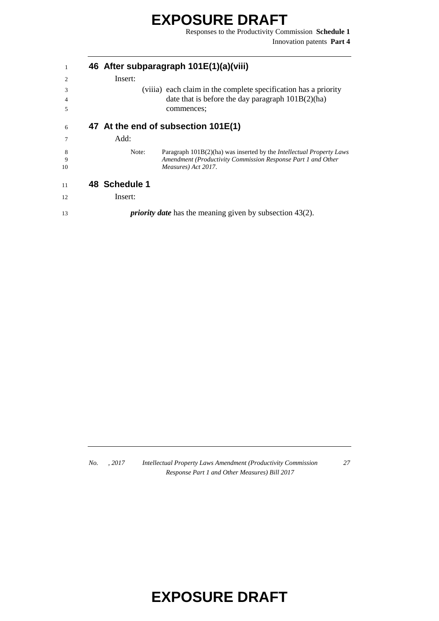Responses to the Productivity Commission **Schedule 1** Innovation patents **Part 4**

| 1  |               | 46 After subparagraph 101E(1)(a)(viii)                                      |
|----|---------------|-----------------------------------------------------------------------------|
| 2  | Insert:       |                                                                             |
| 3  |               | (viiia) each claim in the complete specification has a priority             |
| 4  |               | date that is before the day paragraph $101B(2)(ha)$                         |
| 5  |               | commences;                                                                  |
| 6  |               | 47 At the end of subsection 101E(1)                                         |
| 7  | Add:          |                                                                             |
| 8  | Note:         | Paragraph 101B(2)(ha) was inserted by the <i>Intellectual Property Laws</i> |
| 9  |               | Amendment (Productivity Commission Response Part 1 and Other                |
| 10 |               | Measures) Act 2017.                                                         |
| 11 | 48 Schedule 1 |                                                                             |
| 12 | Insert:       |                                                                             |
| 13 |               | <i>priority date</i> has the meaning given by subsection $43(2)$ .          |

*No. , 2017 Intellectual Property Laws Amendment (Productivity Commission Response Part 1 and Other Measures) Bill 2017*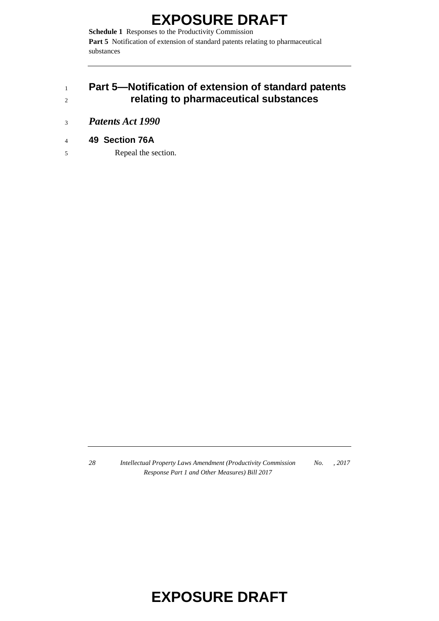**Schedule 1** Responses to the Productivity Commission Part 5 Notification of extension of standard patents relating to pharmaceutical substances

#### <sup>1</sup> **Part 5—Notification of extension of standard patents**  <sup>2</sup> **relating to pharmaceutical substances**

- <sup>3</sup> *Patents Act 1990*
- <sup>4</sup> **49 Section 76A**
- 5 Repeal the section.

*28 Intellectual Property Laws Amendment (Productivity Commission Response Part 1 and Other Measures) Bill 2017 No. , 2017*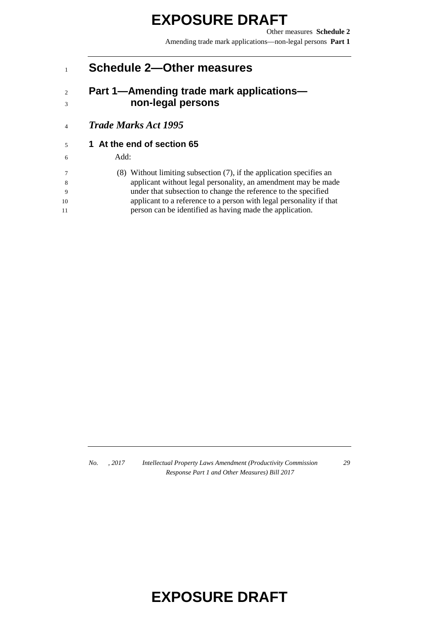Other measures **Schedule 2** Amending trade mark applications—non-legal persons **Part 1**

#### **Schedule 2—Other measures**

#### **Part 1—Amending trade mark applications— non-legal persons**

*Trade Marks Act 1995*

#### **1 At the end of section 65**

#### Add:

 (8) Without limiting subsection (7), if the application specifies an applicant without legal personality, an amendment may be made under that subsection to change the reference to the specified applicant to a reference to a person with legal personality if that person can be identified as having made the application.

*No. , 2017 Intellectual Property Laws Amendment (Productivity Commission Response Part 1 and Other Measures) Bill 2017*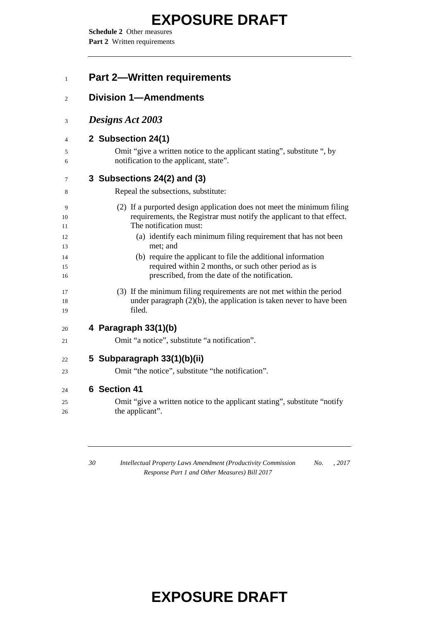**Schedule 2** Other measures Part 2 Written requirements

| <b>Part 2-Written requirements</b>                                                                                                                                        |
|---------------------------------------------------------------------------------------------------------------------------------------------------------------------------|
| <b>Division 1-Amendments</b>                                                                                                                                              |
| Designs Act 2003                                                                                                                                                          |
| 2 Subsection 24(1)                                                                                                                                                        |
| Omit "give a written notice to the applicant stating", substitute ", by<br>notification to the applicant, state".                                                         |
| 3 Subsections 24(2) and (3)                                                                                                                                               |
| Repeal the subsections, substitute:                                                                                                                                       |
| (2) If a purported design application does not meet the minimum filing<br>requirements, the Registrar must notify the applicant to that effect.<br>The notification must: |
| (a) identify each minimum filing requirement that has not been<br>met; and                                                                                                |
| (b) require the applicant to file the additional information<br>required within 2 months, or such other period as is<br>prescribed, from the date of the notification.    |
| (3) If the minimum filing requirements are not met within the period<br>under paragraph $(2)(b)$ , the application is taken never to have been<br>filed.                  |
| 4 Paragraph 33(1)(b)                                                                                                                                                      |
| Omit "a notice", substitute "a notification".                                                                                                                             |
| 5 Subparagraph 33(1)(b)(ii)                                                                                                                                               |
| Omit "the notice", substitute "the notification".                                                                                                                         |
| 6 Section 41                                                                                                                                                              |
| Omit "give a written notice to the applicant stating", substitute "notify"<br>the applicant".                                                                             |
|                                                                                                                                                                           |

 *Intellectual Property Laws Amendment (Productivity Commission Response Part 1 and Other Measures) Bill 2017 No. , 2017*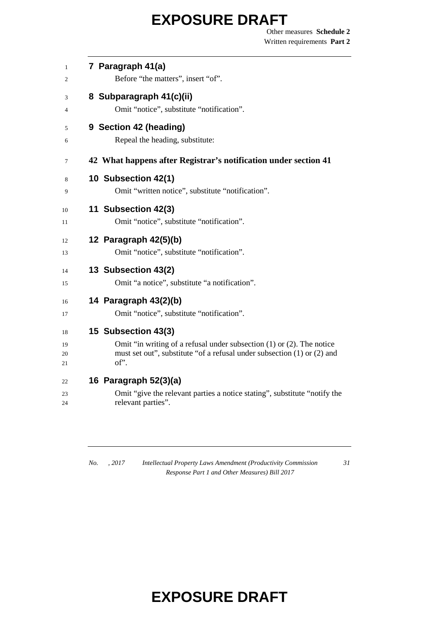Other measures **Schedule 2** Written requirements **Part 2**

| $\mathbf{1}$ | 7 Paragraph 41(a)                                                               |
|--------------|---------------------------------------------------------------------------------|
| 2            | Before "the matters", insert "of".                                              |
| 3            | 8 Subparagraph 41(c)(ii)                                                        |
| 4            | Omit "notice", substitute "notification".                                       |
| 5            | 9 Section 42 (heading)                                                          |
| 6            | Repeal the heading, substitute:                                                 |
| 7            | 42 What happens after Registrar's notification under section 41                 |
| 8            | 10 Subsection 42(1)                                                             |
| 9            | Omit "written notice", substitute "notification".                               |
| 10           | 11 Subsection 42(3)                                                             |
| 11           | Omit "notice", substitute "notification".                                       |
| 12           | 12 Paragraph 42(5)(b)                                                           |
| 13           | Omit "notice", substitute "notification".                                       |
| 14           | 13 Subsection 43(2)                                                             |
| 15           | Omit "a notice", substitute "a notification".                                   |
| 16           | 14 Paragraph 43(2)(b)                                                           |
| 17           | Omit "notice", substitute "notification".                                       |
| 18           | 15 Subsection 43(3)                                                             |
| 19           | Omit "in writing of a refusal under subsection $(1)$ or $(2)$ . The notice      |
| 20<br>21     | must set out", substitute "of a refusal under subsection (1) or (2) and<br>of". |
| 22           | 16 Paragraph 52(3)(a)                                                           |
| 23           | Omit "give the relevant parties a notice stating", substitute "notify the       |
| 24           | relevant parties".                                                              |
|              |                                                                                 |

*No. , 2017 Intellectual Property Laws Amendment (Productivity Commission Response Part 1 and Other Measures) Bill 2017*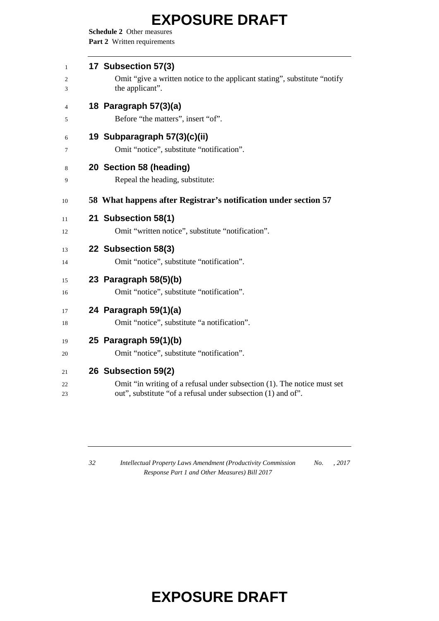**Schedule 2** Other measures Part 2 Written requirements

| $\mathbf{1}$        | 17 Subsection 57(3)                                                                                                                                            |
|---------------------|----------------------------------------------------------------------------------------------------------------------------------------------------------------|
| 2<br>3              | Omit "give a written notice to the applicant stating", substitute "notify"<br>the applicant".                                                                  |
| $\overline{4}$<br>5 | 18 Paragraph 57(3)(a)<br>Before "the matters", insert "of".                                                                                                    |
| 6<br>7              | 19 Subparagraph 57(3)(c)(ii)<br>Omit "notice", substitute "notification".                                                                                      |
| 8<br>9              | 20 Section 58 (heading)<br>Repeal the heading, substitute:                                                                                                     |
| 10                  | 58 What happens after Registrar's notification under section 57                                                                                                |
| 11<br>12            | 21 Subsection 58(1)<br>Omit "written notice", substitute "notification".                                                                                       |
| 13<br>14            | 22 Subsection 58(3)<br>Omit "notice", substitute "notification".                                                                                               |
| 15<br>16            | 23 Paragraph 58(5)(b)<br>Omit "notice", substitute "notification".                                                                                             |
| 17<br>18            | 24 Paragraph 59(1)(a)<br>Omit "notice", substitute "a notification".                                                                                           |
| 19<br>20            | 25 Paragraph 59(1)(b)<br>Omit "notice", substitute "notification".                                                                                             |
| 21<br>22<br>23      | 26 Subsection 59(2)<br>Omit "in writing of a refusal under subsection (1). The notice must set<br>out", substitute "of a refusal under subsection (1) and of". |

 *Intellectual Property Laws Amendment (Productivity Commission Response Part 1 and Other Measures) Bill 2017 No. , 2017*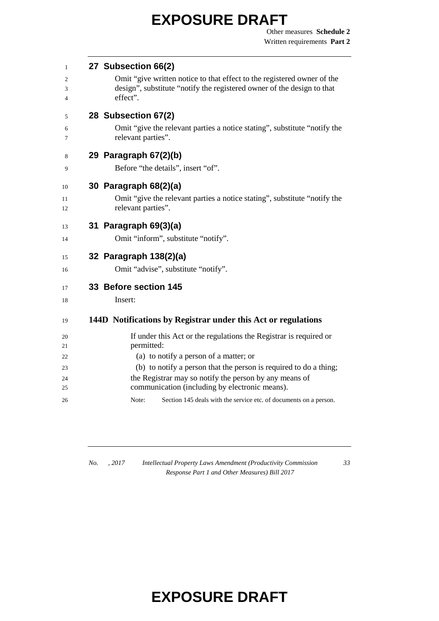| 1              | 27 Subsection 66(2)                                                                                      |
|----------------|----------------------------------------------------------------------------------------------------------|
| 2              | Omit "give written notice to that effect to the registered owner of the                                  |
| 3              | design", substitute "notify the registered owner of the design to that                                   |
| $\overline{4}$ | effect".                                                                                                 |
| 5              | 28 Subsection 67(2)                                                                                      |
| 6<br>7         | Omit "give the relevant parties a notice stating", substitute "notify the<br>relevant parties".          |
| 8              | 29 Paragraph 67(2)(b)                                                                                    |
| 9              | Before "the details", insert "of".                                                                       |
| 10             | 30 Paragraph 68(2)(a)                                                                                    |
| 11             | Omit "give the relevant parties a notice stating", substitute "notify the                                |
| 12             | relevant parties".                                                                                       |
| 13             | 31 Paragraph 69(3)(a)                                                                                    |
| 14             | Omit "inform", substitute "notify".                                                                      |
| 15             | 32 Paragraph 138(2)(a)                                                                                   |
| 16             | Omit "advise", substitute "notify".                                                                      |
| 17             | 33 Before section 145                                                                                    |
| 18             | Insert:                                                                                                  |
| 19             | 144D Notifications by Registrar under this Act or regulations                                            |
| 20             | If under this Act or the regulations the Registrar is required or                                        |
| 21             | permitted:                                                                                               |
| 22             | (a) to notify a person of a matter; or                                                                   |
| 23             | (b) to notify a person that the person is required to do a thing;                                        |
| 24<br>25       | the Registrar may so notify the person by any means of<br>communication (including by electronic means). |
| 26             | Section 145 deals with the service etc. of documents on a person.<br>Note:                               |

*No. , 2017 Intellectual Property Laws Amendment (Productivity Commission Response Part 1 and Other Measures) Bill 2017*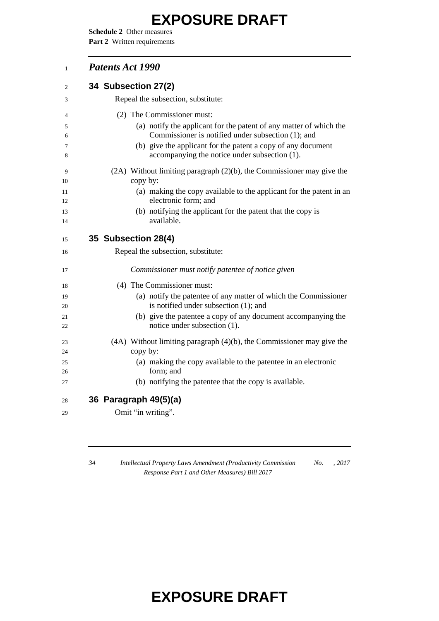**Schedule 2** Other measures Part 2 Written requirements

#### *Patents Act 1990*

| $\overline{2}$ | 34 Subsection 27(2)                                                                                           |
|----------------|---------------------------------------------------------------------------------------------------------------|
| 3              | Repeal the subsection, substitute:                                                                            |
| 4              | (2) The Commissioner must:                                                                                    |
| 5              | (a) notify the applicant for the patent of any matter of which the                                            |
| 6              | Commissioner is notified under subsection (1); and                                                            |
| 7<br>8         | (b) give the applicant for the patent a copy of any document<br>accompanying the notice under subsection (1). |
| 9<br>10        | $(2A)$ Without limiting paragraph $(2)(b)$ , the Commissioner may give the<br>copy by:                        |
| 11<br>12       | (a) making the copy available to the applicant for the patent in an<br>electronic form; and                   |
| 13             | (b) notifying the applicant for the patent that the copy is                                                   |
| 14             | available.                                                                                                    |
| 15             | 35 Subsection 28(4)                                                                                           |
| 16             | Repeal the subsection, substitute:                                                                            |
| 17             | Commissioner must notify patentee of notice given                                                             |
| 18             | (4) The Commissioner must:                                                                                    |
| 19<br>20       | (a) notify the patentee of any matter of which the Commissioner<br>is notified under subsection (1); and      |
| 21<br>22       | (b) give the patentee a copy of any document accompanying the<br>notice under subsection (1).                 |
| 23             | $(4A)$ Without limiting paragraph $(4)(b)$ , the Commissioner may give the                                    |
| 24             | copy by:                                                                                                      |
| 25             | (a) making the copy available to the patentee in an electronic                                                |
| 26             | form; and                                                                                                     |
| 27             | (b) notifying the patentee that the copy is available.                                                        |
| 28             | 36 Paragraph 49(5)(a)                                                                                         |
| 29             | Omit "in writing".                                                                                            |
|                |                                                                                                               |

 *Intellectual Property Laws Amendment (Productivity Commission Response Part 1 and Other Measures) Bill 2017 No. , 2017*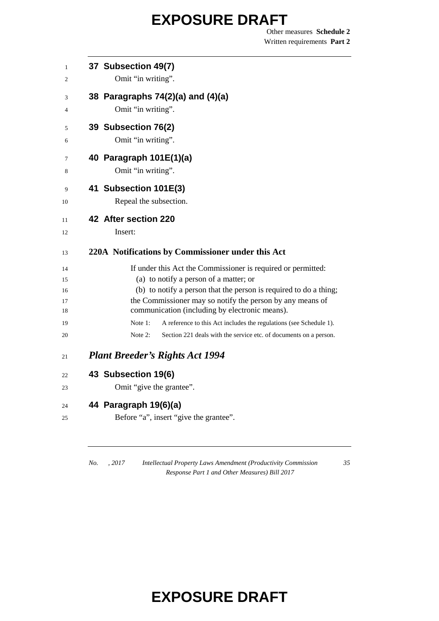Other measures **Schedule 2** Written requirements **Part 2**

| 37 Subsection 49(7)<br>Omit "in writing".                                                                                                                                                                                                                                                  |
|--------------------------------------------------------------------------------------------------------------------------------------------------------------------------------------------------------------------------------------------------------------------------------------------|
| 38 Paragraphs 74(2)(a) and (4)(a)<br>Omit "in writing".                                                                                                                                                                                                                                    |
| 39 Subsection 76(2)<br>Omit "in writing".                                                                                                                                                                                                                                                  |
| 40 Paragraph 101E(1)(a)<br>Omit "in writing".                                                                                                                                                                                                                                              |
| 41 Subsection 101E(3)<br>Repeal the subsection.                                                                                                                                                                                                                                            |
| 42 After section 220<br>Insert:                                                                                                                                                                                                                                                            |
| 220A Notifications by Commissioner under this Act                                                                                                                                                                                                                                          |
| If under this Act the Commissioner is required or permitted:<br>(a) to notify a person of a matter; or<br>(b) to notify a person that the person is required to do a thing;<br>the Commissioner may so notify the person by any means of<br>communication (including by electronic means). |
| A reference to this Act includes the regulations (see Schedule 1).<br>Note 1:<br>Note 2:<br>Section 221 deals with the service etc. of documents on a person.                                                                                                                              |
| <b>Plant Breeder's Rights Act 1994</b>                                                                                                                                                                                                                                                     |
| 43 Subsection 19(6)                                                                                                                                                                                                                                                                        |
| Omit "give the grantee".                                                                                                                                                                                                                                                                   |
| 44 Paragraph 19(6)(a)                                                                                                                                                                                                                                                                      |
| Before "a", insert "give the grantee".                                                                                                                                                                                                                                                     |

*No. , 2017 Intellectual Property Laws Amendment (Productivity Commission Response Part 1 and Other Measures) Bill 2017*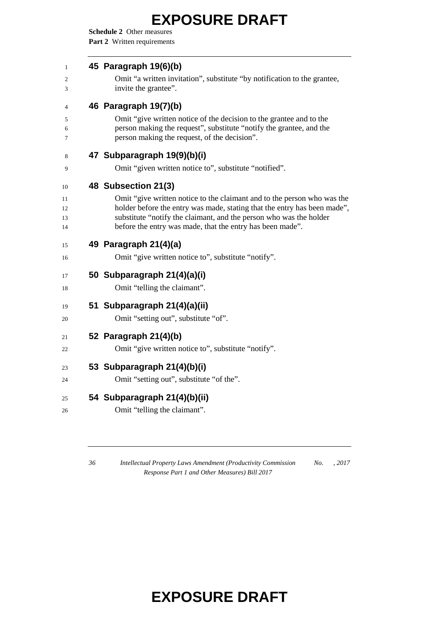**Schedule 2** Other measures Part 2 Written requirements

| 45 Paragraph 19(6)(b)                                                                                                                                                                      |
|--------------------------------------------------------------------------------------------------------------------------------------------------------------------------------------------|
| Omit "a written invitation", substitute "by notification to the grantee,<br>invite the grantee".                                                                                           |
| 46 Paragraph 19(7)(b)                                                                                                                                                                      |
| Omit "give written notice of the decision to the grantee and to the<br>person making the request", substitute "notify the grantee, and the<br>person making the request, of the decision". |
| 47 Subparagraph 19(9)(b)(i)                                                                                                                                                                |
| Omit "given written notice to", substitute "notified".                                                                                                                                     |
| 48 Subsection 21(3)                                                                                                                                                                        |
| Omit "give written notice to the claimant and to the person who was the                                                                                                                    |
| holder before the entry was made, stating that the entry has been made",<br>substitute "notify the claimant, and the person who was the holder                                             |
| before the entry was made, that the entry has been made".                                                                                                                                  |
| 49 Paragraph 21(4)(a)                                                                                                                                                                      |
| Omit "give written notice to", substitute "notify".                                                                                                                                        |
| 50 Subparagraph 21(4)(a)(i)                                                                                                                                                                |
| Omit "telling the claimant".                                                                                                                                                               |
| 51 Subparagraph 21(4)(a)(ii)                                                                                                                                                               |
| Omit "setting out", substitute "of".                                                                                                                                                       |
| 52 Paragraph 21(4)(b)                                                                                                                                                                      |
| Omit "give written notice to", substitute "notify".                                                                                                                                        |
| 53 Subparagraph 21(4)(b)(i)                                                                                                                                                                |
|                                                                                                                                                                                            |
| Omit "setting out", substitute "of the".                                                                                                                                                   |
| 54 Subparagraph 21(4)(b)(ii)                                                                                                                                                               |

 *Intellectual Property Laws Amendment (Productivity Commission Response Part 1 and Other Measures) Bill 2017 No. , 2017*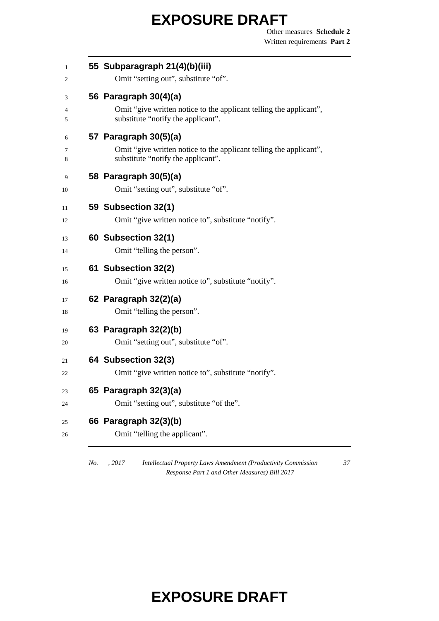Other measures **Schedule 2** Written requirements **Part 2**

| 55 Subparagraph 21(4)(b)(iii)<br>Omit "setting out", substitute "of".                                                             |
|-----------------------------------------------------------------------------------------------------------------------------------|
| 56 Paragraph 30(4)(a)<br>Omit "give written notice to the applicant telling the applicant",<br>substitute "notify the applicant". |
| 57 Paragraph 30(5)(a)<br>Omit "give written notice to the applicant telling the applicant",<br>substitute "notify the applicant". |
| 58 Paragraph 30(5)(a)<br>Omit "setting out", substitute "of".                                                                     |
| 59 Subsection 32(1)<br>Omit "give written notice to", substitute "notify".                                                        |
| 60 Subsection 32(1)<br>Omit "telling the person".                                                                                 |
| 61 Subsection 32(2)<br>Omit "give written notice to", substitute "notify".                                                        |
| 62 Paragraph 32(2)(a)<br>Omit "telling the person".                                                                               |
| 63 Paragraph 32(2)(b)<br>Omit "setting out", substitute "of".                                                                     |
| 64 Subsection 32(3)<br>Omit "give written notice to", substitute "notify".                                                        |
| 65 Paragraph 32(3)(a)<br>Omit "setting out", substitute "of the".                                                                 |
| 66 Paragraph 32(3)(b)                                                                                                             |

*No. , 2017 Intellectual Property Laws Amendment (Productivity Commission Response Part 1 and Other Measures) Bill 2017*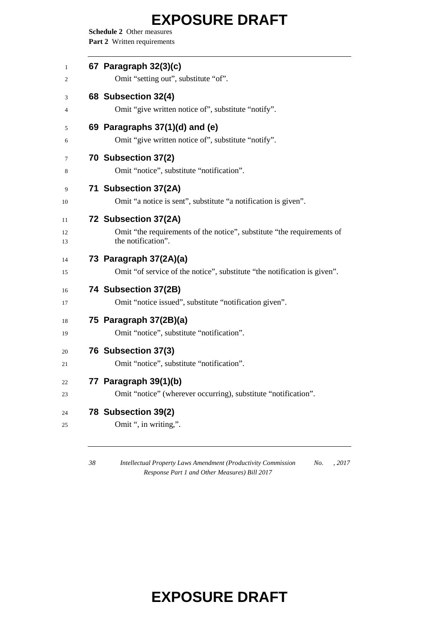**Schedule 2** Other measures Part 2 Written requirements

| 67 Paragraph 32(3)(c)<br>Omit "setting out", substitute "of".                                                        |
|----------------------------------------------------------------------------------------------------------------------|
| 68 Subsection 32(4)<br>Omit "give written notice of", substitute "notify".                                           |
| 69 Paragraphs 37(1)(d) and (e)<br>Omit "give written notice of", substitute "notify".                                |
| 70 Subsection 37(2)<br>Omit "notice", substitute "notification".                                                     |
| 71 Subsection 37(2A)<br>Omit "a notice is sent", substitute "a notification is given".                               |
| 72 Subsection 37(2A)<br>Omit "the requirements of the notice", substitute "the requirements of<br>the notification". |
| 73 Paragraph 37(2A)(a)<br>Omit "of service of the notice", substitute "the notification is given".                   |
| 74 Subsection 37(2B)<br>Omit "notice issued", substitute "notification given".                                       |
| 75 Paragraph 37(2B)(a)<br>Omit "notice", substitute "notification".                                                  |
| 76 Subsection 37(3)<br>Omit "notice", substitute "notification".                                                     |
| 77 Paragraph 39(1)(b)<br>Omit "notice" (wherever occurring), substitute "notification".                              |
| 78 Subsection 39(2)<br>Omit ", in writing,".                                                                         |

 *Intellectual Property Laws Amendment (Productivity Commission No. , 2017 Response Part 1 and Other Measures) Bill 2017*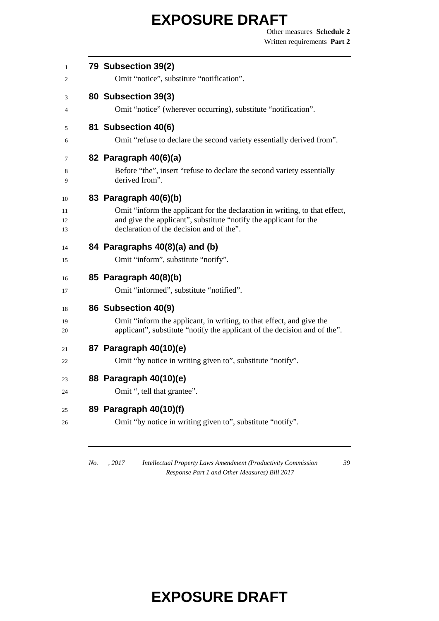Other measures **Schedule 2** Written requirements **Part 2**

| 79 Subsection 39(2)<br>Omit "notice", substitute "notification".                                                                                  |
|---------------------------------------------------------------------------------------------------------------------------------------------------|
| 80 Subsection 39(3)                                                                                                                               |
| Omit "notice" (wherever occurring), substitute "notification".                                                                                    |
| 81 Subsection 40(6)                                                                                                                               |
| Omit "refuse to declare the second variety essentially derived from".                                                                             |
| 82 Paragraph 40(6)(a)                                                                                                                             |
| Before "the", insert "refuse to declare the second variety essentially<br>derived from".                                                          |
| 83 Paragraph 40(6)(b)                                                                                                                             |
| Omit "inform the applicant for the declaration in writing, to that effect,                                                                        |
| and give the applicant", substitute "notify the applicant for the<br>declaration of the decision and of the".                                     |
| 84 Paragraphs 40(8)(a) and (b)                                                                                                                    |
| Omit "inform", substitute "notify".                                                                                                               |
| 85 Paragraph 40(8)(b)                                                                                                                             |
| Omit "informed", substitute "notified".                                                                                                           |
| 86 Subsection 40(9)                                                                                                                               |
| Omit "inform the applicant, in writing, to that effect, and give the<br>applicant", substitute "notify the applicant of the decision and of the". |
| 87 Paragraph 40(10)(e)                                                                                                                            |
| Omit "by notice in writing given to", substitute "notify".                                                                                        |
| 88 Paragraph 40(10)(e)                                                                                                                            |
| Omit ", tell that grantee".                                                                                                                       |
|                                                                                                                                                   |
| 89 Paragraph 40(10)(f)                                                                                                                            |

*Response Part 1 and Other Measures) Bill 2017*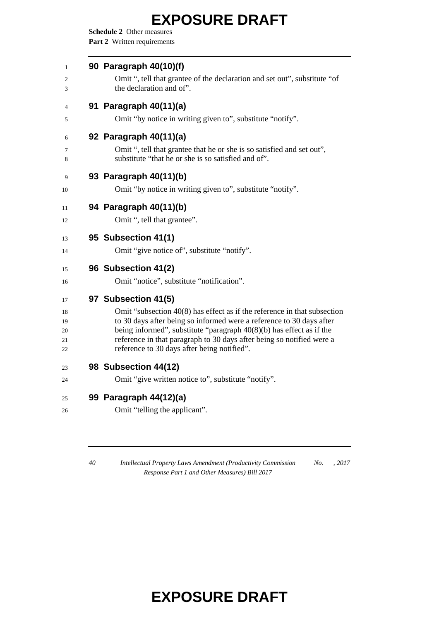**Schedule 2** Other measures Part 2 Written requirements

| 90 Paragraph 40(10)(f)                                                                                                                         |
|------------------------------------------------------------------------------------------------------------------------------------------------|
| Omit ", tell that grantee of the declaration and set out", substitute "of<br>the declaration and of".                                          |
| 91 Paragraph 40(11)(a)                                                                                                                         |
| Omit "by notice in writing given to", substitute "notify".                                                                                     |
| 92 Paragraph 40(11)(a)                                                                                                                         |
| Omit ", tell that grantee that he or she is so satisfied and set out",<br>substitute "that he or she is so satisfied and of".                  |
| 93 Paragraph 40(11)(b)                                                                                                                         |
| Omit "by notice in writing given to", substitute "notify".                                                                                     |
| 94 Paragraph 40(11)(b)                                                                                                                         |
| Omit ", tell that grantee".                                                                                                                    |
| 95 Subsection 41(1)                                                                                                                            |
| Omit "give notice of", substitute "notify".                                                                                                    |
| 96 Subsection 41(2)                                                                                                                            |
| Omit "notice", substitute "notification".                                                                                                      |
| 97 Subsection 41(5)                                                                                                                            |
| Omit "subsection $40(8)$ has effect as if the reference in that subsection                                                                     |
| to 30 days after being so informed were a reference to 30 days after<br>being informed", substitute "paragraph $40(8)(b)$ has effect as if the |
| reference in that paragraph to 30 days after being so notified were a                                                                          |
| reference to 30 days after being notified".                                                                                                    |
| 98 Subsection 44(12)                                                                                                                           |
| Omit "give written notice to", substitute "notify".                                                                                            |
| 99 Paragraph 44(12)(a)                                                                                                                         |
| Omit "telling the applicant".                                                                                                                  |

 *Intellectual Property Laws Amendment (Productivity Commission Response Part 1 and Other Measures) Bill 2017 No. , 2017*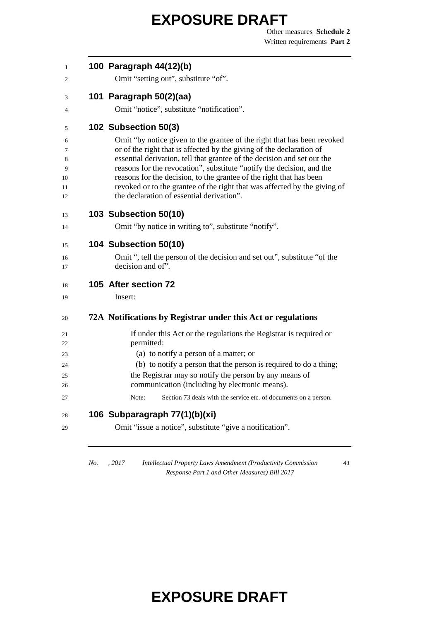Other measures **Schedule 2** Written requirements **Part 2**

| 1                   | 100 Paragraph 44(12)(b)                                                                                                                                                                                                                                                |
|---------------------|------------------------------------------------------------------------------------------------------------------------------------------------------------------------------------------------------------------------------------------------------------------------|
| 2                   | Omit "setting out", substitute "of".                                                                                                                                                                                                                                   |
| 3                   | 101 Paragraph 50(2)(aa)                                                                                                                                                                                                                                                |
| 4                   | Omit "notice", substitute "notification".                                                                                                                                                                                                                              |
| 5                   | 102 Subsection 50(3)                                                                                                                                                                                                                                                   |
| 6<br>7<br>8         | Omit "by notice given to the grantee of the right that has been revoked<br>or of the right that is affected by the giving of the declaration of<br>essential derivation, tell that grantee of the decision and set out the                                             |
| 9<br>10<br>11<br>12 | reasons for the revocation", substitute "notify the decision, and the<br>reasons for the decision, to the grantee of the right that has been<br>revoked or to the grantee of the right that was affected by the giving of<br>the declaration of essential derivation". |
| 13                  | 103 Subsection 50(10)                                                                                                                                                                                                                                                  |
| 14                  | Omit "by notice in writing to", substitute "notify".                                                                                                                                                                                                                   |
| 15                  | 104 Subsection 50(10)                                                                                                                                                                                                                                                  |
| 16<br>17            | Omit ", tell the person of the decision and set out", substitute "of the<br>decision and of".                                                                                                                                                                          |
| 18                  | 105 After section 72                                                                                                                                                                                                                                                   |
| 19                  | Insert:                                                                                                                                                                                                                                                                |
| 20                  | 72A Notifications by Registrar under this Act or regulations                                                                                                                                                                                                           |
| 21<br>22            | If under this Act or the regulations the Registrar is required or<br>permitted:                                                                                                                                                                                        |
| 23                  | (a) to notify a person of a matter; or                                                                                                                                                                                                                                 |
| 24                  | (b) to notify a person that the person is required to do a thing;                                                                                                                                                                                                      |
| 25                  | the Registrar may so notify the person by any means of                                                                                                                                                                                                                 |
| 26                  | communication (including by electronic means).                                                                                                                                                                                                                         |
| 27                  | Note:<br>Section 73 deals with the service etc. of documents on a person.                                                                                                                                                                                              |
| 28                  | 106 Subparagraph 77(1)(b)(xi)                                                                                                                                                                                                                                          |
| 29                  | Omit "issue a notice", substitute "give a notification".                                                                                                                                                                                                               |
|                     |                                                                                                                                                                                                                                                                        |

*No. , 2017 Intellectual Property Laws Amendment (Productivity Commission Response Part 1 and Other Measures) Bill 2017*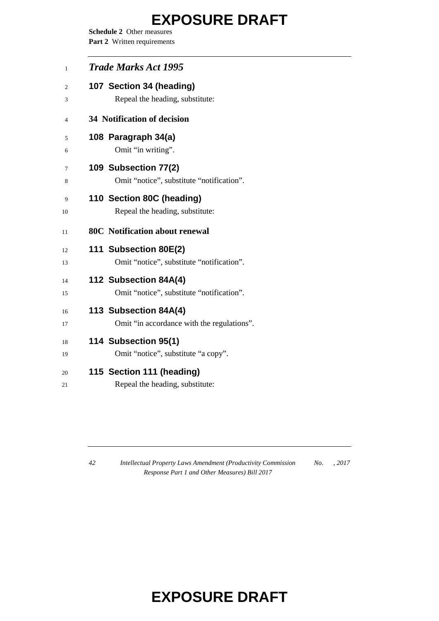**Schedule 2** Other measures Part 2 Written requirements

| 1      | <b>Trade Marks Act 1995</b>                |
|--------|--------------------------------------------|
| 2      | 107 Section 34 (heading)                   |
| 3      | Repeal the heading, substitute:            |
| 4      | 34 Notification of decision                |
| 5      | 108 Paragraph 34(a)                        |
| 6      | Omit "in writing".                         |
| $\tau$ | 109 Subsection 77(2)                       |
| 8      | Omit "notice", substitute "notification".  |
| 9      | 110 Section 80C (heading)                  |
| 10     | Repeal the heading, substitute:            |
| 11     | <b>80C</b> Notification about renewal      |
| 12     | 111 Subsection 80E(2)                      |
| 13     | Omit "notice", substitute "notification".  |
| 14     | 112 Subsection 84A(4)                      |
| 15     | Omit "notice", substitute "notification".  |
| 16     | 113 Subsection 84A(4)                      |
| 17     | Omit "in accordance with the regulations". |
| 18     | 114 Subsection 95(1)                       |
| 19     | Omit "notice", substitute "a copy".        |
| 20     | 115 Section 111 (heading)                  |
| 21     | Repeal the heading, substitute:            |

 *Intellectual Property Laws Amendment (Productivity Commission Response Part 1 and Other Measures) Bill 2017 No. , 2017*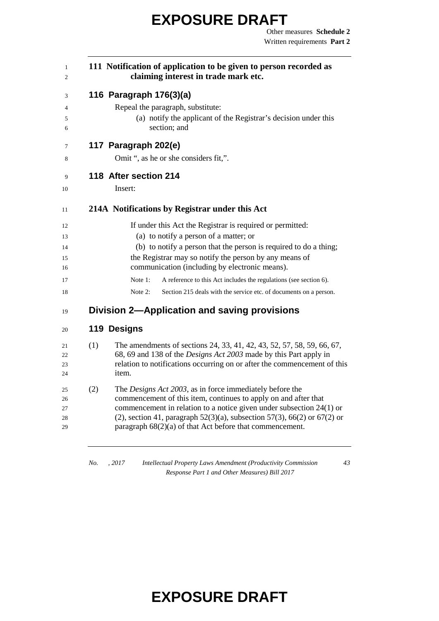| $\mathbf{1}$<br>2 |     | 111 Notification of application to be given to person recorded as<br>claiming interest in trade mark etc.                                    |  |  |  |
|-------------------|-----|----------------------------------------------------------------------------------------------------------------------------------------------|--|--|--|
| 3                 |     | 116 Paragraph 176(3)(a)                                                                                                                      |  |  |  |
| 4                 |     | Repeal the paragraph, substitute:                                                                                                            |  |  |  |
| 5<br>6            |     | (a) notify the applicant of the Registrar's decision under this<br>section; and                                                              |  |  |  |
| 7                 |     | 117 Paragraph 202(e)                                                                                                                         |  |  |  |
| 8                 |     | Omit ", as he or she considers fit,".                                                                                                        |  |  |  |
| 9                 |     | 118 After section 214                                                                                                                        |  |  |  |
| 10                |     | Insert:                                                                                                                                      |  |  |  |
| 11                |     | 214A Notifications by Registrar under this Act                                                                                               |  |  |  |
| 12                |     | If under this Act the Registrar is required or permitted:                                                                                    |  |  |  |
| 13                |     | (a) to notify a person of a matter; or                                                                                                       |  |  |  |
| 14                |     | (b) to notify a person that the person is required to do a thing;                                                                            |  |  |  |
| 15<br>16          |     | the Registrar may so notify the person by any means of<br>communication (including by electronic means).                                     |  |  |  |
| 17                |     | Note 1:<br>A reference to this Act includes the regulations (see section 6).                                                                 |  |  |  |
| 18                |     | Note 2:<br>Section 215 deals with the service etc. of documents on a person.                                                                 |  |  |  |
| 19                |     | Division 2-Application and saving provisions                                                                                                 |  |  |  |
| 20                |     | 119 Designs                                                                                                                                  |  |  |  |
| 21                | (1) | The amendments of sections 24, 33, 41, 42, 43, 52, 57, 58, 59, 66, 67,                                                                       |  |  |  |
| 22                |     | 68, 69 and 138 of the <i>Designs Act 2003</i> made by this Part apply in                                                                     |  |  |  |
| 23                |     | relation to notifications occurring on or after the commencement of this                                                                     |  |  |  |
| 24                |     | item.                                                                                                                                        |  |  |  |
| 25                | (2) | The Designs Act 2003, as in force immediately before the                                                                                     |  |  |  |
| 26                |     | commencement of this item, continues to apply on and after that                                                                              |  |  |  |
| 27                |     | commencement in relation to a notice given under subsection 24(1) or                                                                         |  |  |  |
| 28<br>29          |     | (2), section 41, paragraph $52(3)(a)$ , subsection $57(3)$ , 66(2) or 67(2) or<br>paragraph $68(2)(a)$ of that Act before that commencement. |  |  |  |
|                   |     |                                                                                                                                              |  |  |  |

*No. , 2017 Intellectual Property Laws Amendment (Productivity Commission Response Part 1 and Other Measures) Bill 2017*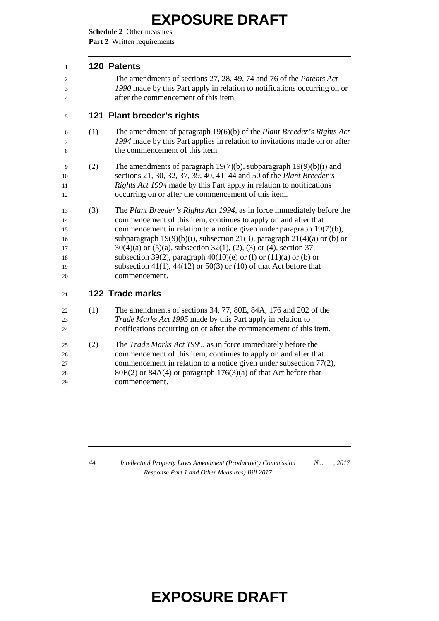**Schedule 2** Other measures **Part 2** Written requirements

#### **120 Patents**

 The amendments of sections 27, 28, 49, 74 and 76 of the *Patents Act 1990* made by this Part apply in relation to notifications occurring on or after the commencement of this item.

#### **121 Plant breeder's rights**

- (1) The amendment of paragraph 19(6)(b) of the *Plant Breeder's Rights Act 1994* made by this Part applies in relation to invitations made on or after the commencement of this item.
- (2) The amendments of paragraph 19(7)(b), subparagraph 19(9)(b)(i) and sections 21, 30, 32, 37, 39, 40, 41, 44 and 50 of the *Plant Breeder's Rights Act 1994* made by this Part apply in relation to notifications occurring on or after the commencement of this item.
- (3) The *Plant Breeder's Rights Act 1994*, as in force immediately before the commencement of this item, continues to apply on and after that commencement in relation to a notice given under paragraph 19(7)(b), subparagraph 19(9)(b)(i), subsection 21(3), paragraph 21(4)(a) or (b) or 30(4)(a) or (5)(a), subsection 32(1), (2), (3) or (4), section 37, 18 subsection 39(2), paragraph 40(10)(e) or (f) or (11)(a) or (b) or subsection 41(1), 44(12) or 50(3) or (10) of that Act before that commencement.
- **122 Trade marks**
- (1) The amendments of sections 34, 77, 80E, 84A, 176 and 202 of the *Trade Marks Act 1995* made by this Part apply in relation to notifications occurring on or after the commencement of this item.
- (2) The *Trade Marks Act 1995*, as in force immediately before the commencement of this item, continues to apply on and after that commencement in relation to a notice given under subsection 77(2), 28 80E(2) or  $84A(4)$  or paragraph  $176(3)(a)$  of that Act before that commencement.

 *Intellectual Property Laws Amendment (Productivity Commission Response Part 1 and Other Measures) Bill 2017 No. , 2017*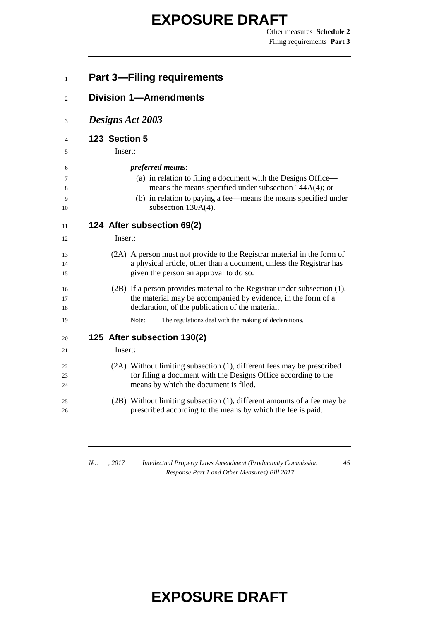Other measures **Schedule 2** Filing requirements **Part 3**

| <b>Part 3-Filing requirements</b>                                                                                                                                                                                                               |
|-------------------------------------------------------------------------------------------------------------------------------------------------------------------------------------------------------------------------------------------------|
| <b>Division 1-Amendments</b>                                                                                                                                                                                                                    |
| Designs Act 2003                                                                                                                                                                                                                                |
| 123 Section 5<br>Insert:                                                                                                                                                                                                                        |
| <i>preferred means:</i><br>(a) in relation to filing a document with the Designs Office—<br>means the means specified under subsection $144A(4)$ ; or<br>(b) in relation to paying a fee—means the means specified under<br>subsection 130A(4). |
| 124 After subsection 69(2)<br>Insert:                                                                                                                                                                                                           |
| (2A) A person must not provide to the Registrar material in the form of<br>a physical article, other than a document, unless the Registrar has<br>given the person an approval to do so.                                                        |
| (2B) If a person provides material to the Registrar under subsection (1),<br>the material may be accompanied by evidence, in the form of a<br>declaration, of the publication of the material.                                                  |
| Note:<br>The regulations deal with the making of declarations.                                                                                                                                                                                  |
| 125 After subsection 130(2)<br>Insert:                                                                                                                                                                                                          |
| (2A) Without limiting subsection (1), different fees may be prescribed<br>for filing a document with the Designs Office according to the<br>means by which the document is filed.                                                               |
| (2B) Without limiting subsection (1), different amounts of a fee may be                                                                                                                                                                         |

*No. , 2017 Intellectual Property Laws Amendment (Productivity Commission Response Part 1 and Other Measures) Bill 2017*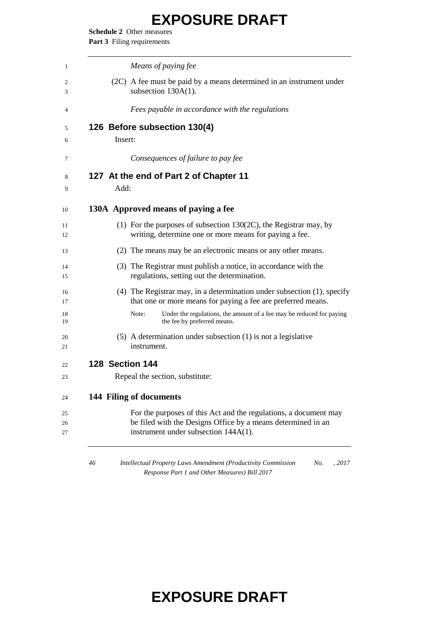**Schedule 2** Other measures Part 3 Filing requirements

|                        | Means of paying fee                                                                                                                                                      |
|------------------------|--------------------------------------------------------------------------------------------------------------------------------------------------------------------------|
|                        | (2C) A fee must be paid by a means determined in an instrument under<br>subsection $130A(1)$ .                                                                           |
|                        | Fees payable in accordance with the regulations                                                                                                                          |
|                        | 126 Before subsection 130(4)                                                                                                                                             |
| Insert:                |                                                                                                                                                                          |
|                        | Consequences of failure to pay fee                                                                                                                                       |
|                        | 127 At the end of Part 2 of Chapter 11                                                                                                                                   |
| Add:                   |                                                                                                                                                                          |
|                        | 130A Approved means of paying a fee                                                                                                                                      |
|                        | (1) For the purposes of subsection $130(2C)$ , the Registrar may, by<br>writing, determine one or more means for paying a fee.                                           |
|                        | (2) The means may be an electronic means or any other means.                                                                                                             |
|                        | (3) The Registrar must publish a notice, in accordance with the<br>regulations, setting out the determination.                                                           |
|                        | $(4)$ The Registrar may, in a determination under subsection $(1)$ , specify<br>that one or more means for paying a fee are preferred means.                             |
|                        | Under the regulations, the amount of a fee may be reduced for paying<br>Note:<br>the fee by preferred means.                                                             |
|                        | $(5)$ A determination under subsection $(1)$ is not a legislative<br>instrument.                                                                                         |
| <b>128 Section 144</b> |                                                                                                                                                                          |
|                        | Repeal the section, substitute:                                                                                                                                          |
|                        | 144 Filing of documents                                                                                                                                                  |
|                        | For the purposes of this Act and the regulations, a document may<br>be filed with the Designs Office by a means determined in an<br>instrument under subsection 144A(1). |
| 46                     | Intellectual Property Laws Amendment (Productivity Commission<br>No.<br>, 2017                                                                                           |

*Response Part 1 and Other Measures) Bill 2017*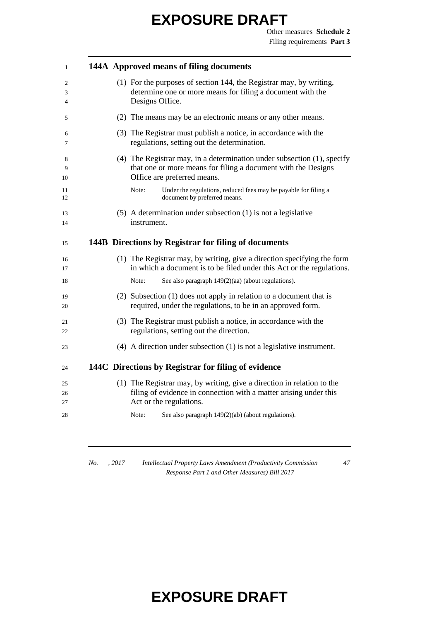Other measures **Schedule 2** Filing requirements **Part 3**

| 1              |  | 144A Approved means of filing documents                                                                                                                                 |
|----------------|--|-------------------------------------------------------------------------------------------------------------------------------------------------------------------------|
| 2<br>3<br>4    |  | (1) For the purposes of section 144, the Registrar may, by writing,<br>determine one or more means for filing a document with the<br>Designs Office.                    |
| 5              |  | (2) The means may be an electronic means or any other means.                                                                                                            |
| 6<br>7         |  | (3) The Registrar must publish a notice, in accordance with the<br>regulations, setting out the determination.                                                          |
| 8<br>9<br>10   |  | (4) The Registrar may, in a determination under subsection (1), specify<br>that one or more means for filing a document with the Designs<br>Office are preferred means. |
| 11<br>12       |  | Under the regulations, reduced fees may be payable for filing a<br>Note:<br>document by preferred means.                                                                |
| 13<br>14       |  | $(5)$ A determination under subsection $(1)$ is not a legislative<br>instrument.                                                                                        |
| 15             |  | 144B Directions by Registrar for filing of documents                                                                                                                    |
| 16<br>17       |  | (1) The Registrar may, by writing, give a direction specifying the form<br>in which a document is to be filed under this Act or the regulations.                        |
| 18             |  | See also paragraph 149(2)(aa) (about regulations).<br>Note:                                                                                                             |
| 19<br>20       |  | (2) Subsection (1) does not apply in relation to a document that is<br>required, under the regulations, to be in an approved form.                                      |
| 21<br>22       |  | (3) The Registrar must publish a notice, in accordance with the<br>regulations, setting out the direction.                                                              |
| 23             |  | $(4)$ A direction under subsection $(1)$ is not a legislative instrument.                                                                                               |
| 24             |  | 144C Directions by Registrar for filing of evidence                                                                                                                     |
| 25<br>26<br>27 |  | (1) The Registrar may, by writing, give a direction in relation to the<br>filing of evidence in connection with a matter arising under this<br>Act or the regulations.  |
| 28             |  | Note:<br>See also paragraph 149(2)(ab) (about regulations).                                                                                                             |
|                |  |                                                                                                                                                                         |

*No. , 2017 Intellectual Property Laws Amendment (Productivity Commission Response Part 1 and Other Measures) Bill 2017*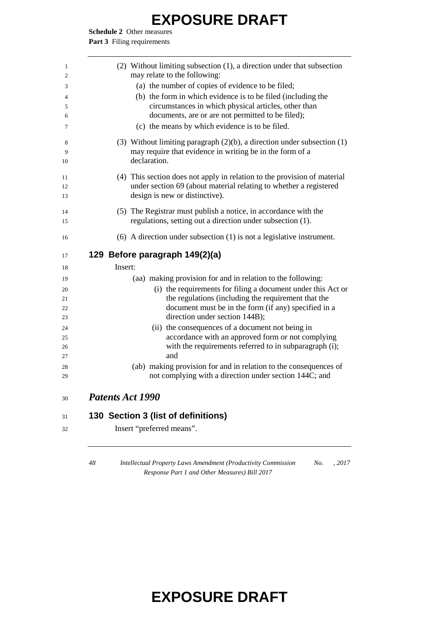**Schedule 2** Other measures

Part 3 Filing requirements

| 1  | (2) Without limiting subsection (1), a direction under that subsection       |
|----|------------------------------------------------------------------------------|
| 2  | may relate to the following:                                                 |
| 3  | (a) the number of copies of evidence to be filed;                            |
| 4  | (b) the form in which evidence is to be filed (including the                 |
| 5  | circumstances in which physical articles, other than                         |
| 6  | documents, are or are not permitted to be filed);                            |
| 7  | (c) the means by which evidence is to be filed.                              |
| 8  | (3) Without limiting paragraph $(2)(b)$ , a direction under subsection $(1)$ |
| 9  | may require that evidence in writing be in the form of a                     |
| 10 | declaration.                                                                 |
| 11 | (4) This section does not apply in relation to the provision of material     |
| 12 | under section 69 (about material relating to whether a registered            |
| 13 | design is new or distinctive).                                               |
| 14 | (5) The Registrar must publish a notice, in accordance with the              |
| 15 | regulations, setting out a direction under subsection (1).                   |
| 16 | $(6)$ A direction under subsection $(1)$ is not a legislative instrument.    |
| 17 | 129 Before paragraph 149(2)(a)                                               |
| 18 | Insert:                                                                      |
| 19 | (aa) making provision for and in relation to the following:                  |
| 20 | (i) the requirements for filing a document under this Act or                 |
| 21 | the regulations (including the requirement that the                          |
| 22 | document must be in the form (if any) specified in a                         |
| 23 | direction under section 144B);                                               |
| 24 | (ii) the consequences of a document not being in                             |
| 25 | accordance with an approved form or not complying                            |
| 26 | with the requirements referred to in subparagraph (i);                       |
| 27 | and                                                                          |
| 28 | (ab) making provision for and in relation to the consequences of             |
| 29 | not complying with a direction under section 144C; and                       |
|    |                                                                              |
| 30 | <b>Patents Act 1990</b>                                                      |
| 31 |                                                                              |
| 32 | 130 Section 3 (list of definitions)<br>Insert "preferred means".             |

 *Intellectual Property Laws Amendment (Productivity Commission Response Part 1 and Other Measures) Bill 2017 No. , 2017*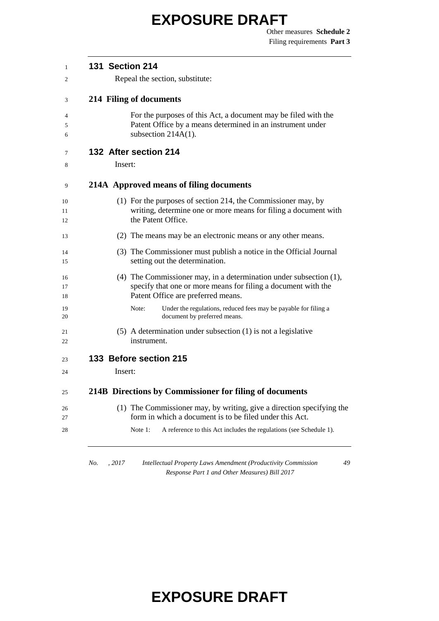Other measures **Schedule 2** Filing requirements **Part 3**

| <b>131 Section 214</b>                                                                                                                                                       |
|------------------------------------------------------------------------------------------------------------------------------------------------------------------------------|
| Repeal the section, substitute:                                                                                                                                              |
| 214 Filing of documents                                                                                                                                                      |
| For the purposes of this Act, a document may be filed with the<br>Patent Office by a means determined in an instrument under<br>subsection $214A(1)$ .                       |
| 132 After section 214                                                                                                                                                        |
| Insert:                                                                                                                                                                      |
| 214A Approved means of filing documents                                                                                                                                      |
| (1) For the purposes of section 214, the Commissioner may, by<br>writing, determine one or more means for filing a document with<br>the Patent Office.                       |
| (2) The means may be an electronic means or any other means.                                                                                                                 |
| (3) The Commissioner must publish a notice in the Official Journal<br>setting out the determination.                                                                         |
| (4) The Commissioner may, in a determination under subsection $(1)$ ,<br>specify that one or more means for filing a document with the<br>Patent Office are preferred means. |
| Note:<br>Under the regulations, reduced fees may be payable for filing a<br>document by preferred means.                                                                     |
| $(5)$ A determination under subsection $(1)$ is not a legislative<br>instrument.                                                                                             |
| 133 Before section 215                                                                                                                                                       |
| Insert:                                                                                                                                                                      |
| 214B Directions by Commissioner for filing of documents                                                                                                                      |
| (1) The Commissioner may, by writing, give a direction specifying the<br>form in which a document is to be filed under this Act.                                             |
| A reference to this Act includes the regulations (see Schedule 1).<br>Note 1:                                                                                                |

*No. , 2017 Intellectual Property Laws Amendment (Productivity Commission Response Part 1 and Other Measures) Bill 2017*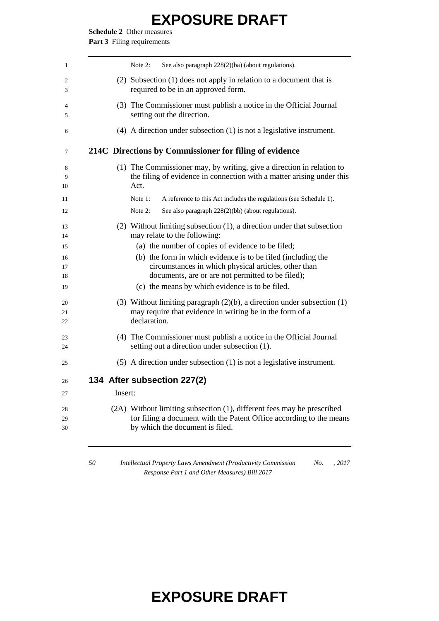**Schedule 2** Other measures Part 3 Filing requirements

|         | See also paragraph 228(2)(ba) (about regulations).<br>Note $2$ :                                                                                                                                                               |
|---------|--------------------------------------------------------------------------------------------------------------------------------------------------------------------------------------------------------------------------------|
|         | (2) Subsection (1) does not apply in relation to a document that is<br>required to be in an approved form.                                                                                                                     |
|         | (3) The Commissioner must publish a notice in the Official Journal<br>setting out the direction.                                                                                                                               |
|         | $(4)$ A direction under subsection $(1)$ is not a legislative instrument.                                                                                                                                                      |
|         | 214C Directions by Commissioner for filing of evidence                                                                                                                                                                         |
|         | (1) The Commissioner may, by writing, give a direction in relation to<br>the filing of evidence in connection with a matter arising under this<br>Act.                                                                         |
|         | Note 1:<br>A reference to this Act includes the regulations (see Schedule 1).                                                                                                                                                  |
|         | Note $2$ :<br>See also paragraph 228(2)(bb) (about regulations).                                                                                                                                                               |
|         | $(2)$ Without limiting subsection $(1)$ , a direction under that subsection<br>may relate to the following:                                                                                                                    |
|         | (a) the number of copies of evidence to be filed;<br>(b) the form in which evidence is to be filed (including the<br>circumstances in which physical articles, other than<br>documents, are or are not permitted to be filed); |
|         | (c) the means by which evidence is to be filed.                                                                                                                                                                                |
|         | (3) Without limiting paragraph $(2)(b)$ , a direction under subsection $(1)$<br>may require that evidence in writing be in the form of a<br>declaration.                                                                       |
|         | (4) The Commissioner must publish a notice in the Official Journal<br>setting out a direction under subsection (1).                                                                                                            |
|         | $(5)$ A direction under subsection $(1)$ is not a legislative instrument.                                                                                                                                                      |
|         | 134 After subsection 227(2)                                                                                                                                                                                                    |
| Insert: |                                                                                                                                                                                                                                |
|         | (2A) Without limiting subsection (1), different fees may be prescribed<br>for filing a document with the Patent Office according to the means<br>by which the document is filed.                                               |

*Response Part 1 and Other Measures) Bill 2017*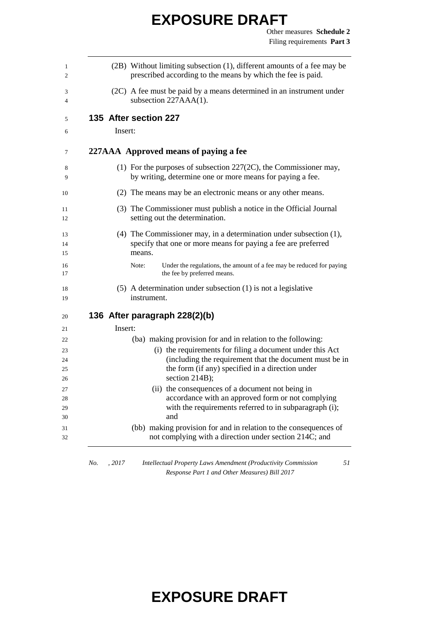| 1<br>2               | (2B) Without limiting subsection (1), different amounts of a fee may be<br>prescribed according to the means by which the fee is paid.                                 |
|----------------------|------------------------------------------------------------------------------------------------------------------------------------------------------------------------|
|                      |                                                                                                                                                                        |
| 3<br>4               | (2C) A fee must be paid by a means determined in an instrument under<br>subsection $227AAA(1)$ .                                                                       |
| 5                    | 135 After section 227                                                                                                                                                  |
| 6                    | Insert:                                                                                                                                                                |
| 7                    | 227AAA Approved means of paying a fee                                                                                                                                  |
| 8<br>9               | (1) For the purposes of subsection $227(2C)$ , the Commissioner may,<br>by writing, determine one or more means for paying a fee.                                      |
| 10                   | (2) The means may be an electronic means or any other means.                                                                                                           |
| 11<br>12             | (3) The Commissioner must publish a notice in the Official Journal<br>setting out the determination.                                                                   |
| 13<br>14<br>15       | $(4)$ The Commissioner may, in a determination under subsection $(1)$ ,<br>specify that one or more means for paying a fee are preferred<br>means.                     |
| 16<br>17             | Note:<br>Under the regulations, the amount of a fee may be reduced for paying<br>the fee by preferred means.                                                           |
| 18<br>19             | $(5)$ A determination under subsection $(1)$ is not a legislative<br>instrument.                                                                                       |
| 20                   | 136 After paragraph 228(2)(b)                                                                                                                                          |
| 21                   | Insert:                                                                                                                                                                |
| 22                   | (ba) making provision for and in relation to the following:                                                                                                            |
| 23                   | (i) the requirements for filing a document under this Act                                                                                                              |
| 24<br>25<br>26       | (including the requirement that the document must be in<br>the form (if any) specified in a direction under<br>section 214B);                                          |
| 27<br>28<br>29<br>30 | (ii) the consequences of a document not being in<br>accordance with an approved form or not complying<br>with the requirements referred to in subparagraph (i);<br>and |
| 31<br>32             | (bb) making provision for and in relation to the consequences of<br>not complying with a direction under section 214C; and                                             |

*No. , 2017 Intellectual Property Laws Amendment (Productivity Commission Response Part 1 and Other Measures) Bill 2017*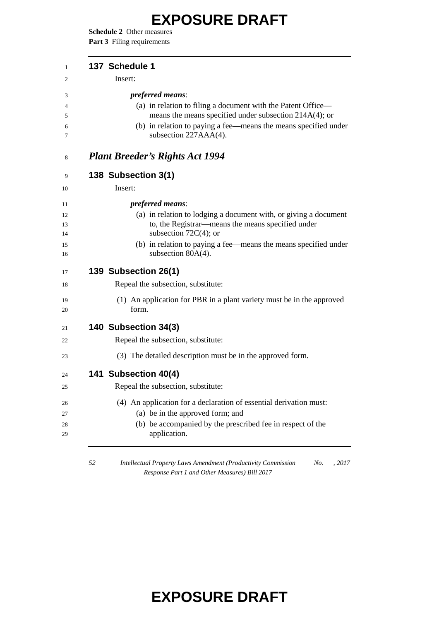**Schedule 2** Other measures Part 3 Filing requirements

| 137 Schedule 1                                                                                                         |
|------------------------------------------------------------------------------------------------------------------------|
| Insert:                                                                                                                |
| <i>preferred means:</i>                                                                                                |
| (a) in relation to filing a document with the Patent Office—<br>means the means specified under subsection 214A(4); or |
| (b) in relation to paying a fee—means the means specified under<br>subsection 227AAA(4).                               |
| <b>Plant Breeder's Rights Act 1994</b>                                                                                 |
| 138 Subsection 3(1)                                                                                                    |
| Insert:                                                                                                                |
| <i>preferred means:</i>                                                                                                |
| (a) in relation to lodging a document with, or giving a document                                                       |
| to, the Registrar-means the means specified under<br>subsection $72C(4)$ ; or                                          |
| (b) in relation to paying a fee—means the means specified under                                                        |
| subsection $80A(4)$ .                                                                                                  |
| 139 Subsection 26(1)                                                                                                   |
| Repeal the subsection, substitute:                                                                                     |
| (1) An application for PBR in a plant variety must be in the approved<br>form.                                         |
| 140 Subsection 34(3)                                                                                                   |
| Repeal the subsection, substitute:                                                                                     |
| (3) The detailed description must be in the approved form.                                                             |
| 141 Subsection 40(4)                                                                                                   |
| Repeal the subsection, substitute:                                                                                     |
| (4) An application for a declaration of essential derivation must:                                                     |
| (a) be in the approved form; and                                                                                       |
| (b) be accompanied by the prescribed fee in respect of the<br>application.                                             |

 *Intellectual Property Laws Amendment (Productivity Commission Response Part 1 and Other Measures) Bill 2017 No. , 2017*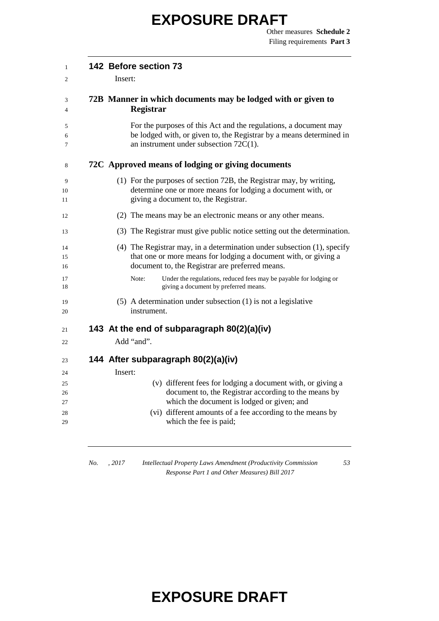| $\mathbf{1}$   | 142 Before section 73                                                                                                                                                                              |
|----------------|----------------------------------------------------------------------------------------------------------------------------------------------------------------------------------------------------|
| 2              | Insert:                                                                                                                                                                                            |
| 3<br>4         | 72B Manner in which documents may be lodged with or given to<br><b>Registrar</b>                                                                                                                   |
| 5<br>6<br>7    | For the purposes of this Act and the regulations, a document may<br>be lodged with, or given to, the Registrar by a means determined in<br>an instrument under subsection $72C(1)$ .               |
| 8              | 72C Approved means of lodging or giving documents                                                                                                                                                  |
| 9<br>10<br>11  | (1) For the purposes of section 72B, the Registrar may, by writing,<br>determine one or more means for lodging a document with, or<br>giving a document to, the Registrar.                         |
| 12             | (2) The means may be an electronic means or any other means.                                                                                                                                       |
| 13             | (3) The Registrar must give public notice setting out the determination.                                                                                                                           |
| 14<br>15<br>16 | $(4)$ The Registrar may, in a determination under subsection $(1)$ , specify<br>that one or more means for lodging a document with, or giving a<br>document to, the Registrar are preferred means. |
| 17<br>18       | Note:<br>Under the regulations, reduced fees may be payable for lodging or<br>giving a document by preferred means.                                                                                |
| 19<br>20       | $(5)$ A determination under subsection $(1)$ is not a legislative<br>instrument.                                                                                                                   |
| 21             | 143 At the end of subparagraph 80(2)(a)(iv)                                                                                                                                                        |
| 22             | Add "and".                                                                                                                                                                                         |
| 23             | 144 After subparagraph 80(2)(a)(iv)                                                                                                                                                                |
| 24             | Insert:                                                                                                                                                                                            |
| 25             | (v) different fees for lodging a document with, or giving a                                                                                                                                        |
| 26             | document to, the Registrar according to the means by                                                                                                                                               |
| 27             | which the document is lodged or given; and<br>(vi) different amounts of a fee according to the means by                                                                                            |
| 28<br>29       | which the fee is paid;                                                                                                                                                                             |
|                |                                                                                                                                                                                                    |

*No. , 2017 Intellectual Property Laws Amendment (Productivity Commission Response Part 1 and Other Measures) Bill 2017*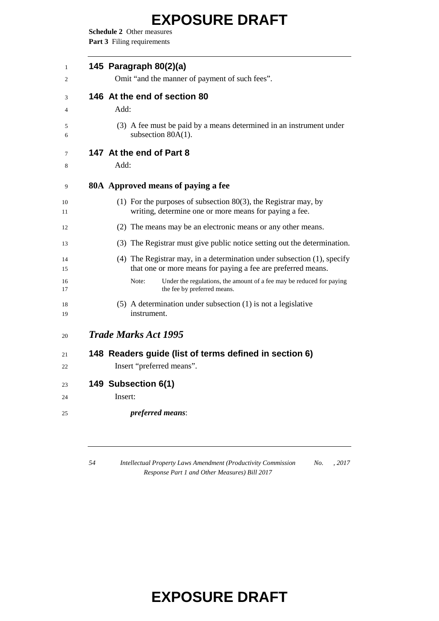**Schedule 2** Other measures Part 3 Filing requirements

| 1<br>2   | 145 Paragraph 80(2)(a)<br>Omit "and the manner of payment of such fees".                                                                |
|----------|-----------------------------------------------------------------------------------------------------------------------------------------|
|          |                                                                                                                                         |
| 3        | 146 At the end of section 80                                                                                                            |
| 4        | Add:                                                                                                                                    |
| 5<br>6   | (3) A fee must be paid by a means determined in an instrument under<br>subsection $80A(1)$ .                                            |
| 7        | 147 At the end of Part 8                                                                                                                |
| 8        | Add:                                                                                                                                    |
| 9        | 80A Approved means of paying a fee                                                                                                      |
| 10<br>11 | (1) For the purposes of subsection $80(3)$ , the Registrar may, by<br>writing, determine one or more means for paying a fee.            |
| 12       | (2) The means may be an electronic means or any other means.                                                                            |
| 13       | (3) The Registrar must give public notice setting out the determination.                                                                |
| 14<br>15 | (4) The Registrar may, in a determination under subsection (1), specify<br>that one or more means for paying a fee are preferred means. |
| 16<br>17 | Under the regulations, the amount of a fee may be reduced for paying<br>Note:<br>the fee by preferred means.                            |
| 18<br>19 | $(5)$ A determination under subsection $(1)$ is not a legislative<br>instrument.                                                        |
| 20       | <b>Trade Marks Act 1995</b>                                                                                                             |
| 21       | 148 Readers guide (list of terms defined in section 6)                                                                                  |
| 22       | Insert "preferred means".                                                                                                               |
| 23       | 149 Subsection 6(1)                                                                                                                     |
| 24       | Insert:                                                                                                                                 |
| 25       | preferred means:                                                                                                                        |
|          |                                                                                                                                         |

 *Intellectual Property Laws Amendment (Productivity Commission Response Part 1 and Other Measures) Bill 2017 No. , 2017*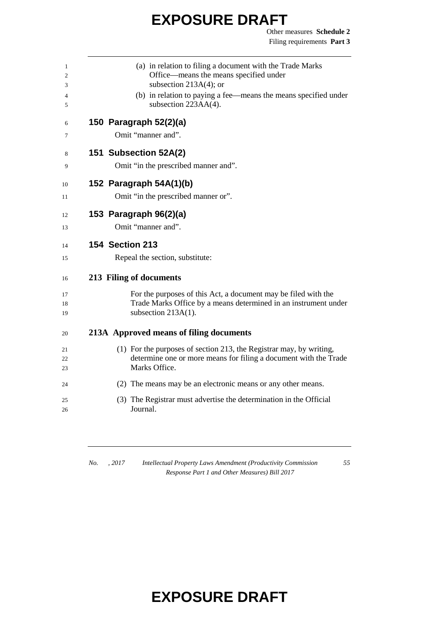Other measures **Schedule 2** Filing requirements **Part 3**

| 1<br>2<br>3<br>4 | (a) in relation to filing a document with the Trade Marks<br>Office—means the means specified under<br>subsection $213A(4)$ ; or<br>(b) in relation to paying a fee—means the means specified under |
|------------------|-----------------------------------------------------------------------------------------------------------------------------------------------------------------------------------------------------|
| 5                | subsection 223AA(4).                                                                                                                                                                                |
| 6                | 150 Paragraph 52(2)(a)                                                                                                                                                                              |
| 7                | Omit "manner and".                                                                                                                                                                                  |
| 8                | 151 Subsection 52A(2)                                                                                                                                                                               |
| 9                | Omit "in the prescribed manner and".                                                                                                                                                                |
| 10               | 152 Paragraph 54A(1)(b)                                                                                                                                                                             |
| 11               | Omit "in the prescribed manner or".                                                                                                                                                                 |
| 12               | 153 Paragraph 96(2)(a)                                                                                                                                                                              |
| 13               | Omit "manner and".                                                                                                                                                                                  |
| 14               | <b>154 Section 213</b>                                                                                                                                                                              |
| 15               | Repeal the section, substitute:                                                                                                                                                                     |
| 16               | 213 Filing of documents                                                                                                                                                                             |
| 17               | For the purposes of this Act, a document may be filed with the                                                                                                                                      |
| 18               | Trade Marks Office by a means determined in an instrument under                                                                                                                                     |
| 19               | subsection $213A(1)$ .                                                                                                                                                                              |
| 20               | 213A Approved means of filing documents                                                                                                                                                             |
| 21               | (1) For the purposes of section 213, the Registrar may, by writing,                                                                                                                                 |
| 22<br>23         | determine one or more means for filing a document with the Trade<br>Marks Office.                                                                                                                   |
| 24               | (2) The means may be an electronic means or any other means.                                                                                                                                        |
| 25               | (3) The Registrar must advertise the determination in the Official                                                                                                                                  |
| 26               | Journal.                                                                                                                                                                                            |

*No. , 2017 Intellectual Property Laws Amendment (Productivity Commission Response Part 1 and Other Measures) Bill 2017*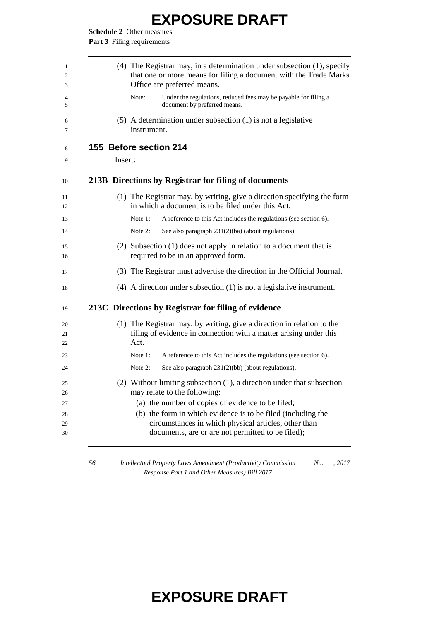**Schedule 2** Other measures

Part 3 Filing requirements

| 1<br>2<br>3          | $(4)$ The Registrar may, in a determination under subsection $(1)$ , specify<br>that one or more means for filing a document with the Trade Marks<br>Office are preferred means.                                               |
|----------------------|--------------------------------------------------------------------------------------------------------------------------------------------------------------------------------------------------------------------------------|
| 4<br>5               | Note:<br>Under the regulations, reduced fees may be payable for filing a<br>document by preferred means.                                                                                                                       |
| 6<br>7               | $(5)$ A determination under subsection $(1)$ is not a legislative<br>instrument.                                                                                                                                               |
| 8                    | 155 Before section 214                                                                                                                                                                                                         |
| 9                    | Insert:                                                                                                                                                                                                                        |
| 10                   | 213B Directions by Registrar for filing of documents                                                                                                                                                                           |
| 11<br>12             | (1) The Registrar may, by writing, give a direction specifying the form<br>in which a document is to be filed under this Act.                                                                                                  |
| 13                   | Note 1:<br>A reference to this Act includes the regulations (see section 6).                                                                                                                                                   |
| 14                   | Note $2$ :<br>See also paragraph 231(2)(ba) (about regulations).                                                                                                                                                               |
| 15<br>16             | (2) Subsection $(1)$ does not apply in relation to a document that is<br>required to be in an approved form.                                                                                                                   |
| 17                   | (3) The Registrar must advertise the direction in the Official Journal.                                                                                                                                                        |
| 18                   | $(4)$ A direction under subsection $(1)$ is not a legislative instrument.                                                                                                                                                      |
| 19                   | 213C Directions by Registrar for filing of evidence                                                                                                                                                                            |
| 20<br>21<br>22       | (1) The Registrar may, by writing, give a direction in relation to the<br>filing of evidence in connection with a matter arising under this<br>Act.                                                                            |
| 23                   | Note $1$ :<br>A reference to this Act includes the regulations (see section 6).                                                                                                                                                |
| 24                   | Note 2:<br>See also paragraph $231(2)(bb)$ (about regulations).                                                                                                                                                                |
| 25<br>26             | (2) Without limiting subsection (1), a direction under that subsection<br>may relate to the following:                                                                                                                         |
| 27<br>28<br>29<br>30 | (a) the number of copies of evidence to be filed;<br>(b) the form in which evidence is to be filed (including the<br>circumstances in which physical articles, other than<br>documents, are or are not permitted to be filed); |

 *Intellectual Property Laws Amendment (Productivity Commission Response Part 1 and Other Measures) Bill 2017 No. , 2017*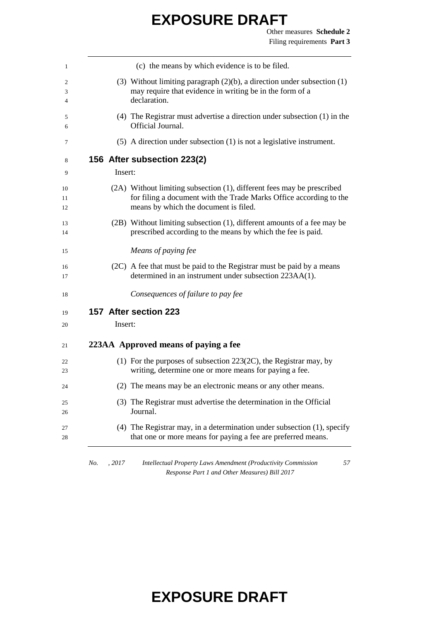|         | (c) the means by which evidence is to be filed.                                                                                                                                       |
|---------|---------------------------------------------------------------------------------------------------------------------------------------------------------------------------------------|
|         | (3) Without limiting paragraph $(2)(b)$ , a direction under subsection $(1)$<br>may require that evidence in writing be in the form of a<br>declaration.                              |
|         | $(4)$ The Registrar must advertise a direction under subsection $(1)$ in the<br>Official Journal.                                                                                     |
|         | $(5)$ A direction under subsection $(1)$ is not a legislative instrument.                                                                                                             |
|         | 156 After subsection 223(2)                                                                                                                                                           |
| Insert: |                                                                                                                                                                                       |
|         | (2A) Without limiting subsection (1), different fees may be prescribed<br>for filing a document with the Trade Marks Office according to the<br>means by which the document is filed. |
|         | (2B) Without limiting subsection (1), different amounts of a fee may be<br>prescribed according to the means by which the fee is paid.                                                |
|         | Means of paying fee                                                                                                                                                                   |
|         | (2C) A fee that must be paid to the Registrar must be paid by a means<br>determined in an instrument under subsection 223AA(1).                                                       |
|         | Consequences of failure to pay fee                                                                                                                                                    |
|         | 157 After section 223                                                                                                                                                                 |
| Insert: |                                                                                                                                                                                       |
|         | 223AA Approved means of paying a fee                                                                                                                                                  |
|         | (1) For the purposes of subsection $223(2C)$ , the Registrar may, by<br>writing, determine one or more means for paying a fee.                                                        |
|         | (2) The means may be an electronic means or any other means.                                                                                                                          |
|         | (3) The Registrar must advertise the determination in the Official<br>Journal.                                                                                                        |
|         | $(4)$ The Registrar may, in a determination under subsection $(1)$ , specify                                                                                                          |

*No. , 2017 Intellectual Property Laws Amendment (Productivity Commission Response Part 1 and Other Measures) Bill 2017*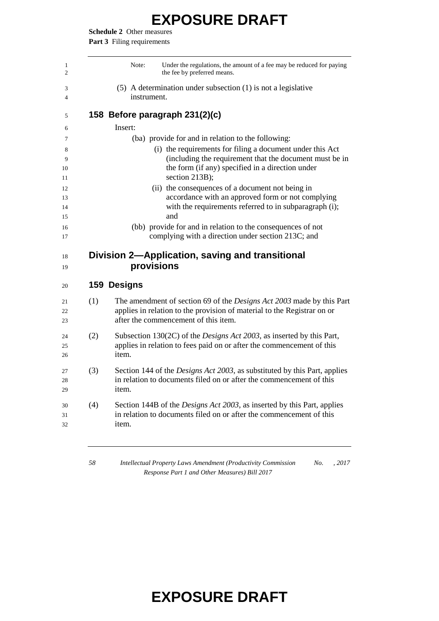**Schedule 2** Other measures

Part 3 Filing requirements

|                   | Note:<br>Under the regulations, the amount of a fee may be reduced for paying<br>the fee by preferred means.                                                                                    |
|-------------------|-------------------------------------------------------------------------------------------------------------------------------------------------------------------------------------------------|
|                   | $(5)$ A determination under subsection $(1)$ is not a legislative<br>instrument.                                                                                                                |
|                   | 158 Before paragraph 231(2)(c)                                                                                                                                                                  |
|                   | Insert:                                                                                                                                                                                         |
|                   | (ba) provide for and in relation to the following:                                                                                                                                              |
|                   | (i) the requirements for filing a document under this Act<br>(including the requirement that the document must be in<br>the form (if any) specified in a direction under<br>section 213B);      |
|                   | (ii) the consequences of a document not being in<br>accordance with an approved form or not complying<br>with the requirements referred to in subparagraph (i);<br>and                          |
|                   | (bb) provide for and in relation to the consequences of not<br>complying with a direction under section 213C; and                                                                               |
|                   |                                                                                                                                                                                                 |
|                   | Division 2—Application, saving and transitional<br>provisions                                                                                                                                   |
|                   | 159 Designs                                                                                                                                                                                     |
|                   | The amendment of section 69 of the <i>Designs Act 2003</i> made by this Part<br>applies in relation to the provision of material to the Registrar on or<br>after the commencement of this item. |
|                   | Subsection 130(2C) of the <i>Designs Act 2003</i> , as inserted by this Part,<br>applies in relation to fees paid on or after the commencement of this<br>item.                                 |
| (1)<br>(2)<br>(3) | Section 144 of the <i>Designs Act 2003</i> , as substituted by this Part, applies<br>in relation to documents filed on or after the commencement of this<br>item.                               |

 *Intellectual Property Laws Amendment (Productivity Commission Response Part 1 and Other Measures) Bill 2017 No. , 2017*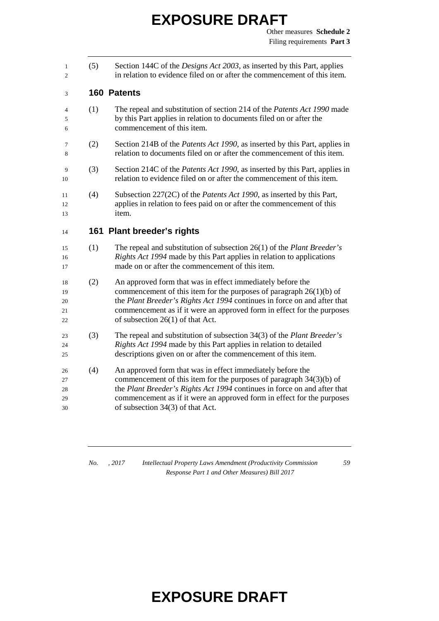(5) Section 144C of the *Designs Act 2003*, as inserted by this Part, applies in relation to evidence filed on or after the commencement of this item.

#### **160 Patents**

- (1) The repeal and substitution of section 214 of the *Patents Act 1990* made by this Part applies in relation to documents filed on or after the commencement of this item.
- (2) Section 214B of the *Patents Act 1990*, as inserted by this Part, applies in relation to documents filed on or after the commencement of this item.
- (3) Section 214C of the *Patents Act 1990*, as inserted by this Part, applies in relation to evidence filed on or after the commencement of this item.
- (4) Subsection 227(2C) of the *Patents Act 1990*, as inserted by this Part, applies in relation to fees paid on or after the commencement of this item.

#### **161 Plant breeder's rights**

- (1) The repeal and substitution of subsection 26(1) of the *Plant Breeder's Rights Act 1994* made by this Part applies in relation to applications made on or after the commencement of this item.
- (2) An approved form that was in effect immediately before the commencement of this item for the purposes of paragraph 26(1)(b) of the *Plant Breeder's Rights Act 1994* continues in force on and after that commencement as if it were an approved form in effect for the purposes of subsection 26(1) of that Act.
- (3) The repeal and substitution of subsection 34(3) of the *Plant Breeder's Rights Act 1994* made by this Part applies in relation to detailed descriptions given on or after the commencement of this item.
- (4) An approved form that was in effect immediately before the commencement of this item for the purposes of paragraph 34(3)(b) of the *Plant Breeder's Rights Act 1994* continues in force on and after that commencement as if it were an approved form in effect for the purposes of subsection 34(3) of that Act.

*No. , 2017 Intellectual Property Laws Amendment (Productivity Commission Response Part 1 and Other Measures) Bill 2017*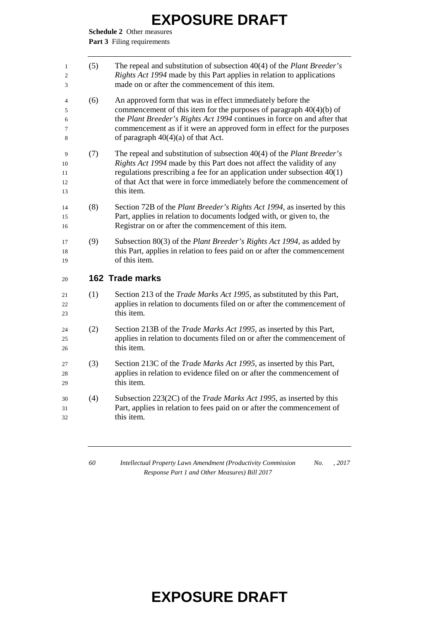**Schedule 2** Other measures

Part 3 Filing requirements

| $\mathbf{1}$<br>2<br>3    | (5) | The repeal and substitution of subsection $40(4)$ of the <i>Plant Breeder's</i><br>Rights Act 1994 made by this Part applies in relation to applications<br>made on or after the commencement of this item.                                                                                                                       |
|---------------------------|-----|-----------------------------------------------------------------------------------------------------------------------------------------------------------------------------------------------------------------------------------------------------------------------------------------------------------------------------------|
| 4<br>5<br>6<br>7<br>8     | (6) | An approved form that was in effect immediately before the<br>commencement of this item for the purposes of paragraph $40(4)(b)$ of<br>the Plant Breeder's Rights Act 1994 continues in force on and after that<br>commencement as if it were an approved form in effect for the purposes<br>of paragraph $40(4)(a)$ of that Act. |
| 9<br>10<br>11<br>12<br>13 | (7) | The repeal and substitution of subsection $40(4)$ of the <i>Plant Breeder's</i><br>Rights Act 1994 made by this Part does not affect the validity of any<br>regulations prescribing a fee for an application under subsection $40(1)$<br>of that Act that were in force immediately before the commencement of<br>this item.      |
| 14<br>15<br>16            | (8) | Section 72B of the <i>Plant Breeder's Rights Act 1994</i> , as inserted by this<br>Part, applies in relation to documents lodged with, or given to, the<br>Registrar on or after the commencement of this item.                                                                                                                   |
| 17<br>18<br>19            | (9) | Subsection 80(3) of the Plant Breeder's Rights Act 1994, as added by<br>this Part, applies in relation to fees paid on or after the commencement<br>of this item.                                                                                                                                                                 |
| 20                        |     | 162 Trade marks                                                                                                                                                                                                                                                                                                                   |
| 21<br>22<br>23            | (1) | Section 213 of the Trade Marks Act 1995, as substituted by this Part,<br>applies in relation to documents filed on or after the commencement of<br>this item.                                                                                                                                                                     |
| 24<br>25<br>26            | (2) | Section 213B of the Trade Marks Act 1995, as inserted by this Part,<br>applies in relation to documents filed on or after the commencement of<br>this item.                                                                                                                                                                       |
| 27<br>28<br>29            | (3) | Section 213C of the Trade Marks Act 1995, as inserted by this Part,<br>applies in relation to evidence filed on or after the commencement of<br>this item.                                                                                                                                                                        |
| 30<br>31<br>32            | (4) | Subsection 223(2C) of the <i>Trade Marks Act 1995</i> , as inserted by this<br>Part, applies in relation to fees paid on or after the commencement of<br>this item.                                                                                                                                                               |
|                           |     |                                                                                                                                                                                                                                                                                                                                   |

 *Intellectual Property Laws Amendment (Productivity Commission Response Part 1 and Other Measures) Bill 2017 No. , 2017*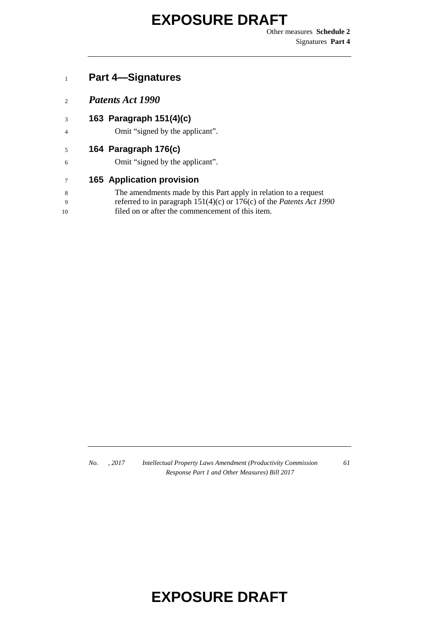Other measures **Schedule 2** Signatures **Part 4**

#### **Part 4—Signatures**

- *Patents Act 1990*
- **163 Paragraph 151(4)(c)**
- Omit "signed by the applicant".

#### **164 Paragraph 176(c)**

Omit "signed by the applicant".

#### **165 Application provision**

| The amendments made by this Part apply in relation to a request |  |  |
|-----------------------------------------------------------------|--|--|
|                                                                 |  |  |

- referred to in paragraph 151(4)(c) or 176(c) of the *Patents Act 1990*
- filed on or after the commencement of this item.

*No. , 2017 Intellectual Property Laws Amendment (Productivity Commission Response Part 1 and Other Measures) Bill 2017*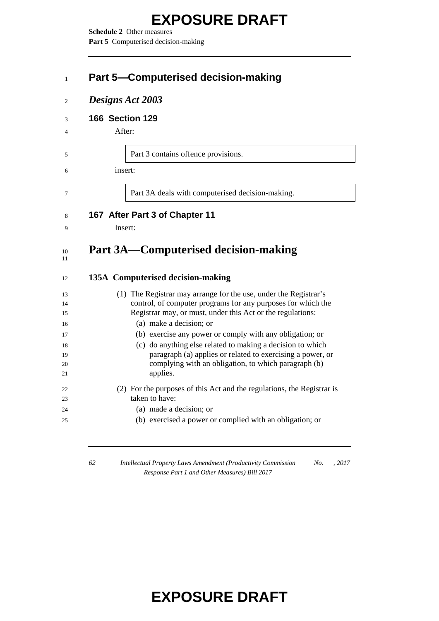**Schedule 2** Other measures Part 5 Computerised decision-making

#### **Part 5—Computerised decision-making**

|  | Designs Act 2003 |  |  |
|--|------------------|--|--|
|--|------------------|--|--|

#### **166 Section 129**

After:

Part 3 contains offence provisions.

insert:

Part 3A deals with computerised decision-making.

#### **167 After Part 3 of Chapter 11**

Insert:

#### **Part 3A—Computerised decision-making**

#### **135A Computerised decision-making**

| 13 | (1) The Registrar may arrange for the use, under the Registrar's       |
|----|------------------------------------------------------------------------|
| 14 | control, of computer programs for any purposes for which the           |
| 15 | Registrar may, or must, under this Act or the regulations:             |
| 16 | (a) make a decision; or                                                |
| 17 | (b) exercise any power or comply with any obligation; or               |
| 18 | (c) do anything else related to making a decision to which             |
| 19 | paragraph (a) applies or related to exercising a power, or             |
| 20 | complying with an obligation, to which paragraph (b)                   |
| 21 | applies.                                                               |
| 22 | (2) For the purposes of this Act and the regulations, the Registrar is |
| 23 | taken to have:                                                         |
| 24 | (a) made a decision; or                                                |
| 25 | (b) exercised a power or complied with an obligation; or               |
|    |                                                                        |

 *Intellectual Property Laws Amendment (Productivity Commission Response Part 1 and Other Measures) Bill 2017 No. , 2017*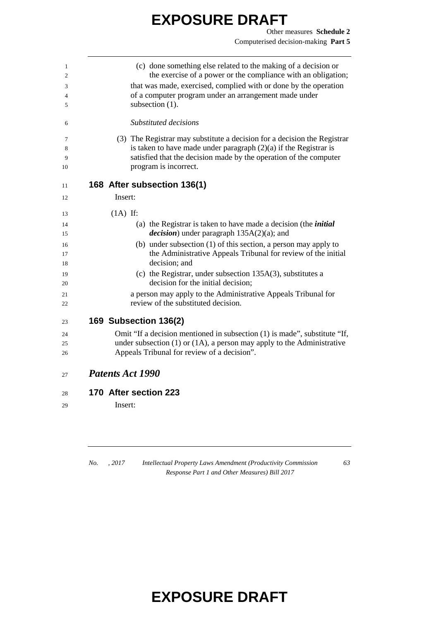| 1<br>2 | (c) done something else related to the making of a decision or<br>the exercise of a power or the compliance with an obligation; |
|--------|---------------------------------------------------------------------------------------------------------------------------------|
| 3      | that was made, exercised, complied with or done by the operation                                                                |
| 4      | of a computer program under an arrangement made under                                                                           |
| 5      | subsection $(1)$ .                                                                                                              |
|        |                                                                                                                                 |
| 6      | Substituted decisions                                                                                                           |
| 7      | (3) The Registrar may substitute a decision for a decision the Registrar                                                        |
| 8      | is taken to have made under paragraph $(2)(a)$ if the Registrar is                                                              |
| 9      | satisfied that the decision made by the operation of the computer                                                               |
| 10     | program is incorrect.                                                                                                           |
| 11     | 168 After subsection 136(1)                                                                                                     |
| 12     | Insert:                                                                                                                         |
|        |                                                                                                                                 |
| 13     | $(1A)$ If:                                                                                                                      |
| 14     | (a) the Registrar is taken to have made a decision (the <i>initial</i>                                                          |
| 15     | <i>decision</i> ) under paragraph $135A(2)(a)$ ; and                                                                            |
| 16     | (b) under subsection $(1)$ of this section, a person may apply to                                                               |
| 17     | the Administrative Appeals Tribunal for review of the initial                                                                   |
| 18     | decision; and                                                                                                                   |
| 19     | (c) the Registrar, under subsection $135A(3)$ , substitutes a                                                                   |
| 20     | decision for the initial decision;                                                                                              |
| 21     | a person may apply to the Administrative Appeals Tribunal for                                                                   |
| 22     | review of the substituted decision.                                                                                             |
| 23     | 169 Subsection 136(2)                                                                                                           |
| 24     | Omit "If a decision mentioned in subsection (1) is made", substitute "If,                                                       |
| 25     | under subsection $(1)$ or $(1A)$ , a person may apply to the Administrative                                                     |
| 26     | Appeals Tribunal for review of a decision".                                                                                     |
| 27     | <b>Patents Act 1990</b>                                                                                                         |
| 28     | 170 After section 223                                                                                                           |
| 29     | Insert:                                                                                                                         |
|        |                                                                                                                                 |

*No. , 2017 Intellectual Property Laws Amendment (Productivity Commission Response Part 1 and Other Measures) Bill 2017*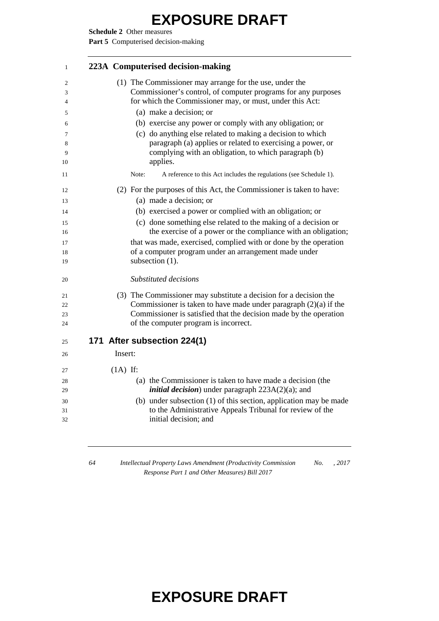**Schedule 2** Other measures

Part 5 Computerised decision-making

| $\mathbf{1}$ | 223A Computerised decision-making                                                                                                 |  |
|--------------|-----------------------------------------------------------------------------------------------------------------------------------|--|
| 2            | (1) The Commissioner may arrange for the use, under the                                                                           |  |
| 3            | Commissioner's control, of computer programs for any purposes                                                                     |  |
| 4            | for which the Commissioner may, or must, under this Act:<br>(a) make a decision; or                                               |  |
| 5<br>6       | (b) exercise any power or comply with any obligation; or                                                                          |  |
| 7            | (c) do anything else related to making a decision to which                                                                        |  |
| 8            | paragraph (a) applies or related to exercising a power, or                                                                        |  |
| 9            | complying with an obligation, to which paragraph (b)                                                                              |  |
| 10           | applies.                                                                                                                          |  |
| 11           | A reference to this Act includes the regulations (see Schedule 1).<br>Note:                                                       |  |
| 12           | (2) For the purposes of this Act, the Commissioner is taken to have:                                                              |  |
| 13           | (a) made a decision; or                                                                                                           |  |
| 14           | (b) exercised a power or complied with an obligation; or                                                                          |  |
| 15           | (c) done something else related to the making of a decision or                                                                    |  |
| 16           | the exercise of a power or the compliance with an obligation;<br>that was made, exercised, complied with or done by the operation |  |
| 17<br>18     | of a computer program under an arrangement made under                                                                             |  |
| 19           | subsection (1).                                                                                                                   |  |
| 20           | Substituted decisions                                                                                                             |  |
| 21           | (3) The Commissioner may substitute a decision for a decision the                                                                 |  |
| 22           | Commissioner is taken to have made under paragraph $(2)(a)$ if the                                                                |  |
| 23<br>24     | Commissioner is satisfied that the decision made by the operation<br>of the computer program is incorrect.                        |  |
|              |                                                                                                                                   |  |
| 25           | 171 After subsection 224(1)                                                                                                       |  |
| 26           | Insert:                                                                                                                           |  |
| 27           | $(1A)$ If:                                                                                                                        |  |
| 28           | (a) the Commissioner is taken to have made a decision (the                                                                        |  |
| 29           | <i>initial decision</i> ) under paragraph $223A(2)(a)$ ; and                                                                      |  |
| 30<br>31     | (b) under subsection (1) of this section, application may be made<br>to the Administrative Appeals Tribunal for review of the     |  |
| 32           | initial decision; and                                                                                                             |  |
|              |                                                                                                                                   |  |

 *Intellectual Property Laws Amendment (Productivity Commission Response Part 1 and Other Measures) Bill 2017 No. , 2017*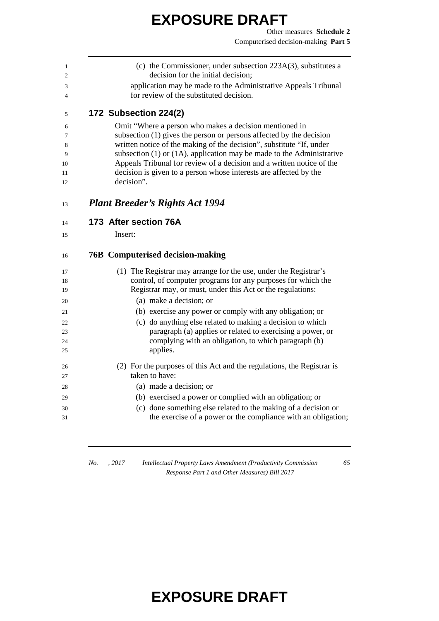(c) the Commissioner, under subsection 223A(3), substitutes a

| $\mathfrak{2}$ | decision for the initial decision;                                                                                            |
|----------------|-------------------------------------------------------------------------------------------------------------------------------|
| 3<br>4         | application may be made to the Administrative Appeals Tribunal<br>for review of the substituted decision.                     |
| 5              | 172 Subsection 224(2)                                                                                                         |
|                |                                                                                                                               |
| 6<br>7         | Omit "Where a person who makes a decision mentioned in<br>subsection (1) gives the person or persons affected by the decision |
| 8              | written notice of the making of the decision", substitute "If, under                                                          |
| 9              | subsection $(1)$ or $(1A)$ , application may be made to the Administrative                                                    |
| 10             | Appeals Tribunal for review of a decision and a written notice of the                                                         |
| 11             | decision is given to a person whose interests are affected by the                                                             |
| 12             | decision".                                                                                                                    |
| 13             | <b>Plant Breeder's Rights Act 1994</b>                                                                                        |
| 14             | 173 After section 76A                                                                                                         |
| 15             | Insert:                                                                                                                       |
| 16             | <b>76B</b> Computerised decision-making                                                                                       |
| 17             | (1) The Registrar may arrange for the use, under the Registrar's                                                              |
| 18             | control, of computer programs for any purposes for which the                                                                  |
| 19             | Registrar may, or must, under this Act or the regulations:                                                                    |
| 20             | (a) make a decision; or                                                                                                       |
| 21             | (b) exercise any power or comply with any obligation; or                                                                      |
| 22             | (c) do anything else related to making a decision to which                                                                    |
| 23             | paragraph (a) applies or related to exercising a power, or                                                                    |
| 24             | complying with an obligation, to which paragraph (b)                                                                          |
| 25             | applies.                                                                                                                      |
| 26             | (2) For the purposes of this Act and the regulations, the Registrar is                                                        |
| 27             | taken to have:                                                                                                                |
| 28             | (a) made a decision; or                                                                                                       |
| 29             | (b) exercised a power or complied with an obligation; or                                                                      |
| 30             | (c) done something else related to the making of a decision or                                                                |
| 31             | the exercise of a power or the compliance with an obligation;                                                                 |
|                |                                                                                                                               |

*No. , 2017 Intellectual Property Laws Amendment (Productivity Commission Response Part 1 and Other Measures) Bill 2017*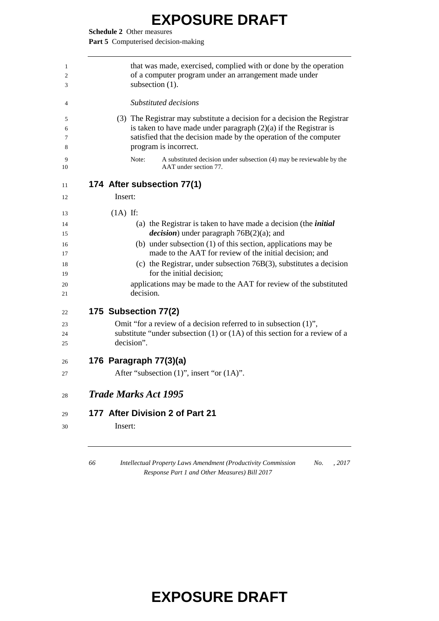**Schedule 2** Other measures

Part 5 Computerised decision-making

| 1<br>2<br>3      | that was made, exercised, complied with or done by the operation<br>of a computer program under an arrangement made under<br>subsection (1).                                                                                                 |
|------------------|----------------------------------------------------------------------------------------------------------------------------------------------------------------------------------------------------------------------------------------------|
| 4                | <i>Substituted decisions</i>                                                                                                                                                                                                                 |
| 5<br>6<br>7<br>8 | (3) The Registrar may substitute a decision for a decision the Registrar<br>is taken to have made under paragraph $(2)(a)$ if the Registrar is<br>satisfied that the decision made by the operation of the computer<br>program is incorrect. |
| 9<br>10          | Note:<br>A substituted decision under subsection (4) may be reviewable by the<br>AAT under section 77.                                                                                                                                       |
| 11               | 174 After subsection 77(1)                                                                                                                                                                                                                   |
| 12               | Insert:                                                                                                                                                                                                                                      |
| 13               | $(1A)$ If:                                                                                                                                                                                                                                   |
| 14<br>15         | (a) the Registrar is taken to have made a decision (the <i>initial</i><br><i>decision</i> ) under paragraph $76B(2)(a)$ ; and                                                                                                                |
| 16<br>17         | (b) under subsection (1) of this section, applications may be<br>made to the AAT for review of the initial decision; and                                                                                                                     |
| 18<br>19         | (c) the Registrar, under subsection $76B(3)$ , substitutes a decision<br>for the initial decision;                                                                                                                                           |
| 20<br>21         | applications may be made to the AAT for review of the substituted<br>decision.                                                                                                                                                               |
| 22               | 175 Subsection 77(2)                                                                                                                                                                                                                         |
| 23               | Omit "for a review of a decision referred to in subsection (1)",                                                                                                                                                                             |
| 24               | substitute "under subsection $(1)$ or $(1A)$ of this section for a review of a                                                                                                                                                               |
| 25               | decision".                                                                                                                                                                                                                                   |
| 26               | 176 Paragraph 77(3)(a)                                                                                                                                                                                                                       |
| 27               | After "subsection (1)", insert "or (1A)".                                                                                                                                                                                                    |
| 28               | <b>Trade Marks Act 1995</b>                                                                                                                                                                                                                  |
| 29               | 177 After Division 2 of Part 21                                                                                                                                                                                                              |
| 30               | Insert:                                                                                                                                                                                                                                      |
|                  |                                                                                                                                                                                                                                              |

 *Intellectual Property Laws Amendment (Productivity Commission Response Part 1 and Other Measures) Bill 2017 No. , 2017*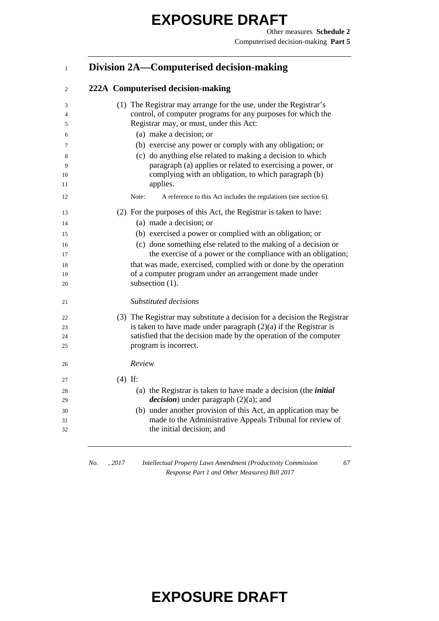#### **Division 2A—Computerised decision-making**

#### **222A Computerised decision-making**

| 3<br>$\overline{4}$ | (1) The Registrar may arrange for the use, under the Registrar's<br>control, of computer programs for any purposes for which the |
|---------------------|----------------------------------------------------------------------------------------------------------------------------------|
| 5                   | Registrar may, or must, under this Act:                                                                                          |
| 6                   | (a) make a decision; or                                                                                                          |
| 7                   | (b) exercise any power or comply with any obligation; or                                                                         |
| 8                   | (c) do anything else related to making a decision to which                                                                       |
| 9                   | paragraph (a) applies or related to exercising a power, or                                                                       |
| 10                  | complying with an obligation, to which paragraph (b)                                                                             |
| 11                  | applies.                                                                                                                         |
| 12                  | Note:<br>A reference to this Act includes the regulations (see section 6).                                                       |
| 13                  | (2) For the purposes of this Act, the Registrar is taken to have:                                                                |
| 14                  | (a) made a decision; or                                                                                                          |
| 15                  | (b) exercised a power or complied with an obligation; or                                                                         |
| 16                  | (c) done something else related to the making of a decision or                                                                   |
| 17                  | the exercise of a power or the compliance with an obligation;                                                                    |
| 18                  | that was made, exercised, complied with or done by the operation                                                                 |
| 19                  | of a computer program under an arrangement made under                                                                            |
| 20                  | subsection (1).                                                                                                                  |
| 21                  | Substituted decisions                                                                                                            |
| 22                  | (3) The Registrar may substitute a decision for a decision the Registrar                                                         |
| 23                  | is taken to have made under paragraph $(2)(a)$ if the Registrar is                                                               |
| 24                  | satisfied that the decision made by the operation of the computer                                                                |
| 25                  | program is incorrect.                                                                                                            |
| 26                  | Review                                                                                                                           |
| 27                  | $(4)$ If:                                                                                                                        |
| 28                  | (a) the Registrar is taken to have made a decision (the <i>initial</i>                                                           |
| 29                  | <i>decision</i> ) under paragraph $(2)(a)$ ; and                                                                                 |
| 30                  | (b) under another provision of this Act, an application may be                                                                   |
| 31                  | made to the Administrative Appeals Tribunal for review of                                                                        |
| 32                  | the initial decision; and                                                                                                        |
|                     |                                                                                                                                  |

*No. , 2017 Intellectual Property Laws Amendment (Productivity Commission Response Part 1 and Other Measures) Bill 2017*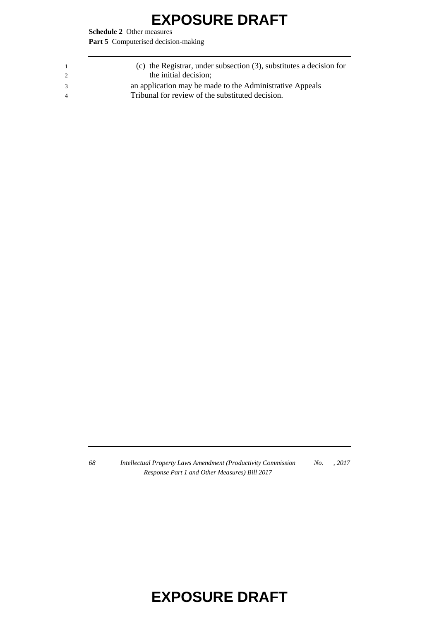**Schedule 2** Other measures

Part 5 Computerised decision-making

| $\overline{1}$ | (c) the Registrar, under subsection $(3)$ , substitutes a decision for |
|----------------|------------------------------------------------------------------------|
| $\overline{2}$ | the initial decision;                                                  |
| $\mathcal{R}$  | an application may be made to the Administrative Appeals               |
| -4             | Tribunal for review of the substituted decision.                       |
|                |                                                                        |

*68 Intellectual Property Laws Amendment (Productivity Commission Response Part 1 and Other Measures) Bill 2017 No. , 2017*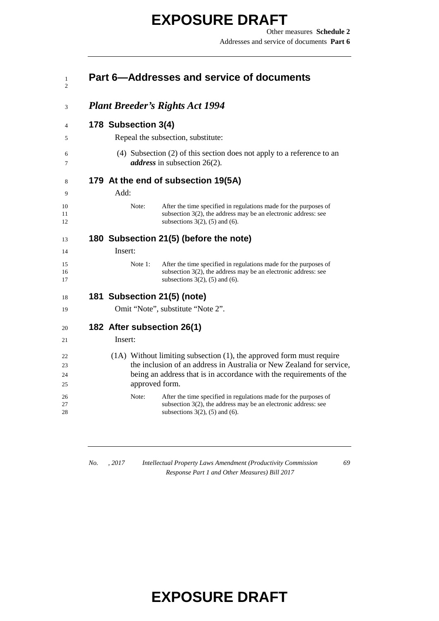|         |                     | Part 6-Addresses and service of documents                                                                                                                                       |
|---------|---------------------|---------------------------------------------------------------------------------------------------------------------------------------------------------------------------------|
|         |                     | <b>Plant Breeder's Rights Act 1994</b>                                                                                                                                          |
|         | 178 Subsection 3(4) |                                                                                                                                                                                 |
|         |                     | Repeal the subsection, substitute:                                                                                                                                              |
|         |                     | (4) Subsection (2) of this section does not apply to a reference to an<br><i>address</i> in subsection 26(2).                                                                   |
|         |                     | 179 At the end of subsection 19(5A)                                                                                                                                             |
| Add:    |                     |                                                                                                                                                                                 |
|         | Note:               | After the time specified in regulations made for the purposes of<br>subsection $3(2)$ , the address may be an electronic address: see<br>subsections $3(2)$ , (5) and (6).      |
|         |                     | 180 Subsection 21(5) (before the note)                                                                                                                                          |
| Insert: |                     |                                                                                                                                                                                 |
|         | Note $1$ :          | After the time specified in regulations made for the purposes of<br>subsection $3(2)$ , the address may be an electronic address: see<br>subsections $3(2)$ , $(5)$ and $(6)$ . |
|         |                     | 181 Subsection 21(5) (note)                                                                                                                                                     |
|         |                     | Omit "Note", substitute "Note 2".                                                                                                                                               |
|         |                     | 182 After subsection 26(1)                                                                                                                                                      |
| Insert: |                     |                                                                                                                                                                                 |
|         |                     | $(1A)$ Without limiting subsection $(1)$ , the approved form must require                                                                                                       |
|         |                     | the inclusion of an address in Australia or New Zealand for service,                                                                                                            |
|         | approved form.      | being an address that is in accordance with the requirements of the                                                                                                             |
|         | Note:               | After the time specified in regulations made for the purposes of                                                                                                                |
|         |                     | subsection $3(2)$ , the address may be an electronic address: see<br>subsections $3(2)$ , $(5)$ and $(6)$ .                                                                     |
|         |                     |                                                                                                                                                                                 |

*No. , 2017 Intellectual Property Laws Amendment (Productivity Commission Response Part 1 and Other Measures) Bill 2017*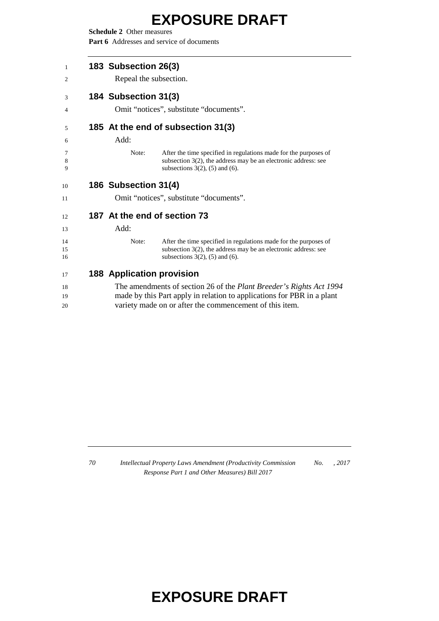**Schedule 2** Other measures

Part 6 Addresses and service of documents

| 183 Subsection 26(3)             |                                                                                                                                                                                 |  |
|----------------------------------|---------------------------------------------------------------------------------------------------------------------------------------------------------------------------------|--|
| Repeal the subsection.           |                                                                                                                                                                                 |  |
| 184 Subsection 31(3)             |                                                                                                                                                                                 |  |
|                                  | Omit "notices", substitute "documents".                                                                                                                                         |  |
|                                  | 185 At the end of subsection 31(3)                                                                                                                                              |  |
| Add:                             |                                                                                                                                                                                 |  |
| Note:                            | After the time specified in regulations made for the purposes of<br>subsection $3(2)$ , the address may be an electronic address: see<br>subsections $3(2)$ , $(5)$ and $(6)$ . |  |
| 186 Subsection 31(4)             |                                                                                                                                                                                 |  |
|                                  | Omit "notices", substitute "documents".                                                                                                                                         |  |
|                                  | 187 At the end of section 73                                                                                                                                                    |  |
| Add:                             |                                                                                                                                                                                 |  |
| Note:                            | After the time specified in regulations made for the purposes of<br>subsection $3(2)$ , the address may be an electronic address: see<br>subsections $3(2)$ , $(5)$ and $(6)$ . |  |
| <b>188 Application provision</b> |                                                                                                                                                                                 |  |
|                                  | The amendments of section 26 of the <i>Plant Breeder's Rights Act 1994</i>                                                                                                      |  |
|                                  | mode by this Dert ennly in relation to enplications for DDD in a plant                                                                                                          |  |

 made by this Part apply in relation to applications for PBR in a plant variety made on or after the commencement of this item.

 *Intellectual Property Laws Amendment (Productivity Commission Response Part 1 and Other Measures) Bill 2017 No. , 2017*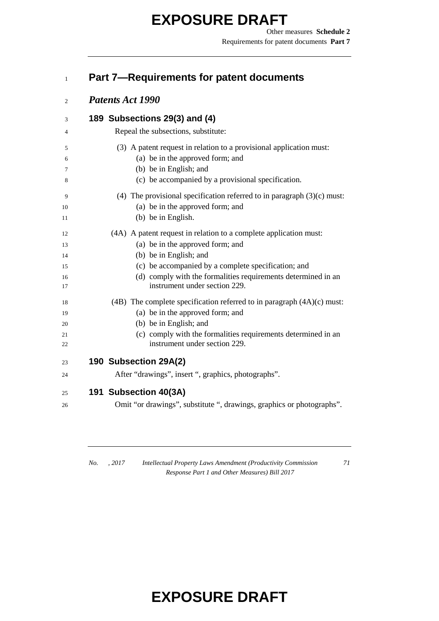#### **Part 7—Requirements for patent documents**

#### *Patents Act 1990*

| 3  | 189 Subsections 29(3) and (4)                                             |
|----|---------------------------------------------------------------------------|
| 4  | Repeal the subsections, substitute:                                       |
| 5  | (3) A patent request in relation to a provisional application must:       |
| 6  | (a) be in the approved form; and                                          |
| 7  | (b) be in English; and                                                    |
| 8  | (c) be accompanied by a provisional specification.                        |
| 9  | (4) The provisional specification referred to in paragraph $(3)(c)$ must: |
| 10 | (a) be in the approved form; and                                          |
| 11 | (b) be in English.                                                        |
| 12 | (4A) A patent request in relation to a complete application must:         |
| 13 | (a) be in the approved form; and                                          |
| 14 | (b) be in English; and                                                    |
| 15 | (c) be accompanied by a complete specification; and                       |
| 16 | (d) comply with the formalities requirements determined in an             |
| 17 | instrument under section 229.                                             |
| 18 | (4B) The complete specification referred to in paragraph $(4A)(c)$ must:  |
| 19 | (a) be in the approved form; and                                          |
| 20 | (b) be in English; and                                                    |
| 21 | (c) comply with the formalities requirements determined in an             |
| 22 | instrument under section 229.                                             |
| 23 | 190 Subsection 29A(2)                                                     |
| 24 | After "drawings", insert ", graphics, photographs".                       |
| 25 | 191 Subsection 40(3A)                                                     |
| 26 | Omit "or drawings", substitute ", drawings, graphics or photographs".     |
|    |                                                                           |

*No. , 2017 Intellectual Property Laws Amendment (Productivity Commission Response Part 1 and Other Measures) Bill 2017*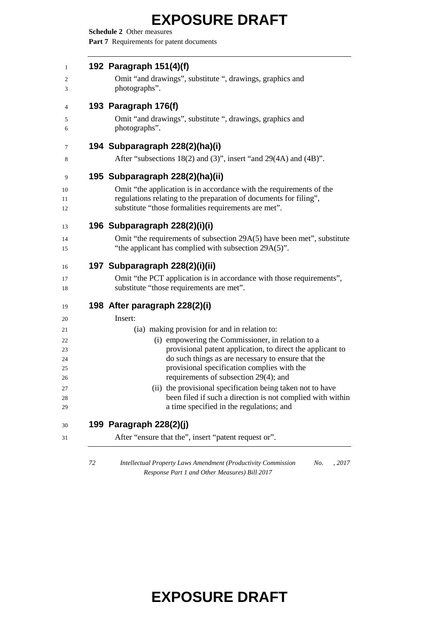**Schedule 2** Other measures

Part 7 Requirements for patent documents

| 192 Paragraph 151(4)(f)<br>Omit "and drawings", substitute ", drawings, graphics and<br>photographs".                                                                                                                                                                                                                                                                                                                                                                                                                              |
|------------------------------------------------------------------------------------------------------------------------------------------------------------------------------------------------------------------------------------------------------------------------------------------------------------------------------------------------------------------------------------------------------------------------------------------------------------------------------------------------------------------------------------|
| 193 Paragraph 176(f)<br>Omit "and drawings", substitute ", drawings, graphics and<br>photographs".                                                                                                                                                                                                                                                                                                                                                                                                                                 |
| 194 Subparagraph 228(2)(ha)(i)<br>After "subsections 18(2) and (3)", insert "and 29(4A) and (4B)".                                                                                                                                                                                                                                                                                                                                                                                                                                 |
| 195 Subparagraph 228(2)(ha)(ii)<br>Omit "the application is in accordance with the requirements of the<br>regulations relating to the preparation of documents for filing",<br>substitute "those formalities requirements are met".                                                                                                                                                                                                                                                                                                |
| 196 Subparagraph 228(2)(i)(i)<br>Omit "the requirements of subsection 29A(5) have been met", substitute<br>"the applicant has complied with subsection 29A(5)".                                                                                                                                                                                                                                                                                                                                                                    |
| 197 Subparagraph 228(2)(i)(ii)<br>Omit "the PCT application is in accordance with those requirements",<br>substitute "those requirements are met".                                                                                                                                                                                                                                                                                                                                                                                 |
| 198 After paragraph 228(2)(i)<br>Insert:<br>(ia) making provision for and in relation to:<br>(i) empowering the Commissioner, in relation to a<br>provisional patent application, to direct the applicant to<br>do such things as are necessary to ensure that the<br>provisional specification complies with the<br>requirements of subsection 29(4); and<br>(ii) the provisional specification being taken not to have<br>been filed if such a direction is not complied with within<br>a time specified in the regulations; and |
| 199 Paragraph 228(2)(j)<br>After "ensure that the", insert "patent request or".                                                                                                                                                                                                                                                                                                                                                                                                                                                    |

 *Intellectual Property Laws Amendment (Productivity Commission Response Part 1 and Other Measures) Bill 2017 No. , 2017*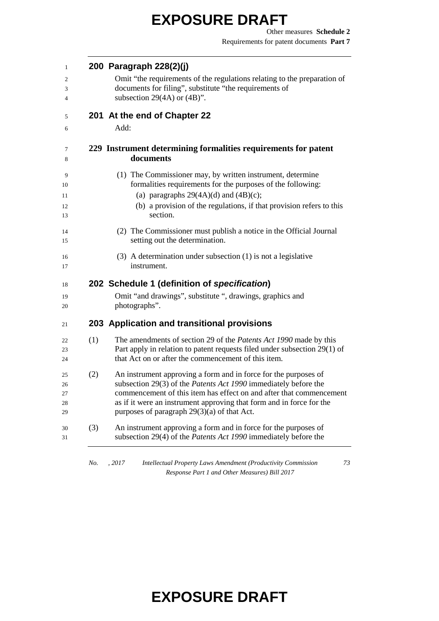| 1              |     | 200 Paragraph 228(2)(j)                                                                                                                                                                               |
|----------------|-----|-------------------------------------------------------------------------------------------------------------------------------------------------------------------------------------------------------|
| 2              |     | Omit "the requirements of the regulations relating to the preparation of                                                                                                                              |
| 3              |     | documents for filing", substitute "the requirements of                                                                                                                                                |
| 4              |     | subsection 29(4A) or $(4B)$ ".                                                                                                                                                                        |
| 5              |     | 201 At the end of Chapter 22                                                                                                                                                                          |
| 6              |     | Add:                                                                                                                                                                                                  |
| 7<br>8         |     | 229 Instrument determining formalities requirements for patent<br>documents                                                                                                                           |
| 9<br>10<br>11  |     | (1) The Commissioner may, by written instrument, determine<br>formalities requirements for the purposes of the following:<br>(a) paragraphs $29(4A)(d)$ and $(4B)(c)$ ;                               |
| 12<br>13       |     | (b) a provision of the regulations, if that provision refers to this<br>section.                                                                                                                      |
| 14<br>15       |     | (2) The Commissioner must publish a notice in the Official Journal<br>setting out the determination.                                                                                                  |
| 16<br>17       |     | $(3)$ A determination under subsection $(1)$ is not a legislative<br>instrument.                                                                                                                      |
| 18             |     | 202 Schedule 1 (definition of specification)                                                                                                                                                          |
| 19<br>20       |     | Omit "and drawings", substitute ", drawings, graphics and<br>photographs".                                                                                                                            |
| 21             |     | 203 Application and transitional provisions                                                                                                                                                           |
| 22<br>23<br>24 | (1) | The amendments of section 29 of the Patents Act 1990 made by this<br>Part apply in relation to patent requests filed under subsection 29(1) of<br>that Act on or after the commencement of this item. |
| 25<br>26       | (2) | An instrument approving a form and in force for the purposes of<br>subsection 29(3) of the <i>Patents Act 1990</i> immediately before the                                                             |
| 27<br>28<br>29 |     | commencement of this item has effect on and after that commencement<br>as if it were an instrument approving that form and in force for the<br>purposes of paragraph $29(3)(a)$ of that Act.          |
| 30<br>31       | (3) | An instrument approving a form and in force for the purposes of<br>subsection 29(4) of the <i>Patents Act 1990</i> immediately before the                                                             |
|                |     |                                                                                                                                                                                                       |

*No. , 2017 Intellectual Property Laws Amendment (Productivity Commission Response Part 1 and Other Measures) Bill 2017*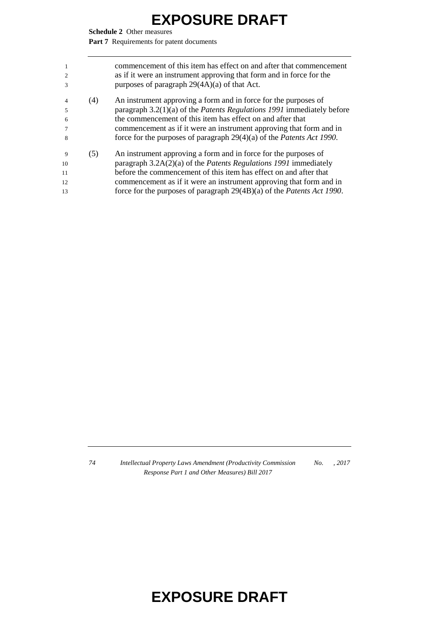**Schedule 2** Other measures

Part 7 Requirements for patent documents

| $\mathbf{1}$<br>$\overline{2}$<br>$\mathcal{R}$ |     | commencement of this item has effect on and after that commencement<br>as if it were an instrument approving that form and in force for the<br>purposes of paragraph $29(4A)(a)$ of that Act. |
|-------------------------------------------------|-----|-----------------------------------------------------------------------------------------------------------------------------------------------------------------------------------------------|
| $\overline{4}$                                  | (4) | An instrument approving a form and in force for the purposes of                                                                                                                               |
| $\overline{\phantom{1}}$                        |     | paragraph 3.2(1)(a) of the Patents Regulations 1991 immediately before                                                                                                                        |
| 6                                               |     | the commencement of this item has effect on and after that                                                                                                                                    |
|                                                 |     | commencement as if it were an instrument approving that form and in                                                                                                                           |
| 8                                               |     | force for the purposes of paragraph $29(4)(a)$ of the <i>Patents Act 1990</i> .                                                                                                               |
| $\mathbf{Q}$                                    | (5) | An instrument approving a form and in force for the purposes of                                                                                                                               |
| 10                                              |     | paragraph $3.2A(2)(a)$ of the <i>Patents Regulations 1991</i> immediately                                                                                                                     |
| 11                                              |     | before the commencement of this item has effect on and after that                                                                                                                             |
| 12                                              |     | commencement as if it were an instrument approving that form and in                                                                                                                           |
| 13                                              |     | force for the purposes of paragraph 29(4B)(a) of the Patents Act 1990.                                                                                                                        |
|                                                 |     |                                                                                                                                                                                               |

 *Intellectual Property Laws Amendment (Productivity Commission Response Part 1 and Other Measures) Bill 2017 No. , 2017*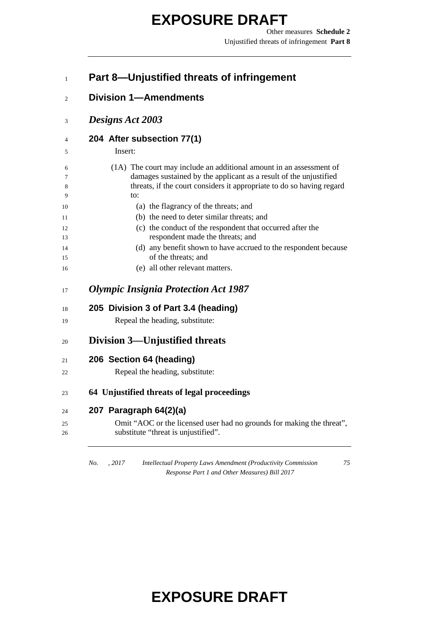Other measures **Schedule 2** Unjustified threats of infringement **Part 8**

#### **Part 8—Unjustified threats of infringement**

- **Division 1—Amendments**
- *Designs Act 2003*

#### **204 After subsection 77(1)**

Insert:

| (1A) The court may include an additional amount in an assessment of                    |
|----------------------------------------------------------------------------------------|
| damages sustained by the applicant as a result of the unjustified                      |
| threats, if the court considers it appropriate to do so having regard                  |
| to:                                                                                    |
| (a) the flagrancy of the threats; and                                                  |
| (b) the need to deter similar threats; and                                             |
| (c) the conduct of the respondent that occurred after the                              |
| respondent made the threats; and                                                       |
| (d) any benefit shown to have accrued to the respondent because<br>of the threats; and |
| (e) all other relevant matters.                                                        |
| 205 Division 3 of Part 3.4 (heading)<br>Repeal the heading, substitute:                |
| Division 3—Unjustified threats                                                         |
| 206 Section 64 (heading)                                                               |
| Repeal the heading, substitute:                                                        |
|                                                                                        |
| 64 Unjustified threats of legal proceedings                                            |
| 207 Paragraph 64(2)(a)                                                                 |

*Response Part 1 and Other Measures) Bill 2017*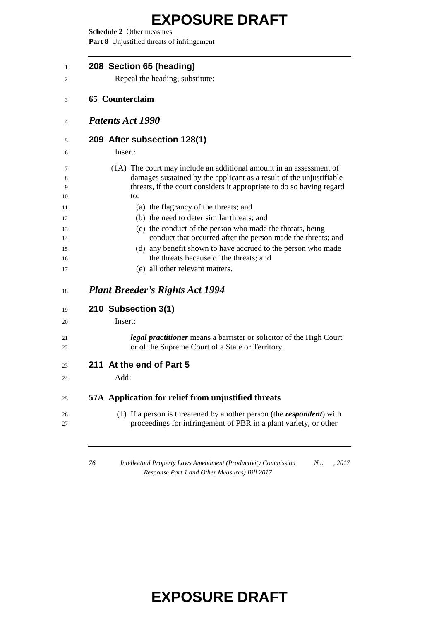**Schedule 2** Other measures **Part 8** Unjustified threats of infringement

| 208 Section 65 (heading)<br>Repeal the heading, substitute:                                                                                                                                                         |
|---------------------------------------------------------------------------------------------------------------------------------------------------------------------------------------------------------------------|
| <b>65 Counterclaim</b>                                                                                                                                                                                              |
| <b>Patents Act 1990</b>                                                                                                                                                                                             |
| 209 After subsection 128(1)                                                                                                                                                                                         |
| Insert:                                                                                                                                                                                                             |
| (1A) The court may include an additional amount in an assessment of<br>damages sustained by the applicant as a result of the unjustifiable<br>threats, if the court considers it appropriate to do so having regard |
| to:                                                                                                                                                                                                                 |
| (a) the flagrancy of the threats; and<br>(b) the need to deter similar threats; and                                                                                                                                 |
| (c) the conduct of the person who made the threats, being<br>conduct that occurred after the person made the threats; and                                                                                           |
| (d) any benefit shown to have accrued to the person who made<br>the threats because of the threats; and                                                                                                             |
| (e) all other relevant matters.                                                                                                                                                                                     |
| <b>Plant Breeder's Rights Act 1994</b>                                                                                                                                                                              |
| 210 Subsection 3(1)                                                                                                                                                                                                 |
| Insert:                                                                                                                                                                                                             |
| legal practitioner means a barrister or solicitor of the High Court<br>or of the Supreme Court of a State or Territory.                                                                                             |
| 211 At the end of Part 5                                                                                                                                                                                            |
| Add:                                                                                                                                                                                                                |
| 57A Application for relief from unjustified threats                                                                                                                                                                 |
| (1) If a person is threatened by another person (the <i>respondent</i> ) with                                                                                                                                       |

 *Intellectual Property Laws Amendment (Productivity Commission No. , 2017 Response Part 1 and Other Measures) Bill 2017*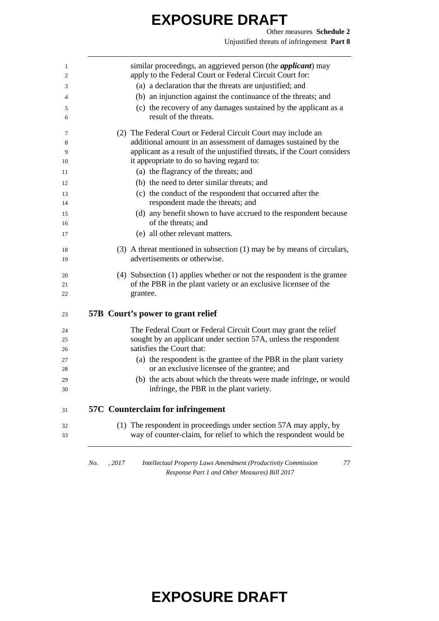Other measures **Schedule 2** Unjustified threats of infringement **Part 8**

| similar proceedings, an aggrieved person (the <i>applicant</i> ) may                                                               |
|------------------------------------------------------------------------------------------------------------------------------------|
| apply to the Federal Court or Federal Circuit Court for:                                                                           |
| (a) a declaration that the threats are unjustified; and                                                                            |
| (b) an injunction against the continuance of the threats; and                                                                      |
| (c) the recovery of any damages sustained by the applicant as a                                                                    |
| result of the threats.                                                                                                             |
| (2) The Federal Court or Federal Circuit Court may include an                                                                      |
| additional amount in an assessment of damages sustained by the                                                                     |
| applicant as a result of the unjustified threats, if the Court considers                                                           |
| it appropriate to do so having regard to:                                                                                          |
| (a) the flagrancy of the threats; and                                                                                              |
| (b) the need to deter similar threats; and                                                                                         |
| (c) the conduct of the respondent that occurred after the<br>respondent made the threats; and                                      |
| (d) any benefit shown to have accrued to the respondent because                                                                    |
| of the threats; and                                                                                                                |
| (e) all other relevant matters.                                                                                                    |
|                                                                                                                                    |
| (3) A threat mentioned in subsection (1) may be by means of circulars,                                                             |
| advertisements or otherwise.                                                                                                       |
| (4) Subsection (1) applies whether or not the respondent is the grantee                                                            |
| of the PBR in the plant variety or an exclusive licensee of the                                                                    |
| grantee.                                                                                                                           |
| 57B Court's power to grant relief                                                                                                  |
|                                                                                                                                    |
|                                                                                                                                    |
| The Federal Court or Federal Circuit Court may grant the relief<br>sought by an applicant under section 57A, unless the respondent |
| satisfies the Court that:                                                                                                          |
| (a) the respondent is the grantee of the PBR in the plant variety                                                                  |
| or an exclusive licensee of the grantee; and                                                                                       |
| (b) the acts about which the threats were made infringe, or would<br>infringe, the PBR in the plant variety.                       |
| <b>57C</b> Counterclaim for infringement                                                                                           |
| (1) The respondent in proceedings under section 57A may apply, by                                                                  |

*Response Part 1 and Other Measures) Bill 2017*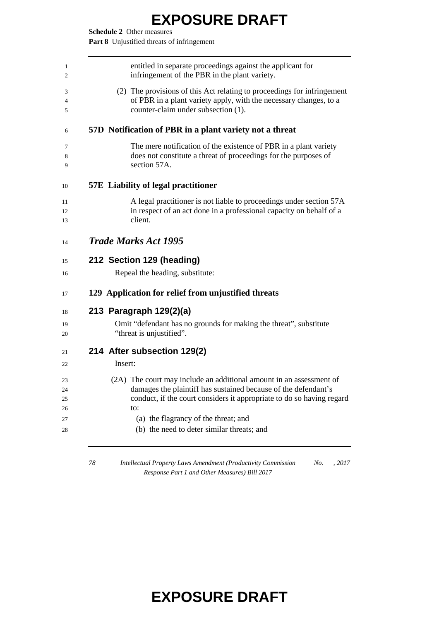**Schedule 2** Other measures

**Part 8** Unjustified threats of infringement

| (2) The provisions of this Act relating to proceedings for infringement<br>of PBR in a plant variety apply, with the necessary changes, to a<br>counter-claim under subsection (1).<br>57D Notification of PBR in a plant variety not a threat |
|------------------------------------------------------------------------------------------------------------------------------------------------------------------------------------------------------------------------------------------------|
|                                                                                                                                                                                                                                                |
|                                                                                                                                                                                                                                                |
| The mere notification of the existence of PBR in a plant variety<br>does not constitute a threat of proceedings for the purposes of<br>section 57A.                                                                                            |
| <b>57E</b> Liability of legal practitioner                                                                                                                                                                                                     |
| A legal practitioner is not liable to proceedings under section 57A<br>in respect of an act done in a professional capacity on behalf of a<br>client.                                                                                          |
| <b>Trade Marks Act 1995</b>                                                                                                                                                                                                                    |
| 212 Section 129 (heading)                                                                                                                                                                                                                      |
| Repeal the heading, substitute:                                                                                                                                                                                                                |
| 129 Application for relief from unjustified threats                                                                                                                                                                                            |
| 213 Paragraph 129(2)(a)<br>Omit "defendant has no grounds for making the threat", substitute<br>"threat is unjustified".                                                                                                                       |
| 214 After subsection 129(2)                                                                                                                                                                                                                    |
| Insert:                                                                                                                                                                                                                                        |
| (2A) The court may include an additional amount in an assessment of<br>damages the plaintiff has sustained because of the defendant's<br>conduct, if the court considers it appropriate to do so having regard<br>to:                          |
| (a) the flagrancy of the threat; and<br>(b) the need to deter similar threats; and                                                                                                                                                             |
|                                                                                                                                                                                                                                                |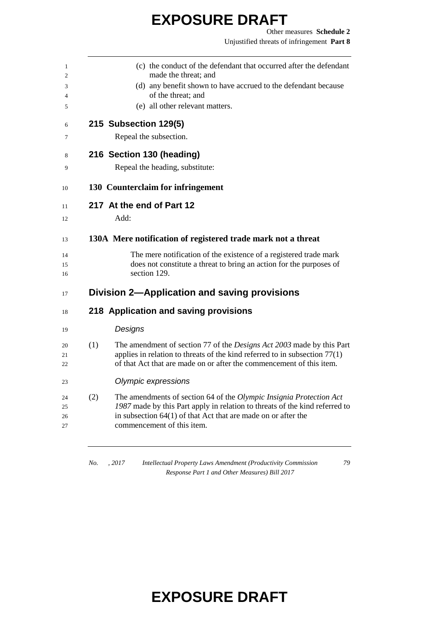Other measures **Schedule 2** Unjustified threats of infringement **Part 8**

| $\mathbf{1}$<br>$\overline{c}$ |     | (c) the conduct of the defendant that occurred after the defendant<br>made the threat; and    |
|--------------------------------|-----|-----------------------------------------------------------------------------------------------|
| 3                              |     | (d) any benefit shown to have accrued to the defendant because                                |
| 4                              |     | of the threat; and                                                                            |
| 5                              |     | (e) all other relevant matters.                                                               |
| 6                              |     | 215 Subsection 129(5)                                                                         |
| 7                              |     | Repeal the subsection.                                                                        |
| 8                              |     | 216 Section 130 (heading)                                                                     |
| 9                              |     | Repeal the heading, substitute:                                                               |
| 10                             |     | 130 Counterclaim for infringement                                                             |
| 11                             |     | 217 At the end of Part 12                                                                     |
| 12                             |     | Add:                                                                                          |
| 13                             |     | 130A Mere notification of registered trade mark not a threat                                  |
| 14                             |     | The mere notification of the existence of a registered trade mark                             |
| 15<br>16                       |     | does not constitute a threat to bring an action for the purposes of<br>section 129.           |
| 17                             |     | Division 2-Application and saving provisions                                                  |
| 18                             |     | 218 Application and saving provisions                                                         |
| 19                             |     | Designs                                                                                       |
| 20                             | (1) | The amendment of section 77 of the Designs Act 2003 made by this Part                         |
| 21                             |     | applies in relation to threats of the kind referred to in subsection $77(1)$                  |
| 22                             |     | of that Act that are made on or after the commencement of this item.                          |
| 23                             |     | Olympic expressions                                                                           |
| 24                             | (2) | The amendments of section 64 of the Olympic Insignia Protection Act                           |
| 25                             |     | 1987 made by this Part apply in relation to threats of the kind referred to                   |
| 26<br>27                       |     | in subsection $64(1)$ of that Act that are made on or after the<br>commencement of this item. |
|                                |     |                                                                                               |

*No. , 2017 Intellectual Property Laws Amendment (Productivity Commission Response Part 1 and Other Measures) Bill 2017*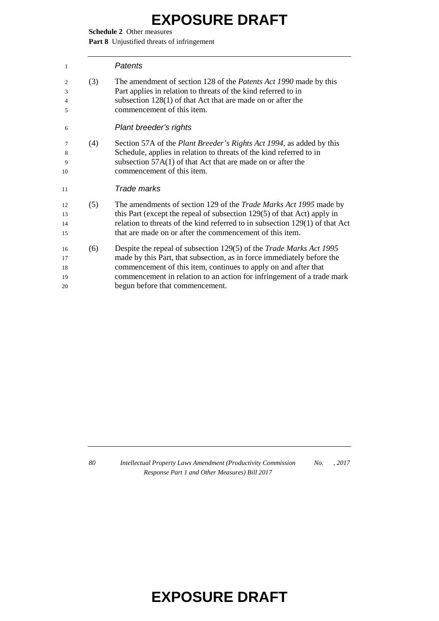**Schedule 2** Other measures

**Part 8** Unjustified threats of infringement

| Patents |
|---------|
|         |

| $\overline{c}$<br>3 | (3) | The amendment of section 128 of the <i>Patents Act 1990</i> made by this<br>Part applies in relation to threats of the kind referred to in |
|---------------------|-----|--------------------------------------------------------------------------------------------------------------------------------------------|
| $\overline{4}$      |     | subsection $128(1)$ of that Act that are made on or after the                                                                              |
| 5                   |     | commencement of this item.                                                                                                                 |
| 6                   |     | Plant breeder's rights                                                                                                                     |
| 7                   | (4) | Section 57A of the <i>Plant Breeder's Rights Act 1994</i> , as added by this                                                               |
| 8                   |     | Schedule, applies in relation to threats of the kind referred to in                                                                        |
| 9                   |     | subsection $57A(1)$ of that Act that are made on or after the                                                                              |
| 10                  |     | commencement of this item.                                                                                                                 |
| 11                  |     | Trade marks                                                                                                                                |
| 12                  | (5) | The amendments of section 129 of the Trade Marks Act 1995 made by                                                                          |
| 13                  |     | this Part (except the repeal of subsection 129(5) of that Act) apply in                                                                    |
| 14                  |     | relation to threats of the kind referred to in subsection $129(1)$ of that Act                                                             |
| 15                  |     | that are made on or after the commencement of this item.                                                                                   |
| 16                  | (6) | Despite the repeal of subsection 129(5) of the <i>Trade Marks Act 1995</i>                                                                 |
| 17                  |     | made by this Part, that subsection, as in force immediately before the                                                                     |
| 18                  |     | commencement of this item, continues to apply on and after that                                                                            |
| 19                  |     | commencement in relation to an action for infringement of a trade mark                                                                     |
| 20                  |     | begun before that commencement.                                                                                                            |
|                     |     |                                                                                                                                            |

 *Intellectual Property Laws Amendment (Productivity Commission Response Part 1 and Other Measures) Bill 2017 No. , 2017*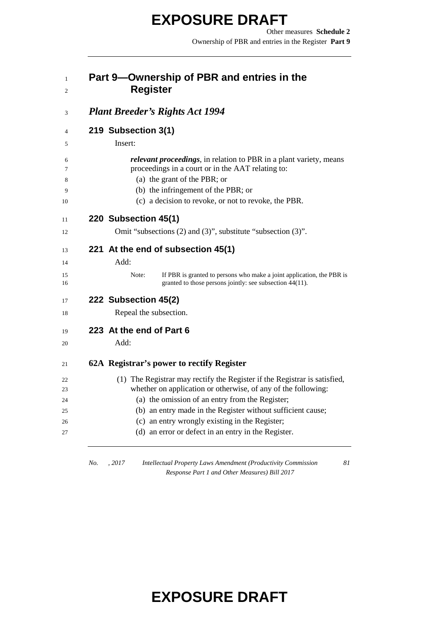Other measures **Schedule 2** Ownership of PBR and entries in the Register **Part 9**

#### **Part 9—Ownership of PBR and entries in the Register**

| 219 Subsection 3(1)                                                                                                                        |
|--------------------------------------------------------------------------------------------------------------------------------------------|
| Insert:                                                                                                                                    |
| <i>relevant proceedings</i> , in relation to PBR in a plant variety, means                                                                 |
| proceedings in a court or in the AAT relating to:                                                                                          |
| (a) the grant of the PBR; or                                                                                                               |
| (b) the infringement of the PBR; or                                                                                                        |
| (c) a decision to revoke, or not to revoke, the PBR.                                                                                       |
| 220 Subsection 45(1)                                                                                                                       |
| Omit "subsections (2) and (3)", substitute "subsection (3)".                                                                               |
| 221 At the end of subsection 45(1)                                                                                                         |
| Add:                                                                                                                                       |
| Note:<br>If PBR is granted to persons who make a joint application, the PBR is<br>granted to those persons jointly: see subsection 44(11). |
| 222 Subsection 45(2)                                                                                                                       |
| Repeal the subsection.                                                                                                                     |
| 223 At the end of Part 6                                                                                                                   |
| Add:                                                                                                                                       |
| 62A Registrar's power to rectify Register                                                                                                  |
| (1) The Registrar may rectify the Register if the Registrar is satisfied,                                                                  |
| whether on application or otherwise, of any of the following:                                                                              |
| (a) the omission of an entry from the Register;                                                                                            |
| (b) an entry made in the Register without sufficient cause;                                                                                |
| (c) an entry wrongly existing in the Register;<br>(d) an error or defect in an entry in the Register.                                      |

*No. , 2017 Intellectual Property Laws Amendment (Productivity Commission Response Part 1 and Other Measures) Bill 2017*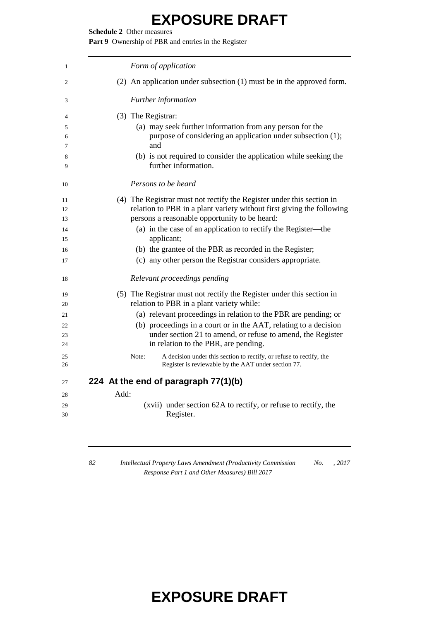**Schedule 2** Other measures

Part 9 Ownership of PBR and entries in the Register

| 1        | Form of application                                                                                                                 |
|----------|-------------------------------------------------------------------------------------------------------------------------------------|
| 2        | $(2)$ An application under subsection $(1)$ must be in the approved form.                                                           |
| 3        | Further information                                                                                                                 |
| 4        | (3) The Registrar:                                                                                                                  |
| 5        | (a) may seek further information from any person for the                                                                            |
| 6        | purpose of considering an application under subsection (1);                                                                         |
| 7        | and                                                                                                                                 |
| 8        | (b) is not required to consider the application while seeking the                                                                   |
| 9        | further information.                                                                                                                |
| 10       | Persons to be heard                                                                                                                 |
| 11       | (4) The Registrar must not rectify the Register under this section in                                                               |
| 12       | relation to PBR in a plant variety without first giving the following                                                               |
| 13       | persons a reasonable opportunity to be heard:                                                                                       |
| 14       | (a) in the case of an application to rectify the Register—the                                                                       |
| 15       | applicant;                                                                                                                          |
| 16       | (b) the grantee of the PBR as recorded in the Register;                                                                             |
| 17       | (c) any other person the Registrar considers appropriate.                                                                           |
| 18       | Relevant proceedings pending                                                                                                        |
| 19       | (5) The Registrar must not rectify the Register under this section in                                                               |
| 20       | relation to PBR in a plant variety while:                                                                                           |
| 21       | (a) relevant proceedings in relation to the PBR are pending; or                                                                     |
| 22       | (b) proceedings in a court or in the AAT, relating to a decision                                                                    |
| 23       | under section 21 to amend, or refuse to amend, the Register                                                                         |
| 24       | in relation to the PBR, are pending.                                                                                                |
| 25<br>26 | A decision under this section to rectify, or refuse to rectify, the<br>Note:<br>Register is reviewable by the AAT under section 77. |
| 27       | 224 At the end of paragraph 77(1)(b)                                                                                                |
| 28       | Add:                                                                                                                                |
| 29       | (xvii) under section 62A to rectify, or refuse to rectify, the                                                                      |
| 30       | Register.                                                                                                                           |
|          |                                                                                                                                     |

 *Intellectual Property Laws Amendment (Productivity Commission Response Part 1 and Other Measures) Bill 2017 No. , 2017*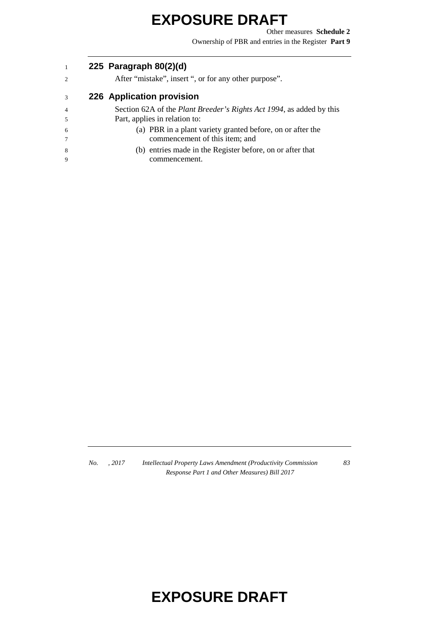Other measures **Schedule 2** Ownership of PBR and entries in the Register **Part 9**

#### **225 Paragraph 80(2)(d)**

After "mistake", insert ", or for any other purpose".

#### **226 Application provision**

- Section 62A of the *Plant Breeder's Rights Act 1994*, as added by this Part, applies in relation to:
- (a) PBR in a plant variety granted before, on or after the commencement of this item; and
- (b) entries made in the Register before, on or after that commencement.

*No. , 2017 Intellectual Property Laws Amendment (Productivity Commission Response Part 1 and Other Measures) Bill 2017*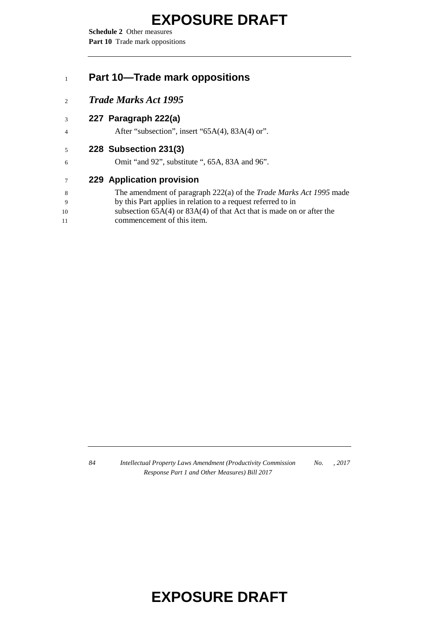**Schedule 2** Other measures Part 10 Trade mark oppositions

#### **Part 10—Trade mark oppositions**

*Trade Marks Act 1995*

#### **227 Paragraph 222(a)**

4 After "subsection", insert "65A(4), 83A(4) or".

#### **228 Subsection 231(3)**

Omit "and 92", substitute ", 65A, 83A and 96".

#### **229 Application provision**

| -8  | The amendment of paragraph 222(a) of the <i>Trade Marks Act 1995</i> made |
|-----|---------------------------------------------------------------------------|
| - 9 | by this Part applies in relation to a request referred to in              |
| 10  | subsection $65A(4)$ or $83A(4)$ of that Act that is made on or after the  |

commencement of this item.

 *Intellectual Property Laws Amendment (Productivity Commission Response Part 1 and Other Measures) Bill 2017 No. , 2017*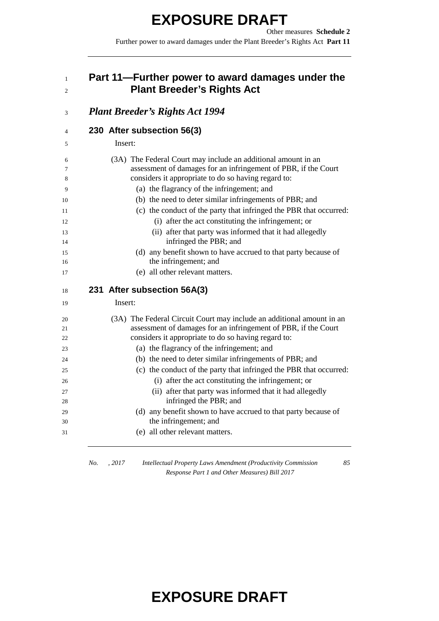Other measures **Schedule 2** Further power to award damages under the Plant Breeder's Rights Act **Part 11**

#### **Part 11—Further power to award damages under the Plant Breeder's Rights Act**

| <b>Plant Breeder's Rights Act 1994</b>                                                                                          |
|---------------------------------------------------------------------------------------------------------------------------------|
| 230 After subsection 56(3)                                                                                                      |
| Insert:                                                                                                                         |
| (3A) The Federal Court may include an additional amount in an<br>assessment of damages for an infringement of PBR, if the Court |
| considers it appropriate to do so having regard to:                                                                             |
| (a) the flagrancy of the infringement; and                                                                                      |
| (b) the need to deter similar infringements of PBR; and                                                                         |
| (c) the conduct of the party that infringed the PBR that occurred:                                                              |
| (i) after the act constituting the infringement; or                                                                             |
| (ii) after that party was informed that it had allegedly                                                                        |
| infringed the PBR; and                                                                                                          |
| (d) any benefit shown to have accrued to that party because of                                                                  |
| the infringement; and                                                                                                           |
| (e) all other relevant matters.                                                                                                 |
| 231 After subsection 56A(3)                                                                                                     |
| Insert:                                                                                                                         |
| (3A) The Federal Circuit Court may include an additional amount in an                                                           |
| assessment of damages for an infringement of PBR, if the Court                                                                  |
| considers it appropriate to do so having regard to:                                                                             |
| (a) the flagrancy of the infringement; and                                                                                      |
| (b) the need to deter similar infringements of PBR; and                                                                         |
| (c) the conduct of the party that infringed the PBR that occurred:                                                              |
| (i) after the act constituting the infringement; or                                                                             |
| (ii) after that party was informed that it had allegedly                                                                        |
|                                                                                                                                 |
| infringed the PBR; and                                                                                                          |
| (d) any benefit shown to have accrued to that party because of                                                                  |
| the infringement; and<br>(e) all other relevant matters.                                                                        |

*No. , 2017 Intellectual Property Laws Amendment (Productivity Commission Response Part 1 and Other Measures) Bill 2017*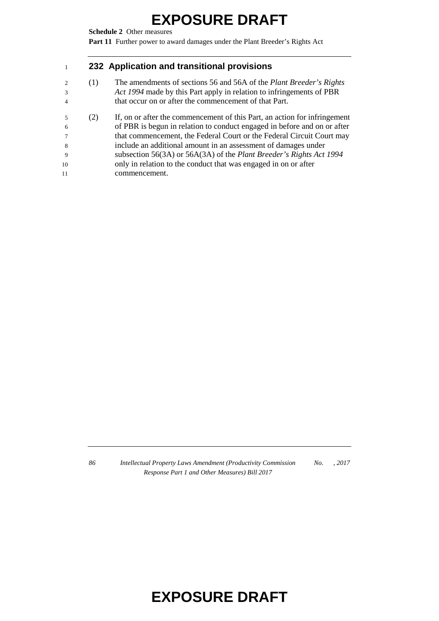**Schedule 2** Other measures

**Part 11** Further power to award damages under the Plant Breeder's Rights Act

#### **232 Application and transitional provisions**

- (1) The amendments of sections 56 and 56A of the *Plant Breeder's Rights Act 1994* made by this Part apply in relation to infringements of PBR that occur on or after the commencement of that Part.
- (2) If, on or after the commencement of this Part, an action for infringement of PBR is begun in relation to conduct engaged in before and on or after that commencement, the Federal Court or the Federal Circuit Court may include an additional amount in an assessment of damages under subsection 56(3A) or 56A(3A) of the *Plant Breeder's Rights Act 1994*  only in relation to the conduct that was engaged in on or after commencement.

 *Intellectual Property Laws Amendment (Productivity Commission Response Part 1 and Other Measures) Bill 2017 No. , 2017*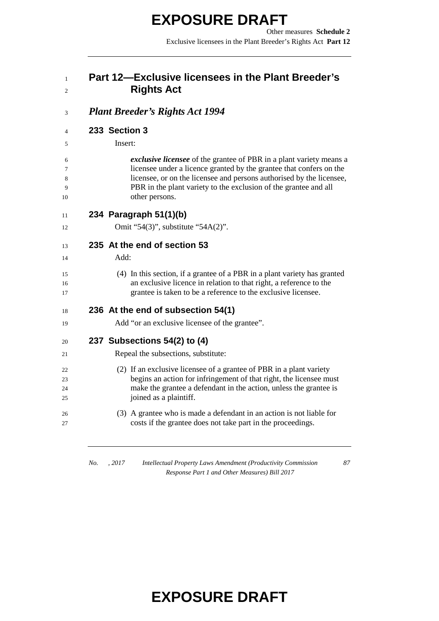Other measures **Schedule 2** Exclusive licensees in the Plant Breeder's Rights Act **Part 12**

#### **Part 12—Exclusive licensees in the Plant Breeder's Rights Act**

#### *Plant Breeder's Rights Act 1994*

**233 Section 3**

Insert:

 *exclusive licensee* of the grantee of PBR in a plant variety means a licensee under a licence granted by the grantee that confers on the licensee, or on the licensee and persons authorised by the licensee, PBR in the plant variety to the exclusion of the grantee and all other persons.

| 11 | 234 Paragraph 51(1)(b) |  |
|----|------------------------|--|
|    |                        |  |

**Omit "54(3)"**, substitute "54A(2)".

#### **235 At the end of section 53**

Add:

 (4) In this section, if a grantee of a PBR in a plant variety has granted an exclusive licence in relation to that right, a reference to the grantee is taken to be a reference to the exclusive licensee.

#### **236 At the end of subsection 54(1)**

Add "or an exclusive licensee of the grantee".

#### **237 Subsections 54(2) to (4)**

- Repeal the subsections, substitute:
- (2) If an exclusive licensee of a grantee of PBR in a plant variety begins an action for infringement of that right, the licensee must make the grantee a defendant in the action, unless the grantee is joined as a plaintiff.
- (3) A grantee who is made a defendant in an action is not liable for costs if the grantee does not take part in the proceedings.

*No. , 2017 Intellectual Property Laws Amendment (Productivity Commission Response Part 1 and Other Measures) Bill 2017*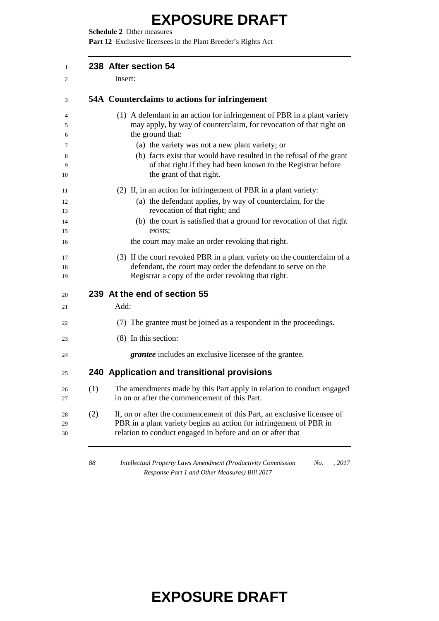**Schedule 2** Other measures

**Part 12** Exclusive licensees in the Plant Breeder's Rights Act

|     | 238 After section 54                                                                                                                                                                                        |
|-----|-------------------------------------------------------------------------------------------------------------------------------------------------------------------------------------------------------------|
|     | Insert:                                                                                                                                                                                                     |
|     | 54A Counterclaims to actions for infringement                                                                                                                                                               |
|     | (1) A defendant in an action for infringement of PBR in a plant variety                                                                                                                                     |
|     | may apply, by way of counterclaim, for revocation of that right on<br>the ground that:                                                                                                                      |
|     | (a) the variety was not a new plant variety; or                                                                                                                                                             |
|     | (b) facts exist that would have resulted in the refusal of the grant                                                                                                                                        |
|     | of that right if they had been known to the Registrar before                                                                                                                                                |
|     | the grant of that right.                                                                                                                                                                                    |
|     | (2) If, in an action for infringement of PBR in a plant variety:                                                                                                                                            |
|     | (a) the defendant applies, by way of counterclaim, for the                                                                                                                                                  |
|     | revocation of that right; and<br>(b) the court is satisfied that a ground for revocation of that right                                                                                                      |
|     | exists;                                                                                                                                                                                                     |
|     | the court may make an order revoking that right.                                                                                                                                                            |
|     | (3) If the court revoked PBR in a plant variety on the counterclaim of a                                                                                                                                    |
|     | defendant, the court may order the defendant to serve on the                                                                                                                                                |
|     | Registrar a copy of the order revoking that right.                                                                                                                                                          |
|     | 239 At the end of section 55                                                                                                                                                                                |
|     | Add:                                                                                                                                                                                                        |
|     | (7) The grantee must be joined as a respondent in the proceedings.                                                                                                                                          |
|     | (8) In this section:                                                                                                                                                                                        |
|     | <i>grantee</i> includes an exclusive licensee of the grantee.                                                                                                                                               |
|     | 240 Application and transitional provisions                                                                                                                                                                 |
| (1) | The amendments made by this Part apply in relation to conduct engaged<br>in on or after the commencement of this Part.                                                                                      |
| (2) | If, on or after the commencement of this Part, an exclusive licensee of<br>PBR in a plant variety begins an action for infringement of PBR in<br>relation to conduct engaged in before and on or after that |

 *Intellectual Property Laws Amendment (Productivity Commission Response Part 1 and Other Measures) Bill 2017 No. , 2017*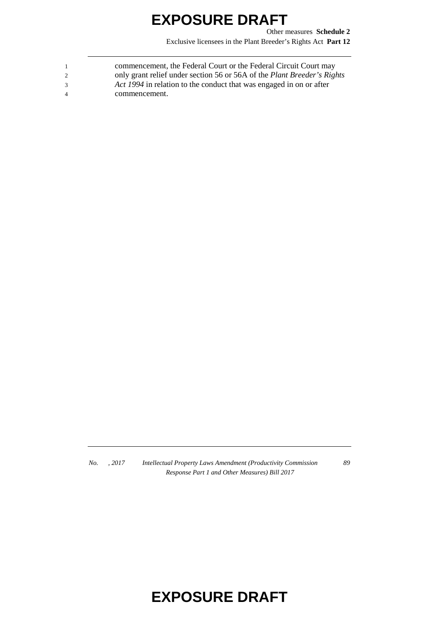Other measures **Schedule 2** Exclusive licensees in the Plant Breeder's Rights Act **Part 12**

| $\overline{1}$ | commencement, the Federal Court or the Federal Circuit Court may               |
|----------------|--------------------------------------------------------------------------------|
| 2              | only grant relief under section 56 or 56A of the <i>Plant Breeder's Rights</i> |
| $\mathcal{R}$  | Act 1994 in relation to the conduct that was engaged in on or after            |
| $\overline{4}$ | commencement.                                                                  |

*No. , 2017 Intellectual Property Laws Amendment (Productivity Commission Response Part 1 and Other Measures) Bill 2017*

*89*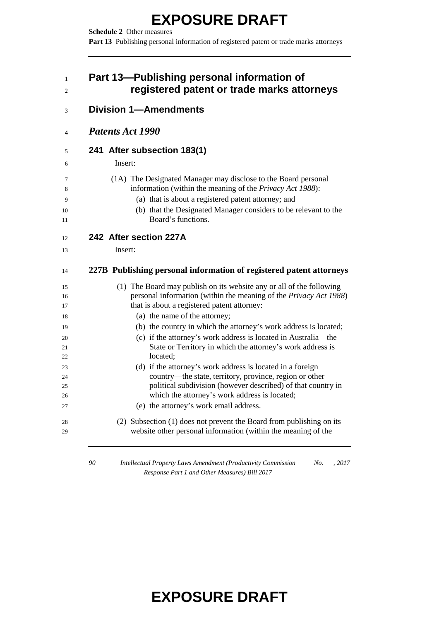**Schedule 2** Other measures Part 13 Publishing personal information of registered patent or trade marks attorneys

#### **Part 13—Publishing personal information of registered patent or trade marks attorneys**

| <b>Patents Act 1990</b>                                                                                                                                 |
|---------------------------------------------------------------------------------------------------------------------------------------------------------|
| 241 After subsection 183(1)                                                                                                                             |
| Insert:                                                                                                                                                 |
| (1A) The Designated Manager may disclose to the Board personal                                                                                          |
| information (within the meaning of the Privacy Act 1988):                                                                                               |
| (a) that is about a registered patent attorney; and                                                                                                     |
| (b) that the Designated Manager considers to be relevant to the<br>Board's functions.                                                                   |
| 242 After section 227A                                                                                                                                  |
| Insert:                                                                                                                                                 |
| 227B Publishing personal information of registered patent attorneys                                                                                     |
|                                                                                                                                                         |
| (1) The Board may publish on its website any or all of the following                                                                                    |
| that is about a registered patent attorney:                                                                                                             |
| personal information (within the meaning of the Privacy Act 1988)                                                                                       |
| (a) the name of the attorney;<br>(b) the country in which the attorney's work address is located;                                                       |
| (c) if the attorney's work address is located in Australia—the                                                                                          |
| State or Territory in which the attorney's work address is                                                                                              |
| located:                                                                                                                                                |
| (d) if the attorney's work address is located in a foreign                                                                                              |
| country-the state, territory, province, region or other                                                                                                 |
|                                                                                                                                                         |
| political subdivision (however described) of that country in<br>which the attorney's work address is located;<br>(e) the attorney's work email address. |
| (2) Subsection (1) does not prevent the Board from publishing on its                                                                                    |

 *Intellectual Property Laws Amendment (Productivity Commission No. , 2017 Response Part 1 and Other Measures) Bill 2017*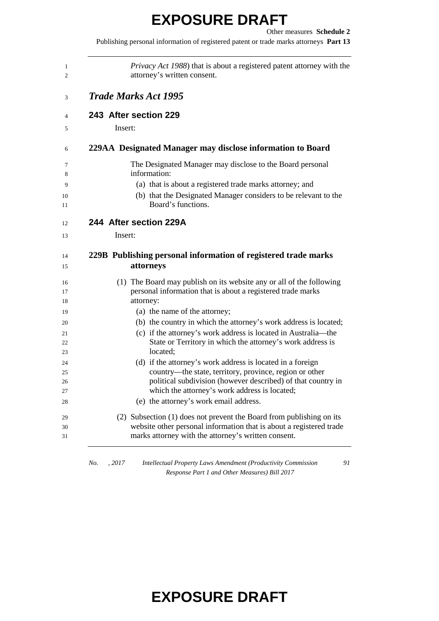Publishing personal information of registered patent or trade marks attorneys **Part 13**

|         | <i>Privacy Act 1988</i> ) that is about a registered patent attorney with the<br>attorney's written consent.                                |
|---------|---------------------------------------------------------------------------------------------------------------------------------------------|
|         | <b>Trade Marks Act 1995</b>                                                                                                                 |
|         | 243 After section 229                                                                                                                       |
| Insert: |                                                                                                                                             |
|         | 229AA Designated Manager may disclose information to Board                                                                                  |
|         | The Designated Manager may disclose to the Board personal<br>information:                                                                   |
|         | (a) that is about a registered trade marks attorney; and                                                                                    |
|         | (b) that the Designated Manager considers to be relevant to the<br>Board's functions.                                                       |
|         | 244 After section 229A                                                                                                                      |
| Insert: |                                                                                                                                             |
|         | 229B Publishing personal information of registered trade marks<br>attorneys                                                                 |
|         |                                                                                                                                             |
|         | (1) The Board may publish on its website any or all of the following<br>personal information that is about a registered trade marks         |
|         | attorney:<br>(a) the name of the attorney;                                                                                                  |
|         | (b) the country in which the attorney's work address is located;                                                                            |
|         | (c) if the attorney's work address is located in Australia—the<br>State or Territory in which the attorney's work address is                |
|         | located:                                                                                                                                    |
|         | (d) if the attorney's work address is located in a foreign                                                                                  |
|         | country—the state, territory, province, region or other<br>political subdivision (however described) of that country in                     |
|         | which the attorney's work address is located;                                                                                               |
|         | (e) the attorney's work email address.                                                                                                      |
|         | (2) Subsection (1) does not prevent the Board from publishing on its<br>website other personal information that is about a registered trade |

*No. , 2017 Intellectual Property Laws Amendment (Productivity Commission Response Part 1 and Other Measures) Bill 2017*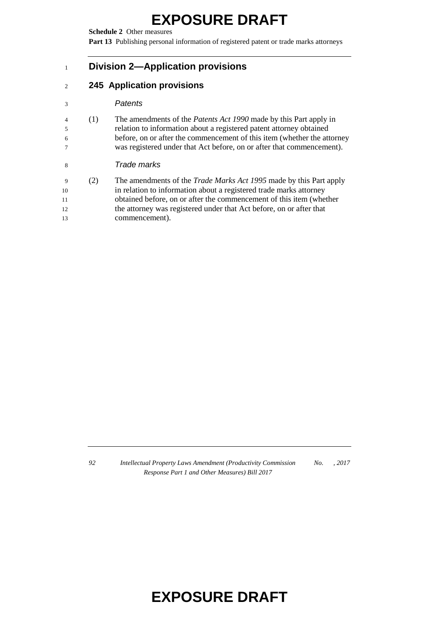**Schedule 2** Other measures

Part 13 Publishing personal information of registered patent or trade marks attorneys

#### **Division 2—Application provisions**

#### **245 Application provisions**

#### *Patents*

 (1) The amendments of the *Patents Act 1990* made by this Part apply in relation to information about a registered patent attorney obtained before, on or after the commencement of this item (whether the attorney was registered under that Act before, on or after that commencement).

#### *Trade marks*

 (2) The amendments of the *Trade Marks Act 1995* made by this Part apply in relation to information about a registered trade marks attorney obtained before, on or after the commencement of this item (whether the attorney was registered under that Act before, on or after that commencement).

 *Intellectual Property Laws Amendment (Productivity Commission Response Part 1 and Other Measures) Bill 2017 No. , 2017*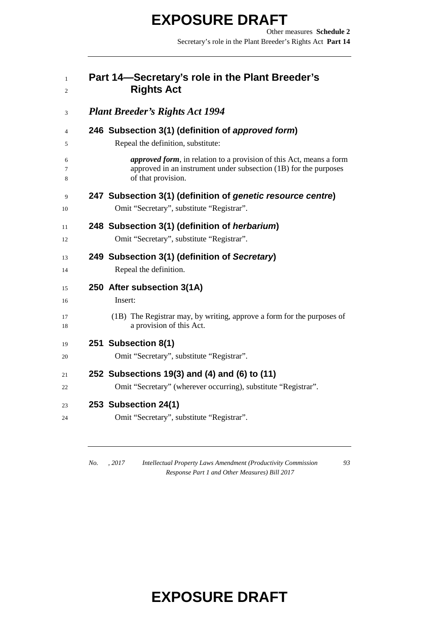Other measures **Schedule 2** Secretary's role in the Plant Breeder's Rights Act **Part 14**

#### **Part 14—Secretary's role in the Plant Breeder's Rights Act**

| <b>Plant Breeder's Rights Act 1994</b>                                                                                                                                |
|-----------------------------------------------------------------------------------------------------------------------------------------------------------------------|
| 246 Subsection 3(1) (definition of approved form)                                                                                                                     |
| Repeal the definition, substitute:                                                                                                                                    |
| <i>approved form</i> , in relation to a provision of this Act, means a form<br>approved in an instrument under subsection (1B) for the purposes<br>of that provision. |
| 247 Subsection 3(1) (definition of genetic resource centre)<br>Omit "Secretary", substitute "Registrar".                                                              |
| 248 Subsection 3(1) (definition of <i>herbarium</i> )                                                                                                                 |
| Omit "Secretary", substitute "Registrar".                                                                                                                             |
| 249 Subsection 3(1) (definition of Secretary)                                                                                                                         |
| Repeal the definition.                                                                                                                                                |
| 250 After subsection 3(1A)                                                                                                                                            |
| Insert:                                                                                                                                                               |
| (1B) The Registrar may, by writing, approve a form for the purposes of                                                                                                |
| a provision of this Act.                                                                                                                                              |
| 251 Subsection 8(1)                                                                                                                                                   |
| Omit "Secretary", substitute "Registrar".                                                                                                                             |
| 252 Subsections 19(3) and (4) and (6) to (11)                                                                                                                         |
| Omit "Secretary" (wherever occurring), substitute "Registrar".                                                                                                        |
| 253 Subsection 24(1)                                                                                                                                                  |
| Omit "Secretary", substitute "Registrar".                                                                                                                             |

*No. , 2017 Intellectual Property Laws Amendment (Productivity Commission Response Part 1 and Other Measures) Bill 2017*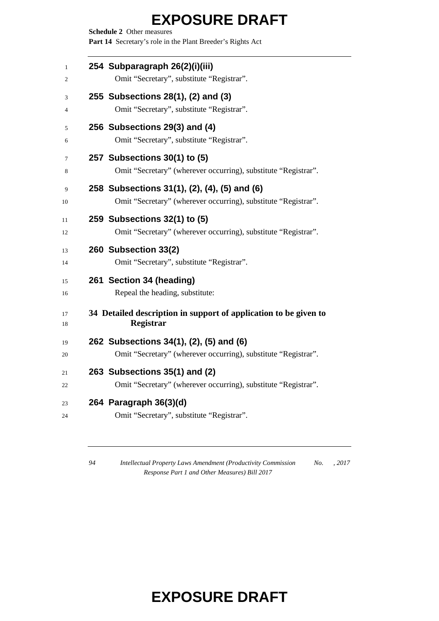**Schedule 2** Other measures Part 14 Secretary's role in the Plant Breeder's Rights Act

| 1<br>2   | 254 Subparagraph 26(2)(i)(iii)<br>Omit "Secretary", substitute "Registrar".                                    |
|----------|----------------------------------------------------------------------------------------------------------------|
| 3<br>4   | 255 Subsections 28(1), (2) and (3)<br>Omit "Secretary", substitute "Registrar".                                |
| 5<br>6   | 256 Subsections 29(3) and (4)<br>Omit "Secretary", substitute "Registrar".                                     |
| 7<br>8   | 257 Subsections 30(1) to (5)<br>Omit "Secretary" (wherever occurring), substitute "Registrar".                 |
| 9<br>10  | 258 Subsections 31(1), (2), (4), (5) and (6)<br>Omit "Secretary" (wherever occurring), substitute "Registrar". |
| 11<br>12 | 259 Subsections 32(1) to (5)<br>Omit "Secretary" (wherever occurring), substitute "Registrar".                 |
| 13<br>14 | 260 Subsection 33(2)<br>Omit "Secretary", substitute "Registrar".                                              |
| 15<br>16 | 261 Section 34 (heading)<br>Repeal the heading, substitute:                                                    |
| 17<br>18 | 34 Detailed description in support of application to be given to<br><b>Registrar</b>                           |
| 19<br>20 | 262 Subsections 34(1), (2), (5) and (6)<br>Omit "Secretary" (wherever occurring), substitute "Registrar".      |
| 21<br>22 | 263 Subsections 35(1) and (2)<br>Omit "Secretary" (wherever occurring), substitute "Registrar".                |
| 23<br>24 | 264 Paragraph 36(3)(d)<br>Omit "Secretary", substitute "Registrar".                                            |

 *Intellectual Property Laws Amendment (Productivity Commission Response Part 1 and Other Measures) Bill 2017 No. , 2017*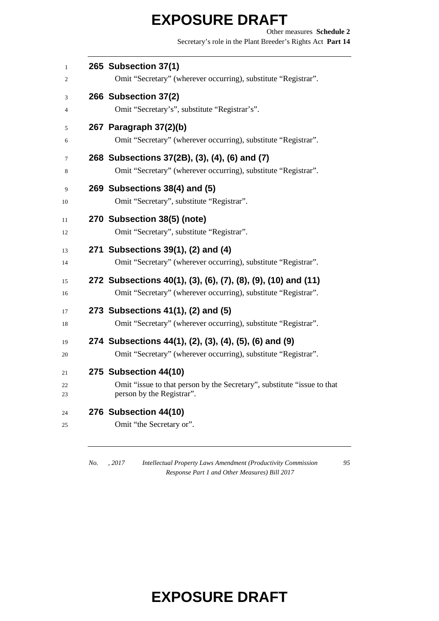Other measures **Schedule 2** Secretary's role in the Plant Breeder's Rights Act **Part 14**

| $\mathbf{1}$<br>2 | 265 Subsection 37(1)<br>Omit "Secretary" (wherever occurring), substitute "Registrar".                                          |
|-------------------|---------------------------------------------------------------------------------------------------------------------------------|
| 3<br>4            | 266 Subsection 37(2)<br>Omit "Secretary's", substitute "Registrar's".                                                           |
| 5<br>6            | 267 Paragraph 37(2)(b)<br>Omit "Secretary" (wherever occurring), substitute "Registrar".                                        |
| 7<br>8            | 268 Subsections 37(2B), (3), (4), (6) and (7)<br>Omit "Secretary" (wherever occurring), substitute "Registrar".                 |
| 9<br>10           | 269 Subsections 38(4) and (5)<br>Omit "Secretary", substitute "Registrar".                                                      |
| 11<br>12          | 270 Subsection 38(5) (note)<br>Omit "Secretary", substitute "Registrar".                                                        |
| 13<br>14          | 271 Subsections 39(1), (2) and (4)<br>Omit "Secretary" (wherever occurring), substitute "Registrar".                            |
| 15<br>16          | 272 Subsections 40(1), (3), (6), (7), (8), (9), (10) and (11)<br>Omit "Secretary" (wherever occurring), substitute "Registrar". |
| 17<br>18          | 273 Subsections 41(1), (2) and (5)<br>Omit "Secretary" (wherever occurring), substitute "Registrar".                            |
| 19<br>20          | 274 Subsections 44(1), (2), (3), (4), (5), (6) and (9)<br>Omit "Secretary" (wherever occurring), substitute "Registrar".        |
| 21<br>22<br>23    | 275 Subsection 44(10)<br>Omit "issue to that person by the Secretary", substitute "issue to that<br>person by the Registrar".   |
| 24<br>25          | 276 Subsection 44(10)<br>Omit "the Secretary or".                                                                               |

*No. , 2017 Intellectual Property Laws Amendment (Productivity Commission Response Part 1 and Other Measures) Bill 2017*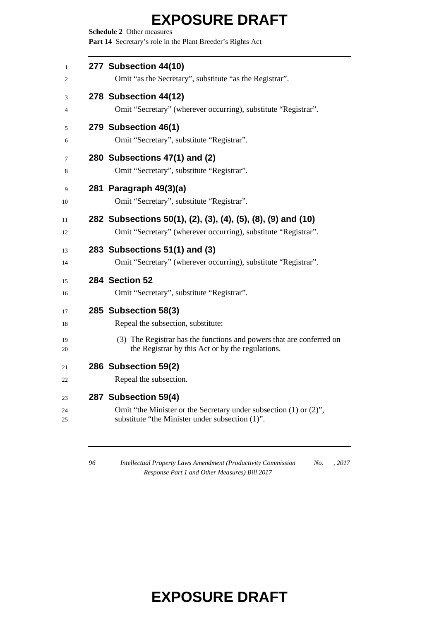**Schedule 2** Other measures Part 14 Secretary's role in the Plant Breeder's Rights Act

| 277 Subsection 44(10)<br>Omit "as the Secretary", substitute "as the Registrar".                                                                                                       |
|----------------------------------------------------------------------------------------------------------------------------------------------------------------------------------------|
| 278 Subsection 44(12)<br>Omit "Secretary" (wherever occurring), substitute "Registrar".                                                                                                |
| 279 Subsection 46(1)<br>Omit "Secretary", substitute "Registrar".                                                                                                                      |
| 280 Subsections 47(1) and (2)<br>Omit "Secretary", substitute "Registrar".                                                                                                             |
| 281 Paragraph 49(3)(a)<br>Omit "Secretary", substitute "Registrar".                                                                                                                    |
| 282 Subsections 50(1), (2), (3), (4), (5), (8), (9) and (10)<br>Omit "Secretary" (wherever occurring), substitute "Registrar".                                                         |
| 283 Subsections 51(1) and (3)<br>Omit "Secretary" (wherever occurring), substitute "Registrar".                                                                                        |
| 284 Section 52<br>Omit "Secretary", substitute "Registrar".                                                                                                                            |
| 285 Subsection 58(3)<br>Repeal the subsection, substitute:<br>(3) The Registrar has the functions and powers that are conferred on<br>the Registrar by this Act or by the regulations. |
| 286 Subsection 59(2)<br>Repeal the subsection.                                                                                                                                         |
| 287 Subsection 59(4)<br>Omit "the Minister or the Secretary under subsection (1) or (2)",<br>substitute "the Minister under subsection (1)".                                           |

 *Intellectual Property Laws Amendment (Productivity Commission Response Part 1 and Other Measures) Bill 2017 No. , 2017*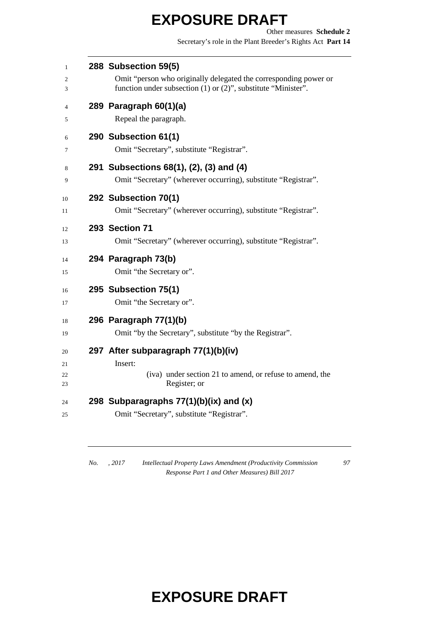Other measures **Schedule 2** Secretary's role in the Plant Breeder's Rights Act **Part 14**

| 1        | 288 Subsection 59(5)                                                                                                              |
|----------|-----------------------------------------------------------------------------------------------------------------------------------|
| 2<br>3   | Omit "person who originally delegated the corresponding power or<br>function under subsection (1) or (2)", substitute "Minister". |
| 4        | 289 Paragraph 60(1)(a)                                                                                                            |
| 5        | Repeal the paragraph.                                                                                                             |
| 6        | 290 Subsection 61(1)                                                                                                              |
| 7        | Omit "Secretary", substitute "Registrar".                                                                                         |
| 8        | 291 Subsections 68(1), (2), (3) and (4)                                                                                           |
| 9        | Omit "Secretary" (wherever occurring), substitute "Registrar".                                                                    |
| 10       | 292 Subsection 70(1)                                                                                                              |
| 11       | Omit "Secretary" (wherever occurring), substitute "Registrar".                                                                    |
| 12       | 293 Section 71                                                                                                                    |
| 13       | Omit "Secretary" (wherever occurring), substitute "Registrar".                                                                    |
| 14       | 294 Paragraph 73(b)                                                                                                               |
| 15       | Omit "the Secretary or".                                                                                                          |
| 16       | 295 Subsection 75(1)                                                                                                              |
| 17       | Omit "the Secretary or".                                                                                                          |
| 18       | 296 Paragraph 77(1)(b)                                                                                                            |
| 19       | Omit "by the Secretary", substitute "by the Registrar".                                                                           |
| 20       | 297 After subparagraph 77(1)(b)(iv)                                                                                               |
| 21       | Insert:                                                                                                                           |
| 22<br>23 | (iva) under section 21 to amend, or refuse to amend, the<br>Register; or                                                          |
| 24       | 298 Subparagraphs 77(1)(b)(ix) and (x)                                                                                            |
| 25       | Omit "Secretary", substitute "Registrar".                                                                                         |
|          |                                                                                                                                   |

*No. , 2017 Intellectual Property Laws Amendment (Productivity Commission Response Part 1 and Other Measures) Bill 2017*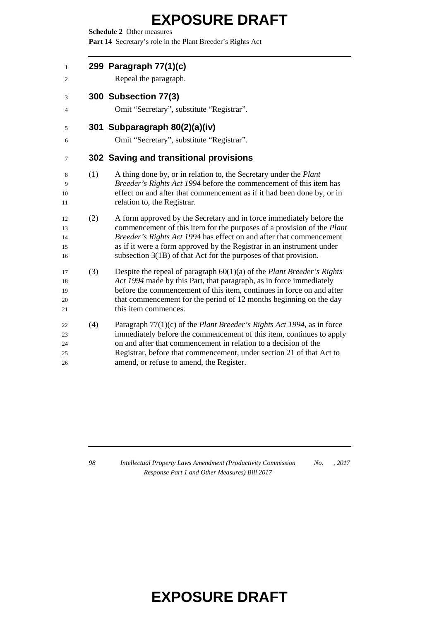**Schedule 2** Other measures

Part 14 Secretary's role in the Plant Breeder's Rights Act

 **299 Paragraph 77(1)(c)** Repeal the paragraph. **300 Subsection 77(3)** Omit "Secretary", substitute "Registrar". **301 Subparagraph 80(2)(a)(iv)** Omit "Secretary", substitute "Registrar". **302 Saving and transitional provisions** (1) A thing done by, or in relation to, the Secretary under the *Plant Breeder's Rights Act 1994* before the commencement of this item has effect on and after that commencement as if it had been done by, or in relation to, the Registrar. (2) A form approved by the Secretary and in force immediately before the commencement of this item for the purposes of a provision of the *Plant Breeder's Rights Act 1994* has effect on and after that commencement as if it were a form approved by the Registrar in an instrument under subsection 3(1B) of that Act for the purposes of that provision. (3) Despite the repeal of paragraph 60(1)(a) of the *Plant Breeder's Rights Act 1994* made by this Part, that paragraph, as in force immediately before the commencement of this item, continues in force on and after that commencement for the period of 12 months beginning on the day 21 this item commences. (4) Paragraph 77(1)(c) of the *Plant Breeder's Rights Act 1994*, as in force immediately before the commencement of this item, continues to apply on and after that commencement in relation to a decision of the Registrar, before that commencement, under section 21 of that Act to amend, or refuse to amend, the Register.

 *Intellectual Property Laws Amendment (Productivity Commission Response Part 1 and Other Measures) Bill 2017 No. , 2017*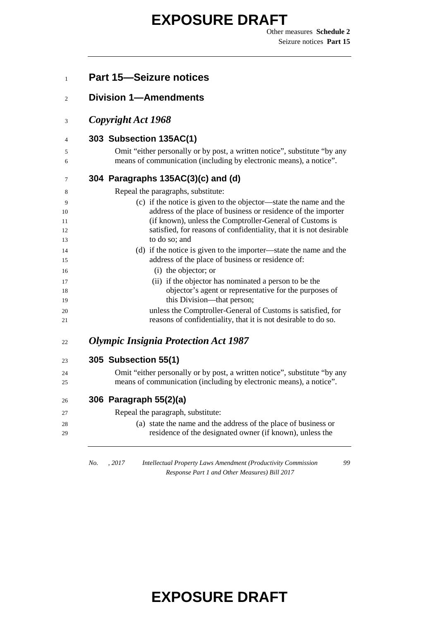Other measures **Schedule 2** Seizure notices **Part 15**

| <b>Division 1-Amendments</b>                                                                                                                    |
|-------------------------------------------------------------------------------------------------------------------------------------------------|
|                                                                                                                                                 |
| Copyright Act 1968                                                                                                                              |
| 303 Subsection 135AC(1)                                                                                                                         |
| Omit "either personally or by post, a written notice", substitute "by any<br>means of communication (including by electronic means), a notice". |
| 304 Paragraphs 135AC(3)(c) and (d)                                                                                                              |
| Repeal the paragraphs, substitute:                                                                                                              |
| (c) if the notice is given to the objector—state the name and the                                                                               |
| address of the place of business or residence of the importer                                                                                   |
| (if known), unless the Comptroller-General of Customs is<br>satisfied, for reasons of confidentiality, that it is not desirable                 |
| to do so; and                                                                                                                                   |
| (d) if the notice is given to the importer—state the name and the                                                                               |
| address of the place of business or residence of:                                                                                               |
| (i) the objector; or                                                                                                                            |
| (ii) if the objector has nominated a person to be the                                                                                           |
| objector's agent or representative for the purposes of<br>this Division—that person;                                                            |
| unless the Comptroller-General of Customs is satisfied, for                                                                                     |
| reasons of confidentiality, that it is not desirable to do so.                                                                                  |
| <b>Olympic Insignia Protection Act 1987</b>                                                                                                     |
| 305 Subsection 55(1)                                                                                                                            |
| Omit "either personally or by post, a written notice", substitute "by any                                                                       |
| means of communication (including by electronic means), a notice".                                                                              |
| 306 Paragraph 55(2)(a)                                                                                                                          |
| Repeal the paragraph, substitute:                                                                                                               |
| (a) state the name and the address of the place of business or<br>residence of the designated owner (if known), unless the                      |

*Response Part 1 and Other Measures) Bill 2017*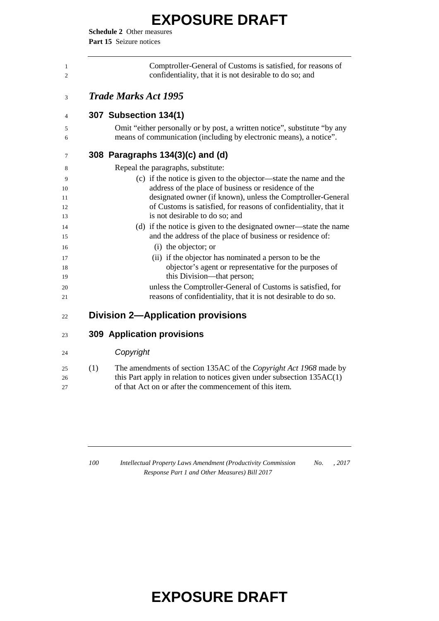**Schedule 2** Other measures Part 15 Seizure notices

| Comptroller-General of Customs is satisfied, for reasons of<br>confidentiality, that it is not desirable to do so; and                          |
|-------------------------------------------------------------------------------------------------------------------------------------------------|
| <b>Trade Marks Act 1995</b>                                                                                                                     |
| 307 Subsection 134(1)                                                                                                                           |
| Omit "either personally or by post, a written notice", substitute "by any<br>means of communication (including by electronic means), a notice". |
| 308 Paragraphs 134(3)(c) and (d)                                                                                                                |
| Repeal the paragraphs, substitute:                                                                                                              |
| (c) if the notice is given to the objector—state the name and the                                                                               |
| address of the place of business or residence of the                                                                                            |
| designated owner (if known), unless the Comptroller-General                                                                                     |
| of Customs is satisfied, for reasons of confidentiality, that it<br>is not desirable to do so; and                                              |
| (d) if the notice is given to the designated owner—state the name                                                                               |
| and the address of the place of business or residence of:                                                                                       |
| (i) the objector; or                                                                                                                            |
| (ii) if the objector has nominated a person to be the                                                                                           |
| objector's agent or representative for the purposes of                                                                                          |
| this Division—that person;                                                                                                                      |
| unless the Comptroller-General of Customs is satisfied, for                                                                                     |
| reasons of confidentiality, that it is not desirable to do so.                                                                                  |

#### **309 Application provisions**

#### *Copyright*

| 25 | (1) | The amendments of section 135AC of the <i>Copyright Act 1968</i> made by |
|----|-----|--------------------------------------------------------------------------|
| 26 |     | this Part apply in relation to notices given under subsection $135AC(1)$ |
| 27 |     | of that Act on or after the commencement of this item.                   |

 *Intellectual Property Laws Amendment (Productivity Commission Response Part 1 and Other Measures) Bill 2017 No. , 2017*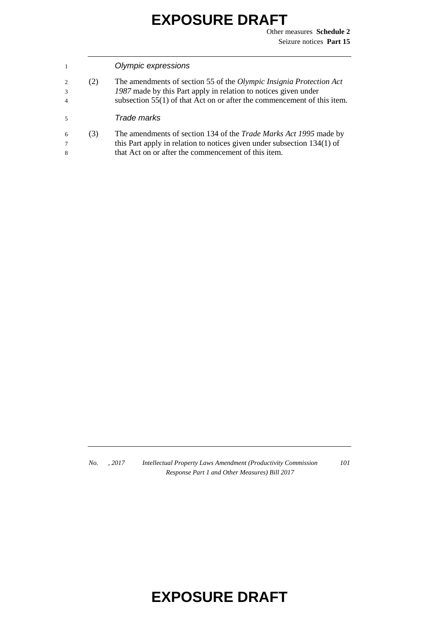Other measures **Schedule 2** Seizure notices **Part 15**

#### 1 *Olympic expressions*

2 (2) The amendments of section 55 of the *Olympic Insignia Protection Act*  3 *1987* made by this Part apply in relation to notices given under 4 subsection 55(1) of that Act on or after the commencement of this item.

#### 5 *Trade marks*

6 (3) The amendments of section 134 of the *Trade Marks Act 1995* made by 7 this Part apply in relation to notices given under subsection 134(1) of 8 that Act on or after the commencement of this item.

*No. , 2017 Intellectual Property Laws Amendment (Productivity Commission Response Part 1 and Other Measures) Bill 2017*

*101*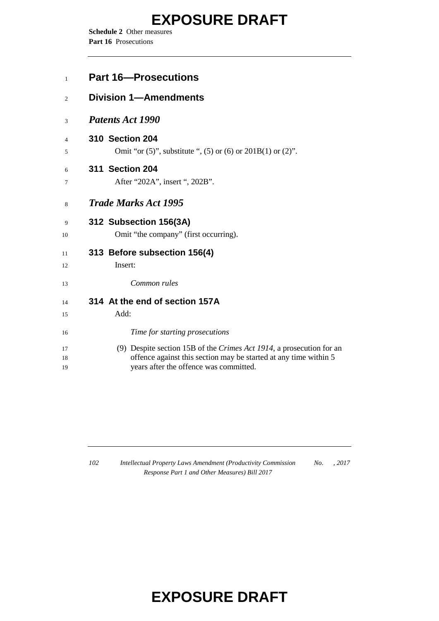**Schedule 2** Other measures Part 16 Prosecutions

| $\mathbf{1}$ | <b>Part 16–Prosecutions</b>                                             |
|--------------|-------------------------------------------------------------------------|
| 2            | <b>Division 1-Amendments</b>                                            |
| 3            | <b>Patents Act 1990</b>                                                 |
| 4            | <b>310 Section 204</b>                                                  |
| 5            | Omit "or $(5)$ ", substitute ", $(5)$ or $(6)$ or $201B(1)$ or $(2)$ ". |
| 6            | 311 Section 204                                                         |
| 7            | After "202A", insert ", 202B".                                          |
| 8            | <b>Trade Marks Act 1995</b>                                             |
| 9            | 312 Subsection 156(3A)                                                  |
| 10           | Omit "the company" (first occurring).                                   |
| 11           | 313 Before subsection 156(4)                                            |
| 12           | Insert:                                                                 |
| 13           | Common rules                                                            |
| 14           | 314 At the end of section 157A                                          |
| 15           | Add:                                                                    |
| 16           | Time for starting prosecutions                                          |
| 17           | (9) Despite section 15B of the Crimes Act 1914, a prosecution for an    |
| 18           | offence against this section may be started at any time within 5        |
| 19           | years after the offence was committed.                                  |

 *Intellectual Property Laws Amendment (Productivity Commission Response Part 1 and Other Measures) Bill 2017 No. , 2017*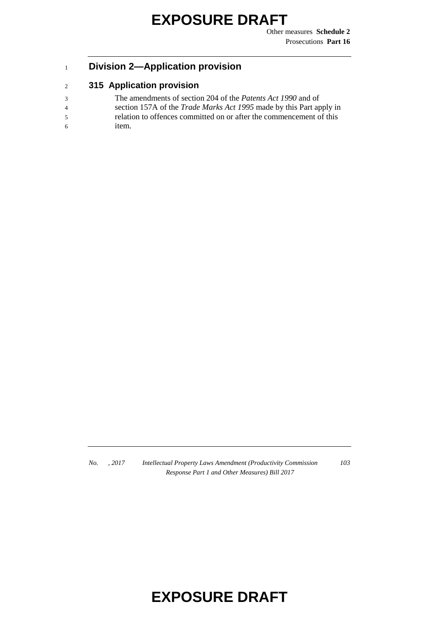Other measures **Schedule 2** Prosecutions **Part 16**

#### <sup>1</sup> **Division 2—Application provision**

#### <sup>2</sup> **315 Application provision**

- 3 The amendments of section 204 of the *Patents Act 1990* and of
- 4 section 157A of the *Trade Marks Act 1995* made by this Part apply in
- 5 relation to offences committed on or after the commencement of this 6 item.

*No. , 2017 Intellectual Property Laws Amendment (Productivity Commission Response Part 1 and Other Measures) Bill 2017*

*103*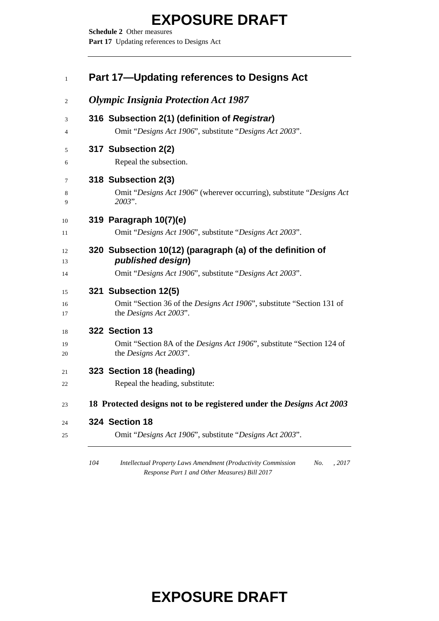**Schedule 2** Other measures Part 17 Updating references to Designs Act

| <b>Olympic Insignia Protection Act 1987</b>                                                                     |
|-----------------------------------------------------------------------------------------------------------------|
| 316 Subsection 2(1) (definition of Registrar)                                                                   |
| Omit "Designs Act 1906", substitute "Designs Act 2003".                                                         |
| 317 Subsection 2(2)                                                                                             |
| Repeal the subsection.                                                                                          |
| 318 Subsection 2(3)                                                                                             |
| Omit "Designs Act 1906" (wherever occurring), substitute "Designs Act"<br>2003".                                |
| 319 Paragraph 10(7)(e)                                                                                          |
| Omit "Designs Act 1906", substitute "Designs Act 2003".                                                         |
| 320 Subsection 10(12) (paragraph (a) of the definition of<br>published design)                                  |
| Omit "Designs Act 1906", substitute "Designs Act 2003".                                                         |
| 321 Subsection 12(5)                                                                                            |
| Omit "Section 36 of the <i>Designs Act 1906"</i> , substitute "Section 131 of<br>the <i>Designs Act 2003</i> ". |
| 322 Section 13                                                                                                  |
| Omit "Section 8A of the Designs Act 1906", substitute "Section 124 of<br>the <i>Designs Act 2003</i> ".         |
| 323 Section 18 (heading)                                                                                        |
| Repeal the heading, substitute:                                                                                 |
| 18 Protected designs not to be registered under the Designs Act 2003                                            |
| 324 Section 18                                                                                                  |
| Omit "Designs Act 1906", substitute "Designs Act 2003".                                                         |

 *Intellectual Property Laws Amendment (Productivity Commission Response Part 1 and Other Measures) Bill 2017 No. , 2017*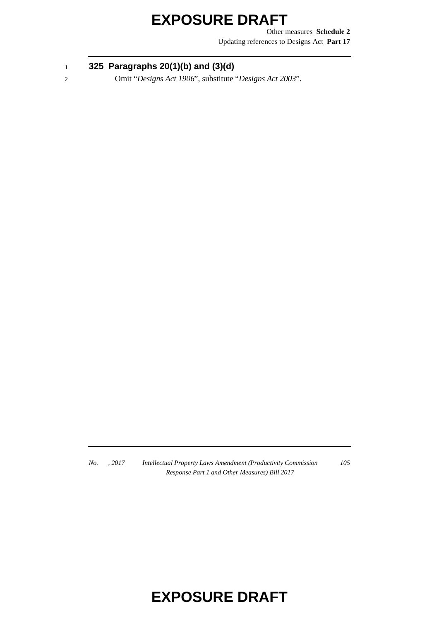Other measures **Schedule 2** Updating references to Designs Act **Part 17**

#### <sup>1</sup> **325 Paragraphs 20(1)(b) and (3)(d)**

2 Omit "*Designs Act 1906*", substitute "*Designs Act 2003*".

*No. , 2017 Intellectual Property Laws Amendment (Productivity Commission Response Part 1 and Other Measures) Bill 2017*

*105*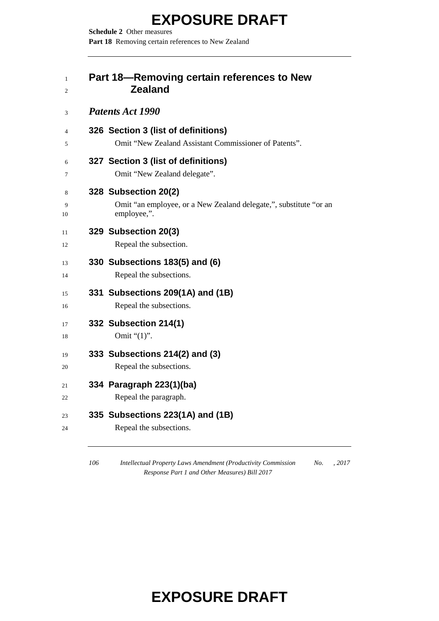**Schedule 2** Other measures Part 18 Removing certain references to New Zealand

#### **Part 18—Removing certain references to New Zealand**

#### *Patents Act 1990*

| $\overline{4}$<br>5 | 326 Section 3 (list of definitions)<br>Omit "New Zealand Assistant Commissioner of Patents".             |
|---------------------|----------------------------------------------------------------------------------------------------------|
| 6<br>7              | 327 Section 3 (list of definitions)<br>Omit "New Zealand delegate".                                      |
| 8<br>9<br>10        | 328 Subsection 20(2)<br>Omit "an employee, or a New Zealand delegate,", substitute "or an<br>employee,". |
| 11<br>12            | 329 Subsection 20(3)<br>Repeal the subsection.                                                           |
| 13<br>14            | 330 Subsections 183(5) and (6)<br>Repeal the subsections.                                                |
| 15<br>16            | 331 Subsections 209(1A) and (1B)<br>Repeal the subsections.                                              |
| 17<br>18            | 332 Subsection 214(1)<br>Omit " $(1)$ ".                                                                 |
| 19<br>20            | 333 Subsections 214(2) and (3)<br>Repeal the subsections.                                                |
| 21<br>22            | 334 Paragraph 223(1)(ba)<br>Repeal the paragraph.                                                        |
| 23<br>24            | 335 Subsections 223(1A) and (1B)<br>Repeal the subsections.                                              |

 *Intellectual Property Laws Amendment (Productivity Commission Response Part 1 and Other Measures) Bill 2017 No. , 2017*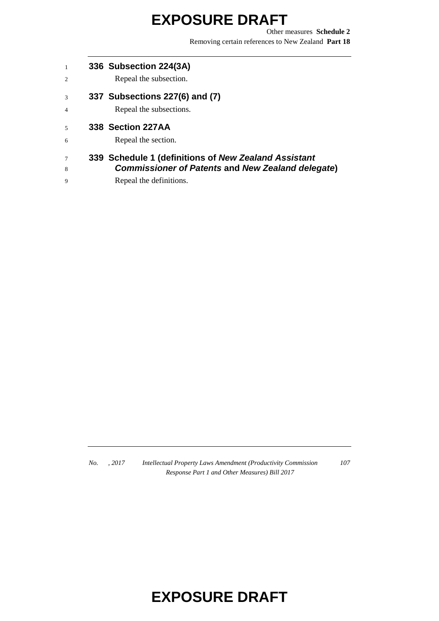Other measures **Schedule 2** Removing certain references to New Zealand **Part 18**

- **336 Subsection 224(3A)**
- Repeal the subsection.
- **337 Subsections 227(6) and (7)**
- Repeal the subsections.
- **338 Section 227AA**
- Repeal the section.

#### **339 Schedule 1 (definitions of** *New Zealand Assistant Commissioner of Patents* **and** *New Zealand delegate***)**

Repeal the definitions.

*No. , 2017 Intellectual Property Laws Amendment (Productivity Commission Response Part 1 and Other Measures) Bill 2017*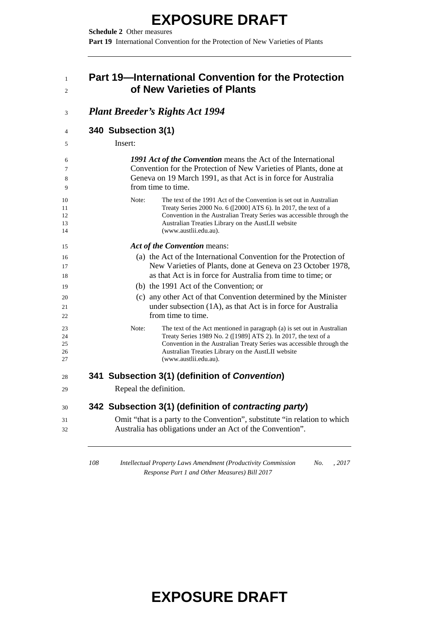**Schedule 2** Other measures **Part 19** International Convention for the Protection of New Varieties of Plants

#### **Part 19—International Convention for the Protection of New Varieties of Plants**

| 340 Subsection 3(1)                                                                                                                                                                                                                                                                                         |
|-------------------------------------------------------------------------------------------------------------------------------------------------------------------------------------------------------------------------------------------------------------------------------------------------------------|
| Insert:                                                                                                                                                                                                                                                                                                     |
| 1991 Act of the Convention means the Act of the International<br>Convention for the Protection of New Varieties of Plants, done at<br>Geneva on 19 March 1991, as that Act is in force for Australia<br>from time to time.                                                                                  |
| Note:<br>The text of the 1991 Act of the Convention is set out in Australian<br>Treaty Series 2000 No. 6 ([2000] ATS 6). In 2017, the text of a<br>Convention in the Australian Treaty Series was accessible through the<br>Australian Treaties Library on the AustLII website<br>(www.austlii.edu.au).     |
| Act of the Convention means:                                                                                                                                                                                                                                                                                |
| (a) the Act of the International Convention for the Protection of<br>New Varieties of Plants, done at Geneva on 23 October 1978,<br>as that Act is in force for Australia from time to time; or                                                                                                             |
| (b) the 1991 Act of the Convention; or                                                                                                                                                                                                                                                                      |
| (c) any other Act of that Convention determined by the Minister<br>under subsection (1A), as that Act is in force for Australia<br>from time to time.                                                                                                                                                       |
| Note:<br>The text of the Act mentioned in paragraph (a) is set out in Australian<br>Treaty Series 1989 No. 2 ([1989] ATS 2). In 2017, the text of a<br>Convention in the Australian Treaty Series was accessible through the<br>Australian Treaties Library on the AustLII website<br>(www.austlii.edu.au). |
| 341 Subsection 3(1) (definition of Convention)                                                                                                                                                                                                                                                              |
| Repeal the definition.                                                                                                                                                                                                                                                                                      |
| 342 Subsection 3(1) (definition of contracting party)                                                                                                                                                                                                                                                       |
| Omit "that is a party to the Convention", substitute "in relation to which<br>Australia has obligations under an Act of the Convention".                                                                                                                                                                    |

 *Intellectual Property Laws Amendment (Productivity Commission No. , 2017 Response Part 1 and Other Measures) Bill 2017*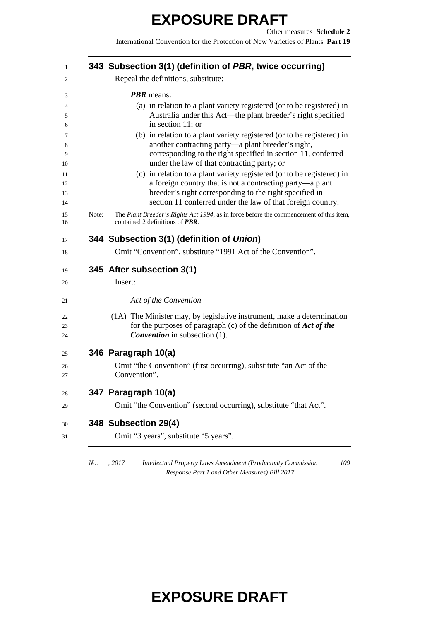International Convention for the Protection of New Varieties of Plants **Part 19**

|       | 343 Subsection 3(1) (definition of PBR, twice occurring)                                                                                                                                                                                                      |
|-------|---------------------------------------------------------------------------------------------------------------------------------------------------------------------------------------------------------------------------------------------------------------|
|       | Repeal the definitions, substitute:                                                                                                                                                                                                                           |
|       | <b>PBR</b> means:                                                                                                                                                                                                                                             |
|       | (a) in relation to a plant variety registered (or to be registered) in<br>Australia under this Act—the plant breeder's right specified<br>in section 11; or                                                                                                   |
|       | (b) in relation to a plant variety registered (or to be registered) in<br>another contracting party-a plant breeder's right,<br>corresponding to the right specified in section 11, conferred<br>under the law of that contracting party; or                  |
|       | (c) in relation to a plant variety registered (or to be registered) in<br>a foreign country that is not a contracting party-a plant<br>breeder's right corresponding to the right specified in<br>section 11 conferred under the law of that foreign country. |
| Note: | The Plant Breeder's Rights Act 1994, as in force before the commencement of this item,<br>contained 2 definitions of <b>PBR</b> .                                                                                                                             |
|       | 344 Subsection 3(1) (definition of Union)                                                                                                                                                                                                                     |
|       | Omit "Convention", substitute "1991 Act of the Convention".                                                                                                                                                                                                   |
|       | 345 After subsection 3(1)                                                                                                                                                                                                                                     |
|       | Insert:                                                                                                                                                                                                                                                       |
|       | Act of the Convention                                                                                                                                                                                                                                         |
|       |                                                                                                                                                                                                                                                               |
|       | for the purposes of paragraph (c) of the definition of <i>Act of the</i><br><b>Convention</b> in subsection (1).                                                                                                                                              |
|       | 346 Paragraph 10(a)                                                                                                                                                                                                                                           |
|       | Omit "the Convention" (first occurring), substitute "an Act of the<br>Convention".                                                                                                                                                                            |
|       | 347 Paragraph 10(a)                                                                                                                                                                                                                                           |
|       | Omit "the Convention" (second occurring), substitute "that Act".                                                                                                                                                                                              |
|       | (1A) The Minister may, by legislative instrument, make a determination<br>348 Subsection 29(4)                                                                                                                                                                |

*Response Part 1 and Other Measures) Bill 2017*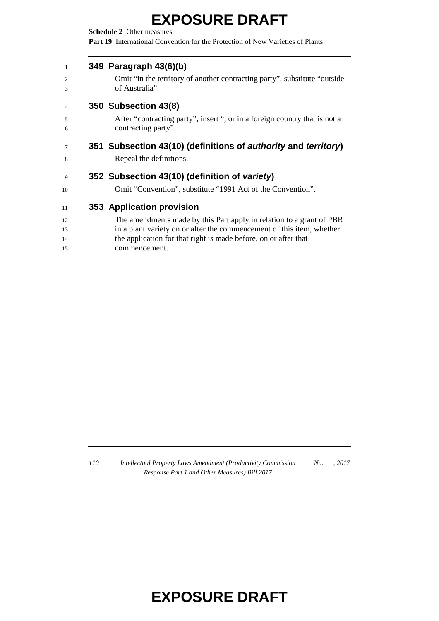**Schedule 2** Other measures **Part 19** International Convention for the Protection of New Varieties of Plants

#### **349 Paragraph 43(6)(b)**

| 2<br>3          | Omit "in the territory of another contracting party", substitute "outside"<br>of Australia". |
|-----------------|----------------------------------------------------------------------------------------------|
| $\overline{4}$  | 350 Subsection 43(8)                                                                         |
| 5               | After "contracting party", insert ", or in a foreign country that is not a                   |
| 6               | contracting party".                                                                          |
| $7\phantom{.0}$ | 351 Subsection 43(10) (definitions of <i>authority</i> and <i>territory</i> )                |
| 8               | Repeal the definitions.                                                                      |
| 9               | 352 Subsection 43(10) (definition of variety)                                                |

Omit "Convention", substitute "1991 Act of the Convention".

#### **353 Application provision**

- The amendments made by this Part apply in relation to a grant of PBR
- in a plant variety on or after the commencement of this item, whether
- the application for that right is made before, on or after that
- commencement.

 *Intellectual Property Laws Amendment (Productivity Commission Response Part 1 and Other Measures) Bill 2017 No. , 2017*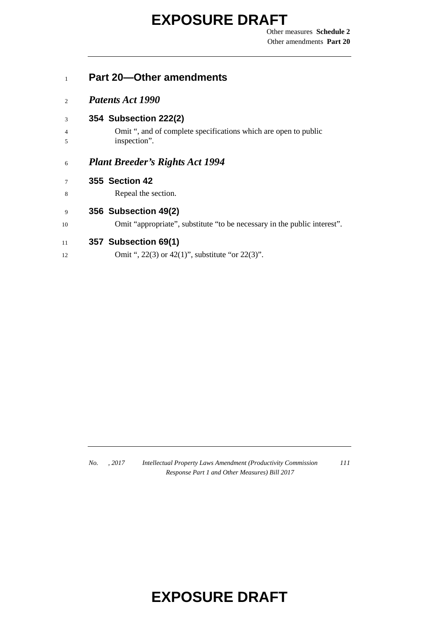Other measures **Schedule 2** Other amendments **Part 20**

# **Part 20—Other amendments**

- *Patents Act 1990*
- **354 Subsection 222(2)**
- Omit ", and of complete specifications which are open to public inspection".

#### *Plant Breeder's Rights Act 1994*

- **355 Section 42**
- Repeal the section.

#### **356 Subsection 49(2)**

Omit "appropriate", substitute "to be necessary in the public interest".

#### **357 Subsection 69(1)**

**Omit ", 22(3) or 42(1)", substitute "or 22(3)"**.

*No. , 2017 Intellectual Property Laws Amendment (Productivity Commission Response Part 1 and Other Measures) Bill 2017*